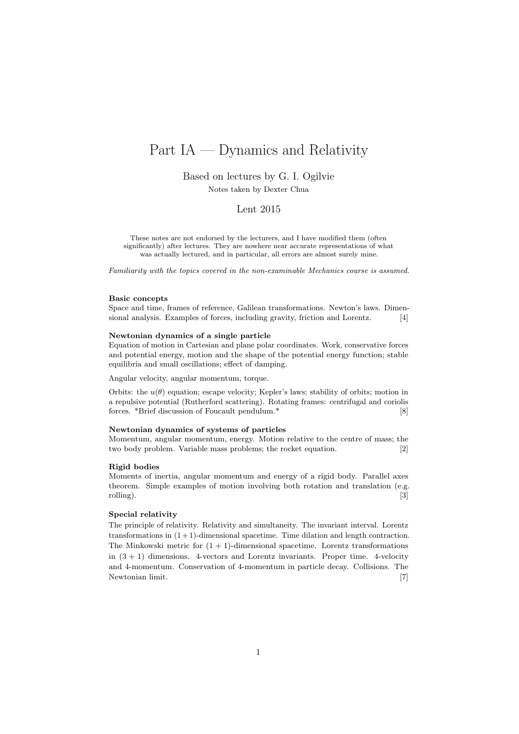# Part IA — Dynamics and Relativity

Based on lectures by G. I. Ogilvie

Notes taken by Dexter Chua

## Lent 2015

These notes are not endorsed by the lecturers, and I have modified them (often significantly) after lectures. They are nowhere near accurate representations of what was actually lectured, and in particular, all errors are almost surely mine.

Familiarity with the topics covered in the non-examinable Mechanics course is assumed.

#### Basic concepts

Space and time, frames of reference, Galilean transformations. Newton's laws. Dimensional analysis. Examples of forces, including gravity, friction and Lorentz. [4]

#### Newtonian dynamics of a single particle

Equation of motion in Cartesian and plane polar coordinates. Work, conservative forces and potential energy, motion and the shape of the potential energy function; stable equilibria and small oscillations; effect of damping.

Angular velocity, angular momentum, torque.

Orbits: the  $u(\theta)$  equation; escape velocity; Kepler's laws; stability of orbits; motion in a repulsive potential (Rutherford scattering). Rotating frames: centrifugal and coriolis forces. \*Brief discussion of Foucault pendulum.\* [8]

#### Newtonian dynamics of systems of particles

Momentum, angular momentum, energy. Motion relative to the centre of mass; the two body problem. Variable mass problems; the rocket equation. [2]

#### Rigid bodies

Moments of inertia, angular momentum and energy of a rigid body. Parallel axes theorem. Simple examples of motion involving both rotation and translation (e.g. rolling). [3]

#### Special relativity

The principle of relativity. Relativity and simultaneity. The invariant interval. Lorentz transformations in  $(1 + 1)$ -dimensional spacetime. Time dilation and length contraction. The Minkowski metric for  $(1 + 1)$ -dimensional spacetime. Lorentz transformations in  $(3 + 1)$  dimensions. 4-vectors and Lorentz invariants. Proper time. 4-velocity and 4-momentum. Conservation of 4-momentum in particle decay. Collisions. The Newtonian limit. [7]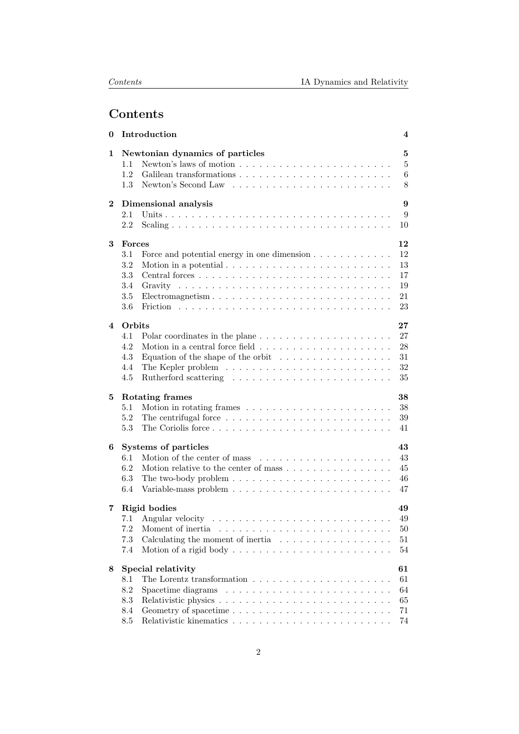# Contents

| 0        | Introduction                                                                                                        | 4                          |  |  |  |  |  |  |  |  |  |  |  |  |  |
|----------|---------------------------------------------------------------------------------------------------------------------|----------------------------|--|--|--|--|--|--|--|--|--|--|--|--|--|
| 1        | Newtonian dynamics of particles<br>Newton's laws of motion $\dots \dots \dots \dots \dots \dots \dots \dots$<br>1.1 | $\bf{5}$<br>$\overline{5}$ |  |  |  |  |  |  |  |  |  |  |  |  |  |
|          | 1.2<br>Galilean transformations                                                                                     | 6                          |  |  |  |  |  |  |  |  |  |  |  |  |  |
|          | 1.3                                                                                                                 | 8                          |  |  |  |  |  |  |  |  |  |  |  |  |  |
|          |                                                                                                                     |                            |  |  |  |  |  |  |  |  |  |  |  |  |  |
| $\bf{2}$ | Dimensional analysis                                                                                                | 9                          |  |  |  |  |  |  |  |  |  |  |  |  |  |
|          | 2.1                                                                                                                 | 9                          |  |  |  |  |  |  |  |  |  |  |  |  |  |
|          | 2.2<br>10                                                                                                           |                            |  |  |  |  |  |  |  |  |  |  |  |  |  |
| 3        | 12<br>Forces<br>12                                                                                                  |                            |  |  |  |  |  |  |  |  |  |  |  |  |  |
|          | 3.1<br>Force and potential energy in one dimension                                                                  |                            |  |  |  |  |  |  |  |  |  |  |  |  |  |
|          | 13<br>3.2<br>Motion in a potential $\ldots \ldots \ldots \ldots \ldots \ldots \ldots \ldots$                        |                            |  |  |  |  |  |  |  |  |  |  |  |  |  |
|          | 3.3<br>17                                                                                                           |                            |  |  |  |  |  |  |  |  |  |  |  |  |  |
|          | $3.4\,$<br>19                                                                                                       |                            |  |  |  |  |  |  |  |  |  |  |  |  |  |
|          | $3.5\,$<br>21<br>Electromagnetism                                                                                   |                            |  |  |  |  |  |  |  |  |  |  |  |  |  |
|          | 3.6<br>23                                                                                                           |                            |  |  |  |  |  |  |  |  |  |  |  |  |  |
| 4        | Orbits<br>$27\,$                                                                                                    |                            |  |  |  |  |  |  |  |  |  |  |  |  |  |
|          | 27<br>4.1                                                                                                           |                            |  |  |  |  |  |  |  |  |  |  |  |  |  |
|          | 28<br>4.2                                                                                                           |                            |  |  |  |  |  |  |  |  |  |  |  |  |  |
|          | Equation of the shape of the orbit $\ldots \ldots \ldots \ldots \ldots$<br>4.3<br>31                                |                            |  |  |  |  |  |  |  |  |  |  |  |  |  |
|          | 32<br>4.4                                                                                                           |                            |  |  |  |  |  |  |  |  |  |  |  |  |  |
|          | 4.5<br>35                                                                                                           |                            |  |  |  |  |  |  |  |  |  |  |  |  |  |
| 5        | Rotating frames<br>38                                                                                               |                            |  |  |  |  |  |  |  |  |  |  |  |  |  |
|          | 5.1<br>38                                                                                                           |                            |  |  |  |  |  |  |  |  |  |  |  |  |  |
|          | 5.2<br>39                                                                                                           |                            |  |  |  |  |  |  |  |  |  |  |  |  |  |
|          | 5.3<br>41                                                                                                           |                            |  |  |  |  |  |  |  |  |  |  |  |  |  |
|          |                                                                                                                     |                            |  |  |  |  |  |  |  |  |  |  |  |  |  |
| 6        | Systems of particles                                                                                                |                            |  |  |  |  |  |  |  |  |  |  |  |  |  |
|          | Motion of the center of mass $\dots \dots \dots \dots \dots \dots$<br>43<br>6.1                                     |                            |  |  |  |  |  |  |  |  |  |  |  |  |  |
|          | 6.2<br>Motion relative to the center of mass<br>$45\,$                                                              |                            |  |  |  |  |  |  |  |  |  |  |  |  |  |
|          | 6.3<br>The two-body problem $\dots \dots \dots \dots \dots \dots \dots \dots \dots$<br>46                           |                            |  |  |  |  |  |  |  |  |  |  |  |  |  |
|          | 6.4<br>47                                                                                                           |                            |  |  |  |  |  |  |  |  |  |  |  |  |  |
| 7        | Rigid bodies<br>49                                                                                                  |                            |  |  |  |  |  |  |  |  |  |  |  |  |  |
|          | 49                                                                                                                  |                            |  |  |  |  |  |  |  |  |  |  |  |  |  |
|          | 7.2<br>50                                                                                                           |                            |  |  |  |  |  |  |  |  |  |  |  |  |  |
|          | 7.3<br>Calculating the moment of inertia $\ldots \ldots \ldots \ldots \ldots$<br>51                                 |                            |  |  |  |  |  |  |  |  |  |  |  |  |  |
|          | 54<br>7.4                                                                                                           |                            |  |  |  |  |  |  |  |  |  |  |  |  |  |
| 8        | Special relativity<br>61                                                                                            |                            |  |  |  |  |  |  |  |  |  |  |  |  |  |
|          | 61<br>8.1                                                                                                           |                            |  |  |  |  |  |  |  |  |  |  |  |  |  |
|          | 8.2<br>64                                                                                                           |                            |  |  |  |  |  |  |  |  |  |  |  |  |  |
|          |                                                                                                                     |                            |  |  |  |  |  |  |  |  |  |  |  |  |  |
|          | 8.3<br>65                                                                                                           |                            |  |  |  |  |  |  |  |  |  |  |  |  |  |
|          | 8.4<br>71                                                                                                           |                            |  |  |  |  |  |  |  |  |  |  |  |  |  |
|          | 8.5<br>74                                                                                                           |                            |  |  |  |  |  |  |  |  |  |  |  |  |  |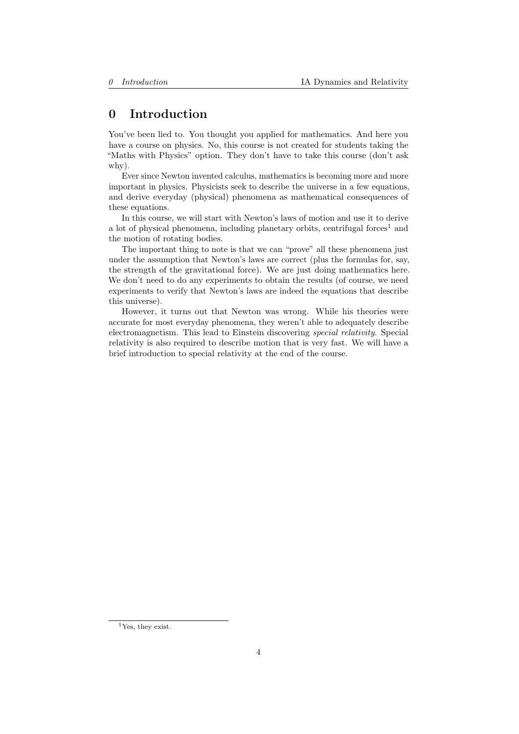# <span id="page-3-0"></span>0 Introduction

You've been lied to. You thought you applied for mathematics. And here you have a course on physics. No, this course is not created for students taking the "Maths with Physics" option. They don't have to take this course (don't ask why).

Ever since Newton invented calculus, mathematics is becoming more and more important in physics. Physicists seek to describe the universe in a few equations, and derive everyday (physical) phenomena as mathematical consequences of these equations.

In this course, we will start with Newton's laws of motion and use it to derive a lot of physical phenomena, including planetary orbits, centrifugal forces<sup>[1](#page-3-1)</sup> and the motion of rotating bodies.

The important thing to note is that we can "prove" all these phenomena just under the assumption that Newton's laws are correct (plus the formulas for, say, the strength of the gravitational force). We are just doing mathematics here. We don't need to do any experiments to obtain the results (of course, we need experiments to verify that Newton's laws are indeed the equations that describe this universe).

However, it turns out that Newton was wrong. While his theories were accurate for most everyday phenomena, they weren't able to adequately describe electromagnetism. This lead to Einstein discovering special relativity. Special relativity is also required to describe motion that is very fast. We will have a brief introduction to special relativity at the end of the course.

<span id="page-3-1"></span><sup>&</sup>lt;sup>1</sup>Yes, they exist.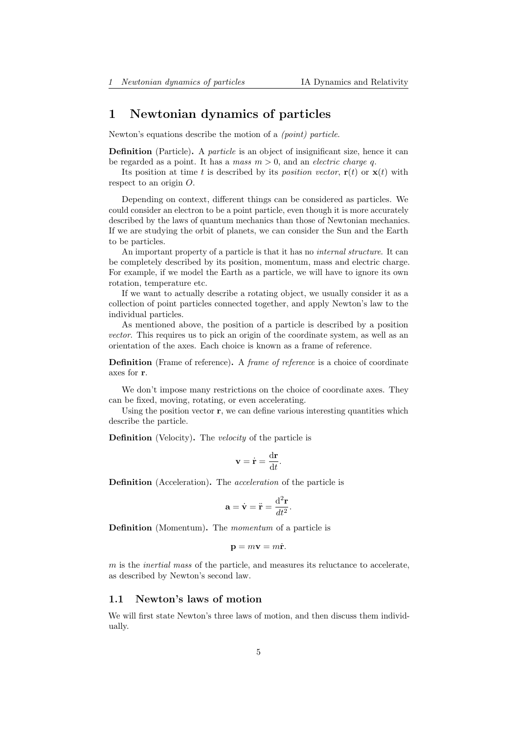# <span id="page-4-0"></span>1 Newtonian dynamics of particles

Newton's equations describe the motion of a (point) particle.

**Definition** (Particle). A *particle* is an object of insignificant size, hence it can be regarded as a point. It has a mass  $m > 0$ , and an *electric charge q*.

Its position at time t is described by its *position vector*,  $\mathbf{r}(t)$  or  $\mathbf{x}(t)$  with respect to an origin O.

Depending on context, different things can be considered as particles. We could consider an electron to be a point particle, even though it is more accurately described by the laws of quantum mechanics than those of Newtonian mechanics. If we are studying the orbit of planets, we can consider the Sun and the Earth to be particles.

An important property of a particle is that it has no internal structure. It can be completely described by its position, momentum, mass and electric charge. For example, if we model the Earth as a particle, we will have to ignore its own rotation, temperature etc.

If we want to actually describe a rotating object, we usually consider it as a collection of point particles connected together, and apply Newton's law to the individual particles.

As mentioned above, the position of a particle is described by a position vector. This requires us to pick an origin of the coordinate system, as well as an orientation of the axes. Each choice is known as a frame of reference.

Definition (Frame of reference). A *frame of reference* is a choice of coordinate axes for r.

We don't impose many restrictions on the choice of coordinate axes. They can be fixed, moving, rotating, or even accelerating.

Using the position vector  $\mathbf r$ , we can define various interesting quantities which describe the particle.

Definition (Velocity). The velocity of the particle is

$$
\mathbf{v} = \dot{\mathbf{r}} = \frac{\mathrm{d}\mathbf{r}}{\mathrm{d}t}.
$$

Definition (Acceleration). The acceleration of the particle is

$$
\mathbf{a} = \dot{\mathbf{v}} = \ddot{\mathbf{r}} = \frac{\mathrm{d}^2 \mathbf{r}}{dt^2}.
$$

Definition (Momentum). The momentum of a particle is

$$
\mathbf{p} = m\mathbf{v} = m\dot{\mathbf{r}}.
$$

m is the *inertial mass* of the particle, and measures its reluctance to accelerate, as described by Newton's second law.

## <span id="page-4-1"></span>1.1 Newton's laws of motion

We will first state Newton's three laws of motion, and then discuss them individually.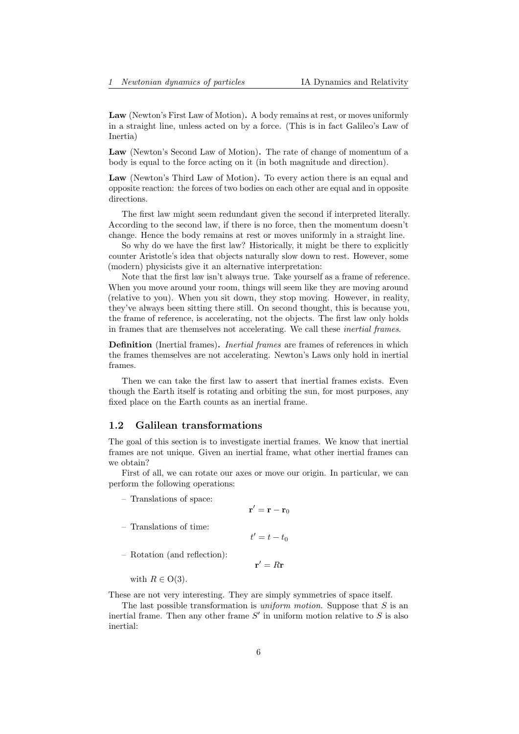Law (Newton's First Law of Motion). A body remains at rest, or moves uniformly in a straight line, unless acted on by a force. (This is in fact Galileo's Law of Inertia)

Law (Newton's Second Law of Motion). The rate of change of momentum of a body is equal to the force acting on it (in both magnitude and direction).

Law (Newton's Third Law of Motion). To every action there is an equal and opposite reaction: the forces of two bodies on each other are equal and in opposite directions.

The first law might seem redundant given the second if interpreted literally. According to the second law, if there is no force, then the momentum doesn't change. Hence the body remains at rest or moves uniformly in a straight line.

So why do we have the first law? Historically, it might be there to explicitly counter Aristotle's idea that objects naturally slow down to rest. However, some (modern) physicists give it an alternative interpretation:

Note that the first law isn't always true. Take yourself as a frame of reference. When you move around your room, things will seem like they are moving around (relative to you). When you sit down, they stop moving. However, in reality, they've always been sitting there still. On second thought, this is because you, the frame of reference, is accelerating, not the objects. The first law only holds in frames that are themselves not accelerating. We call these inertial frames.

**Definition** (Inertial frames). *Inertial frames* are frames of references in which the frames themselves are not accelerating. Newton's Laws only hold in inertial frames.

Then we can take the first law to assert that inertial frames exists. Even though the Earth itself is rotating and orbiting the sun, for most purposes, any fixed place on the Earth counts as an inertial frame.

#### <span id="page-5-0"></span>1.2 Galilean transformations

The goal of this section is to investigate inertial frames. We know that inertial frames are not unique. Given an inertial frame, what other inertial frames can we obtain?

First of all, we can rotate our axes or move our origin. In particular, we can perform the following operations:

 $\mathbf{r}'=\mathbf{r}-\mathbf{r}_0$ 

 $\mathbf{r}' = R\mathbf{r}$ 

– Translations of space:

$$
f\;{\rm time:}\;
$$

 $t' = t - t_0$ 

– Rotation (and reflection):

with  $R \in O(3)$ .

 $-$  Translations of

These are not very interesting. They are simply symmetries of space itself.

The last possible transformation is *uniform motion*. Suppose that  $S$  is an inertial frame. Then any other frame  $S'$  in uniform motion relative to  $S$  is also inertial: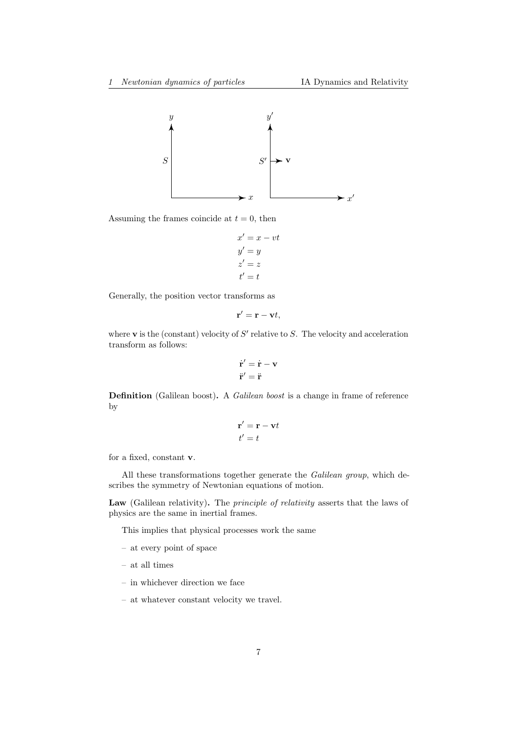

Assuming the frames coincide at  $t = 0$ , then

$$
x' = x - vt
$$
  
\n
$$
y' = y
$$
  
\n
$$
z' = z
$$
  
\n
$$
t' = t
$$

Generally, the position vector transforms as

$$
\mathbf{r}' = \mathbf{r} - \mathbf{v}t,
$$

where  $\bf{v}$  is the (constant) velocity of  $S'$  relative to  $S$ . The velocity and acceleration transform as follows:

$$
\dot{\mathbf{r}}' = \dot{\mathbf{r}} - \mathbf{v}
$$

$$
\ddot{\mathbf{r}}' = \ddot{\mathbf{r}}
$$

Definition (Galilean boost). A Galilean boost is a change in frame of reference by

$$
\mathbf{r}' = \mathbf{r} - \mathbf{v}t
$$

$$
t' = t
$$

for a fixed, constant v.

All these transformations together generate the Galilean group, which describes the symmetry of Newtonian equations of motion.

Law (Galilean relativity). The *principle of relativity* asserts that the laws of physics are the same in inertial frames.

This implies that physical processes work the same

- at every point of space
- at all times
- in whichever direction we face
- at whatever constant velocity we travel.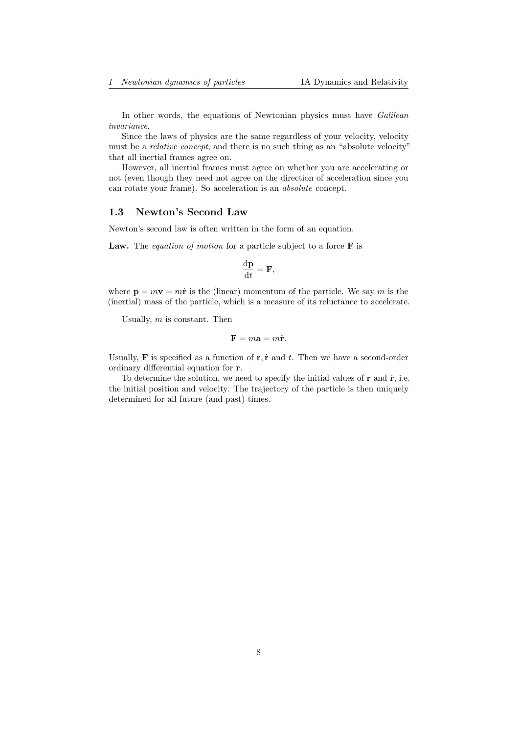In other words, the equations of Newtonian physics must have Galilean invariance.

Since the laws of physics are the same regardless of your velocity, velocity must be a *relative concept*, and there is no such thing as an "absolute velocity" that all inertial frames agree on.

However, all inertial frames must agree on whether you are accelerating or not (even though they need not agree on the direction of acceleration since you can rotate your frame). So acceleration is an absolute concept.

## <span id="page-7-0"></span>1.3 Newton's Second Law

Newton's second law is often written in the form of an equation.

**Law.** The *equation of motion* for a particle subject to a force  $\bf{F}$  is

$$
\frac{\mathrm{d}\mathbf{p}}{\mathrm{d}t} = \mathbf{F},
$$

where  $\mathbf{p} = m\mathbf{v} = m\dot{\mathbf{r}}$  is the (linear) momentum of the particle. We say m is the (inertial) mass of the particle, which is a measure of its reluctance to accelerate.

Usually,  $m$  is constant. Then

$$
\mathbf{F} = m\mathbf{a} = m\ddot{\mathbf{r}}.
$$

Usually, **F** is specified as a function of  $\mathbf{r}, \dot{\mathbf{r}}$  and t. Then we have a second-order ordinary differential equation for r.

To determine the solution, we need to specify the initial values of  $\mathbf r$  and  $\dot{\mathbf r}$ , i.e. the initial position and velocity. The trajectory of the particle is then uniquely determined for all future (and past) times.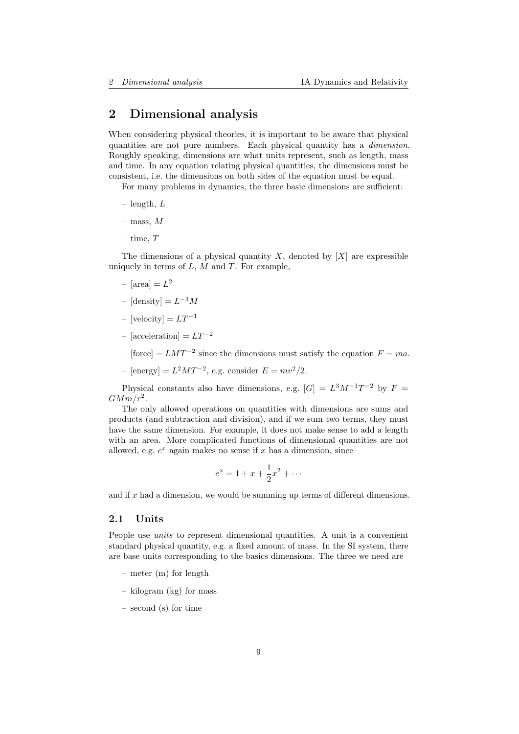# <span id="page-8-0"></span>2 Dimensional analysis

When considering physical theories, it is important to be aware that physical quantities are not pure numbers. Each physical quantity has a dimension. Roughly speaking, dimensions are what units represent, such as length, mass and time. In any equation relating physical quantities, the dimensions must be consistent, i.e. the dimensions on both sides of the equation must be equal.

For many problems in dynamics, the three basic dimensions are sufficient:

- $-$  length,  $L$
- mass, M
- time,  $T$

The dimensions of a physical quantity  $X$ , denoted by  $[X]$  are expressible uniquely in terms of  $L$ ,  $M$  and  $T$ . For example,

- $-$  [area] =  $L^2$
- $-[density] = L^{-3}M$
- [velocity] =  $LT^{-1}$
- [acceleration] =  $LT^{-2}$
- $-[force] = LMT^{-2}$  since the dimensions must satisfy the equation  $F = ma$ .
- [energy] =  $L^2MT^{-2}$ , e.g. consider  $E = mv^2/2$ .

Physical constants also have dimensions, e.g.  $[G] = L^3 M^{-1} T^{-2}$  by  $F =$  $GMm/r^2$ .

The only allowed operations on quantities with dimensions are sums and products (and subtraction and division), and if we sum two terms, they must have the same dimension. For example, it does not make sense to add a length with an area. More complicated functions of dimensional quantities are not allowed, e.g.  $e^x$  again makes no sense if x has a dimension, since

$$
e^x = 1 + x + \frac{1}{2}x^2 + \dotsb
$$

and if  $x$  had a dimension, we would be summing up terms of different dimensions.

## <span id="page-8-1"></span>2.1 Units

People use units to represent dimensional quantities. A unit is a convenient standard physical quantity, e.g. a fixed amount of mass. In the SI system, there are base units corresponding to the basics dimensions. The three we need are

- meter (m) for length
- kilogram (kg) for mass
- second (s) for time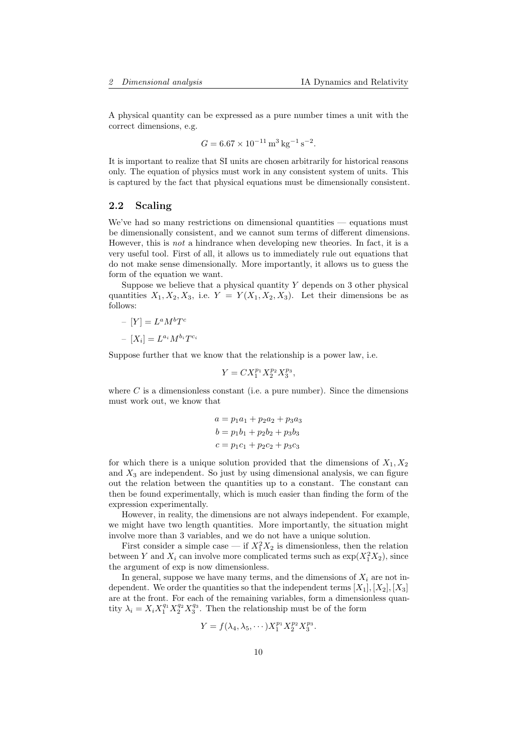A physical quantity can be expressed as a pure number times a unit with the correct dimensions, e.g.

$$
G = 6.67 \times 10^{-11} \,\mathrm{m}^3 \,\mathrm{kg}^{-1} \,\mathrm{s}^{-2}.
$$

It is important to realize that SI units are chosen arbitrarily for historical reasons only. The equation of physics must work in any consistent system of units. This is captured by the fact that physical equations must be dimensionally consistent.

## <span id="page-9-0"></span>2.2 Scaling

We've had so many restrictions on dimensional quantities — equations must be dimensionally consistent, and we cannot sum terms of different dimensions. However, this is not a hindrance when developing new theories. In fact, it is a very useful tool. First of all, it allows us to immediately rule out equations that do not make sense dimensionally. More importantly, it allows us to guess the form of the equation we want.

Suppose we believe that a physical quantity  $Y$  depends on 3 other physical quantities  $X_1, X_2, X_3$ , i.e.  $Y = Y(X_1, X_2, X_3)$ . Let their dimensions be as follows:

$$
-[Y] = LaMbTc
$$

$$
-[Xi] = LaiMbiTci
$$

Suppose further that we know that the relationship is a power law, i.e.

$$
Y = CX_1^{p_1} X_2^{p_2} X_3^{p_3},
$$

where  $C$  is a dimensionless constant (i.e. a pure number). Since the dimensions must work out, we know that

$$
a = p_1a_1 + p_2a_2 + p_3a_3
$$
  
\n
$$
b = p_1b_1 + p_2b_2 + p_3b_3
$$
  
\n
$$
c = p_1c_1 + p_2c_2 + p_3c_3
$$

for which there is a unique solution provided that the dimensions of  $X_1, X_2$ and  $X_3$  are independent. So just by using dimensional analysis, we can figure out the relation between the quantities up to a constant. The constant can then be found experimentally, which is much easier than finding the form of the expression experimentally.

However, in reality, the dimensions are not always independent. For example, we might have two length quantities. More importantly, the situation might involve more than 3 variables, and we do not have a unique solution.

First consider a simple case — if  $X_1^2 X_2$  is dimensionless, then the relation between Y and  $X_i$  can involve more complicated terms such as  $\exp(X_1^2 X_2)$ , since the argument of exp is now dimensionless.

In general, suppose we have many terms, and the dimensions of  $X_i$  are not independent. We order the quantities so that the independent terms  $[X_1], [X_2], [X_3]$ are at the front. For each of the remaining variables, form a dimensionless quantity  $\lambda_i = X_i X_1^{q_1} X_2^{q_2} X_3^{q_3}$ . Then the relationship must be of the form

$$
Y = f(\lambda_4, \lambda_5, \cdots) X_1^{p_1} X_2^{p_2} X_3^{p_3}.
$$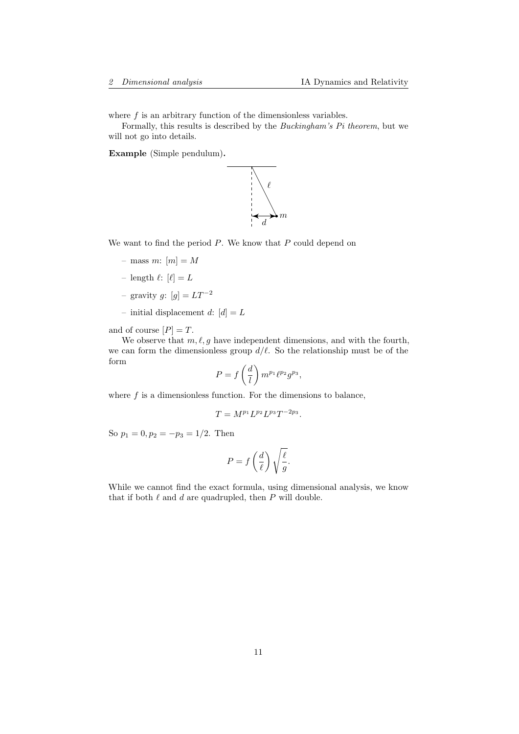where  $f$  is an arbitrary function of the dimensionless variables.

Formally, this results is described by the Buckingham's Pi theorem, but we will not go into details.

Example (Simple pendulum).



We want to find the period  $P$ . We know that  $P$  could depend on

- mass m:  $[m] = M$
- length  $\ell: [\ell] = L$
- gravity g:  $[g] = LT^{-2}$
- initial displacement d:  $[d] = L$

and of course  $[P] = T$ .

We observe that  $m, \ell, q$  have independent dimensions, and with the fourth, we can form the dimensionless group  $d/\ell$ . So the relationship must be of the form

$$
P = f\left(\frac{d}{l}\right) m^{p_1} \ell^{p_2} g^{p_3},
$$

where  $f$  is a dimensionless function. For the dimensions to balance,

$$
T=M^{p_1}L^{p_2}L^{p_3}T^{-2p_3}.
$$

So  $p_1 = 0, p_2 = -p_3 = 1/2$ . Then

$$
P = f\left(\frac{d}{\ell}\right) \sqrt{\frac{\ell}{g}}.
$$

While we cannot find the exact formula, using dimensional analysis, we know that if both  $\ell$  and  $d$  are quadrupled, then  $P$  will double.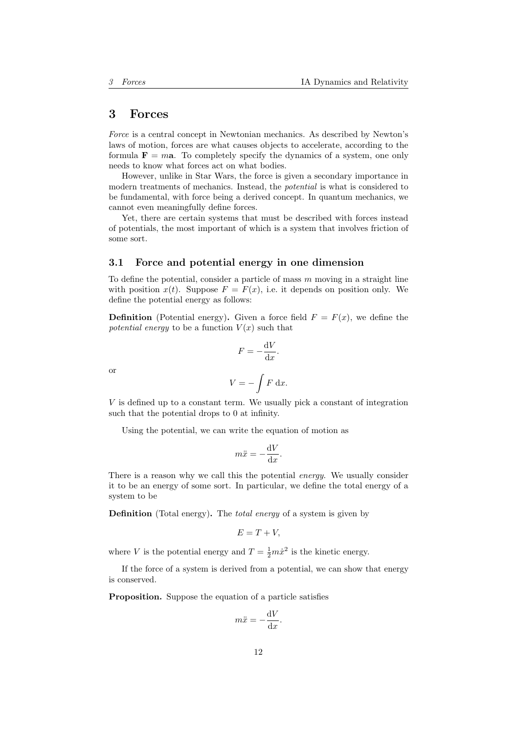## <span id="page-11-0"></span>3 Forces

Force is a central concept in Newtonian mechanics. As described by Newton's laws of motion, forces are what causes objects to accelerate, according to the formula  $\mathbf{F} = m\mathbf{a}$ . To completely specify the dynamics of a system, one only needs to know what forces act on what bodies.

However, unlike in Star Wars, the force is given a secondary importance in modern treatments of mechanics. Instead, the potential is what is considered to be fundamental, with force being a derived concept. In quantum mechanics, we cannot even meaningfully define forces.

Yet, there are certain systems that must be described with forces instead of potentials, the most important of which is a system that involves friction of some sort.

## <span id="page-11-1"></span>3.1 Force and potential energy in one dimension

To define the potential, consider a particle of mass  $m$  moving in a straight line with position  $x(t)$ . Suppose  $F = F(x)$ , i.e. it depends on position only. We define the potential energy as follows:

**Definition** (Potential energy). Given a force field  $F = F(x)$ , we define the potential energy to be a function  $V(x)$  such that

$$
F = -\frac{\mathrm{d}V}{\mathrm{d}x}.
$$

or

$$
V = -\int F \, \mathrm{d}x.
$$

V is defined up to a constant term. We usually pick a constant of integration such that the potential drops to 0 at infinity.

Using the potential, we can write the equation of motion as

$$
m\ddot{x} = -\frac{\mathrm{d}V}{\mathrm{d}x}.
$$

There is a reason why we call this the potential *energy*. We usually consider it to be an energy of some sort. In particular, we define the total energy of a system to be

Definition (Total energy). The *total energy* of a system is given by

$$
E=T+V,
$$

where V is the potential energy and  $T = \frac{1}{2}m\dot{x}^2$  is the kinetic energy.

If the force of a system is derived from a potential, we can show that energy is conserved.

Proposition. Suppose the equation of a particle satisfies

$$
m\ddot{x} = -\frac{\mathrm{d}V}{\mathrm{d}x}.
$$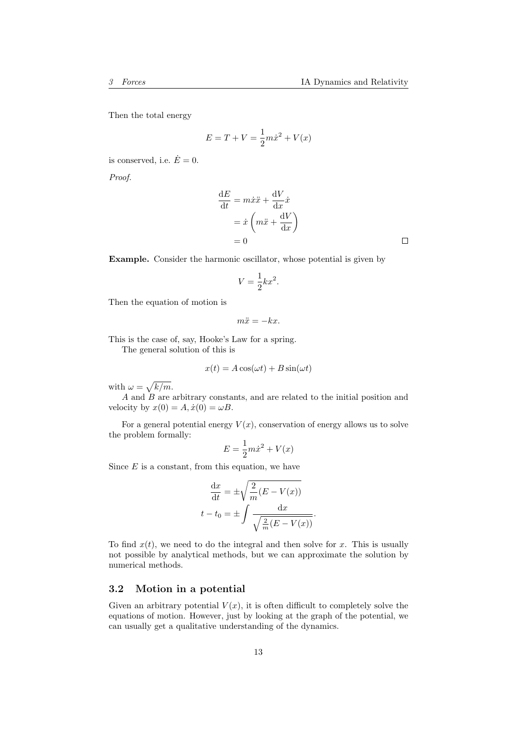Then the total energy

$$
E = T + V = \frac{1}{2}m\dot{x}^{2} + V(x)
$$

is conserved, i.e.  $\dot{E}=0$ .

Proof.

$$
\frac{dE}{dt} = m\dot{x}\ddot{x} + \frac{dV}{dx}\dot{x}
$$

$$
= \dot{x}\left(m\ddot{x} + \frac{dV}{dx}\right)
$$

$$
= 0
$$

Example. Consider the harmonic oscillator, whose potential is given by

$$
V = \frac{1}{2}kx^2.
$$

Then the equation of motion is

$$
m\ddot{x} = -kx.
$$

This is the case of, say, Hooke's Law for a spring. The general solution of this is

$$
x(t) = A\cos(\omega t) + B\sin(\omega t)
$$

with  $\omega = \sqrt{k/m}$ .

 $A$  and  $B$  are arbitrary constants, and are related to the initial position and velocity by  $x(0) = A, \dot{x}(0) = \omega B$ .

For a general potential energy  $V(x)$ , conservation of energy allows us to solve the problem formally:

$$
E = \frac{1}{2}m\dot{x}^2 + V(x)
$$

Since  $E$  is a constant, from this equation, we have

$$
\frac{\mathrm{d}x}{\mathrm{d}t} = \pm \sqrt{\frac{2}{m}(E - V(x))}
$$

$$
t - t_0 = \pm \int \frac{\mathrm{d}x}{\sqrt{\frac{2}{m}(E - V(x))}}.
$$

To find  $x(t)$ , we need to do the integral and then solve for x. This is usually not possible by analytical methods, but we can approximate the solution by numerical methods.

## <span id="page-12-0"></span>3.2 Motion in a potential

Given an arbitrary potential  $V(x)$ , it is often difficult to completely solve the equations of motion. However, just by looking at the graph of the potential, we can usually get a qualitative understanding of the dynamics.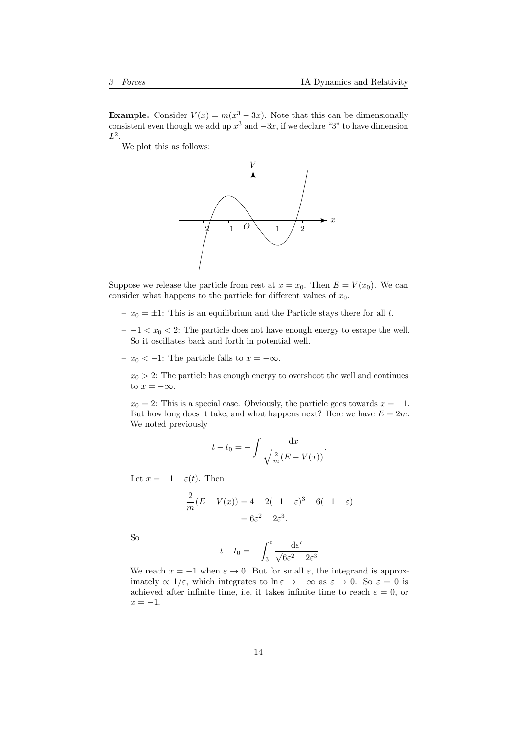**Example.** Consider  $V(x) = m(x^3 - 3x)$ . Note that this can be dimensionally consistent even though we add up  $x^3$  and  $-3x$ , if we declare "3" to have dimension  $L^2$ .

We plot this as follows:



Suppose we release the particle from rest at  $x = x_0$ . Then  $E = V(x_0)$ . We can consider what happens to the particle for different values of  $x_0$ .

- $x_0 = \pm 1$ : This is an equilibrium and the Particle stays there for all t.
- $− -1 < x<sub>0</sub> < 2$ : The particle does not have enough energy to escape the well. So it oscillates back and forth in potential well.
- $x_0$  < −1: The particle falls to  $x = -\infty$ .
- $x_0 > 2$ : The particle has enough energy to overshoot the well and continues to  $x = -\infty$ .
- $x_0 = 2$ : This is a special case. Obviously, the particle goes towards  $x = -1$ . But how long does it take, and what happens next? Here we have  $E = 2m$ . We noted previously

$$
t - t_0 = -\int \frac{\mathrm{d}x}{\sqrt{\frac{2}{m}(E - V(x))}}.
$$

Let  $x = -1 + \varepsilon(t)$ . Then

$$
\frac{2}{m}(E - V(x)) = 4 - 2(-1 + \varepsilon)^3 + 6(-1 + \varepsilon)
$$
  
=  $6\varepsilon^2 - 2\varepsilon^3$ .

So

$$
t - t_0 = -\int_3^{\varepsilon} \frac{\mathrm{d}\varepsilon'}{\sqrt{6\varepsilon^2 - 2\varepsilon^3}}
$$

We reach  $x = -1$  when  $\varepsilon \to 0$ . But for small  $\varepsilon$ , the integrand is approximately  $\propto 1/\varepsilon$ , which integrates to ln  $\varepsilon \to -\infty$  as  $\varepsilon \to 0$ . So  $\varepsilon = 0$  is achieved after infinite time, i.e. it takes infinite time to reach  $\varepsilon = 0$ , or  $x = -1$ .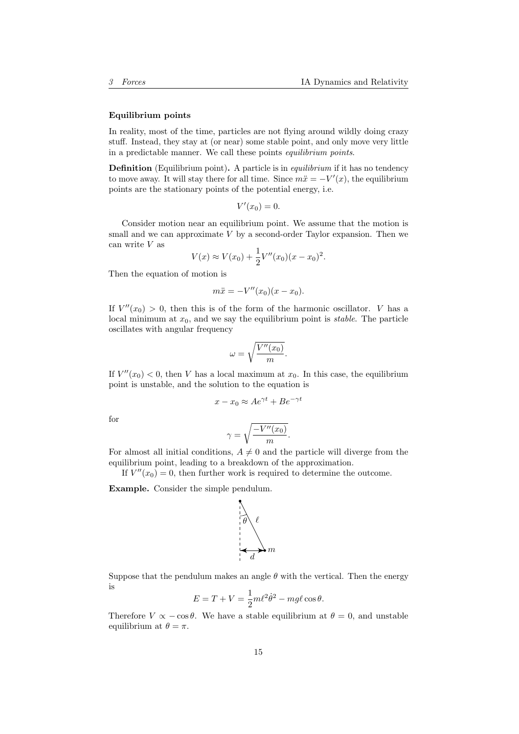#### Equilibrium points

In reality, most of the time, particles are not flying around wildly doing crazy stuff. Instead, they stay at (or near) some stable point, and only move very little in a predictable manner. We call these points equilibrium points.

**Definition** (Equilibrium point). A particle is in *equilibrium* if it has no tendency to move away. It will stay there for all time. Since  $m\ddot{x} = -V'(x)$ , the equilibrium points are the stationary points of the potential energy, i.e.

$$
V'(x_0)=0.
$$

Consider motion near an equilibrium point. We assume that the motion is small and we can approximate  $V$  by a second-order Taylor expansion. Then we can write V as

$$
V(x) \approx V(x_0) + \frac{1}{2}V''(x_0)(x - x_0)^2.
$$

Then the equation of motion is

$$
m\ddot{x} = -V''(x_0)(x - x_0).
$$

If  $V''(x_0) > 0$ , then this is of the form of the harmonic oscillator. V has a local minimum at  $x_0$ , and we say the equilibrium point is *stable*. The particle oscillates with angular frequency

$$
\omega = \sqrt{\frac{V''(x_0)}{m}}.
$$

If  $V''(x_0) < 0$ , then V has a local maximum at  $x_0$ . In this case, the equilibrium point is unstable, and the solution to the equation is

$$
x - x_0 \approx A e^{\gamma t} + B e^{-\gamma t}
$$

for

$$
\gamma = \sqrt{\frac{-V''(x_0)}{m}}.
$$

For almost all initial conditions,  $A \neq 0$  and the particle will diverge from the equilibrium point, leading to a breakdown of the approximation.

If  $V''(x_0) = 0$ , then further work is required to determine the outcome.

Example. Consider the simple pendulum.



Suppose that the pendulum makes an angle  $\theta$  with the vertical. Then the energy is

$$
E = T + V = \frac{1}{2}m\ell^2\dot{\theta}^2 - mg\ell\cos\theta.
$$

Therefore  $V \propto -\cos\theta$ . We have a stable equilibrium at  $\theta = 0$ , and unstable equilibrium at  $\theta = \pi$ .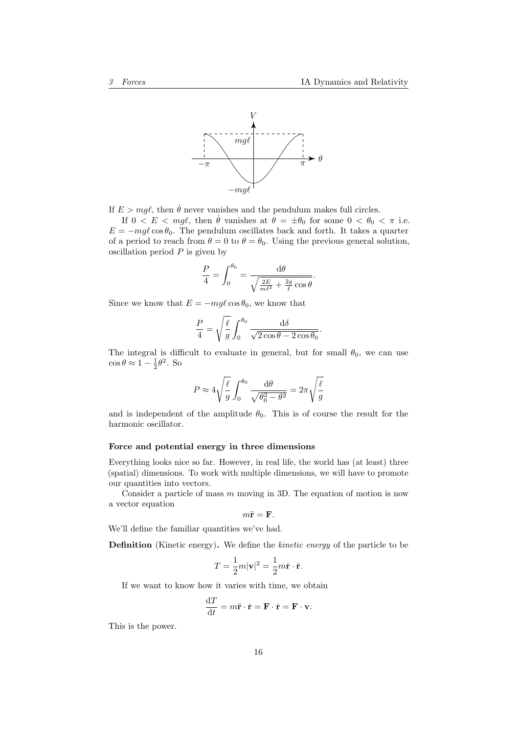

If  $E > mg\ell$ , then  $\dot{\theta}$  never vanishes and the pendulum makes full circles.

If  $0 < E < mgl$ , then  $\dot{\theta}$  vanishes at  $\theta = \pm \theta_0$  for some  $0 < \theta_0 < \pi$  i.e.  $E = -mg\ell \cos\theta_0$ . The pendulum oscillates back and forth. It takes a quarter of a period to reach from  $\theta = 0$  to  $\theta = \theta_0$ . Using the previous general solution, oscillation period  $P$  is given by

$$
\frac{P}{4} = \int_0^{\theta_0} = \frac{\mathrm{d}\theta}{\sqrt{\frac{2E}{m\ell^2} + \frac{2g}{\ell}\cos\theta}}.
$$

Since we know that  $E = -mg\ell \cos \theta_0$ , we know that

$$
\frac{P}{4} = \sqrt{\frac{\ell}{g}} \int_0^{\theta_0} \frac{\mathrm{d}\delta}{\sqrt{2\cos\theta - 2\cos\theta_0}}.
$$

The integral is difficult to evaluate in general, but for small  $\theta_0$ , we can use  $\cos \theta \approx 1 - \frac{1}{2}\theta^2$ . So

$$
P \approx 4\sqrt{\frac{\ell}{g}} \int_0^{\theta_0} \frac{d\theta}{\sqrt{\theta_0^2 - \theta^2}} = 2\pi \sqrt{\frac{\ell}{g}}
$$

and is independent of the amplitude  $\theta_0$ . This is of course the result for the harmonic oscillator.

## Force and potential energy in three dimensions

Everything looks nice so far. However, in real life, the world has (at least) three (spatial) dimensions. To work with multiple dimensions, we will have to promote our quantities into vectors.

Consider a particle of mass  $m$  moving in 3D. The equation of motion is now a vector equation

$$
m\ddot{\mathbf{r}} = \mathbf{F}.
$$

We'll define the familiar quantities we've had.

Definition (Kinetic energy). We define the kinetic energy of the particle to be

$$
T = \frac{1}{2}m|\mathbf{v}|^2 = \frac{1}{2}m\dot{\mathbf{r}}\cdot\dot{\mathbf{r}}.
$$

If we want to know how it varies with time, we obtain

$$
\frac{\mathrm{d}T}{\mathrm{d}t} = m\ddot{\mathbf{r}} \cdot \dot{\mathbf{r}} = \mathbf{F} \cdot \dot{\mathbf{r}} = \mathbf{F} \cdot \mathbf{v}.
$$

This is the power.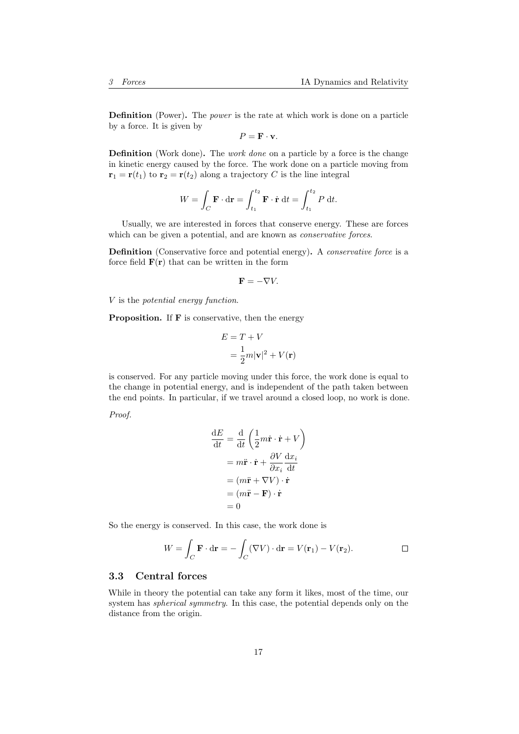Definition (Power). The power is the rate at which work is done on a particle by a force. It is given by

 $P = \mathbf{F} \cdot \mathbf{v}$ .

**Definition** (Work done). The *work done* on a particle by a force is the change in kinetic energy caused by the force. The work done on a particle moving from  $\mathbf{r}_1 = \mathbf{r}(t_1)$  to  $\mathbf{r}_2 = \mathbf{r}(t_2)$  along a trajectory C is the line integral

$$
W = \int_C \mathbf{F} \cdot d\mathbf{r} = \int_{t_1}^{t_2} \mathbf{F} \cdot \dot{\mathbf{r}} dt = \int_{t_1}^{t_2} P dt.
$$

Usually, we are interested in forces that conserve energy. These are forces which can be given a potential, and are known as *conservative forces*.

Definition (Conservative force and potential energy). A *conservative force* is a force field  $F(r)$  that can be written in the form

$$
\mathbf{F}=-\nabla V.
$$

V is the potential energy function.

Proposition. If F is conservative, then the energy

$$
E = T + V
$$
  
=  $\frac{1}{2}m|\mathbf{v}|^2 + V(\mathbf{r})$ 

is conserved. For any particle moving under this force, the work done is equal to the change in potential energy, and is independent of the path taken between the end points. In particular, if we travel around a closed loop, no work is done.

Proof.

$$
\frac{dE}{dt} = \frac{d}{dt} \left( \frac{1}{2} m \dot{\mathbf{r}} \cdot \dot{\mathbf{r}} + V \right)
$$

$$
= m \ddot{\mathbf{r}} \cdot \dot{\mathbf{r}} + \frac{\partial V}{\partial x_i} \frac{dx_i}{dt}
$$

$$
= (m \ddot{\mathbf{r}} + \nabla V) \cdot \dot{\mathbf{r}}
$$

$$
= (m \ddot{\mathbf{r}} - \mathbf{F}) \cdot \dot{\mathbf{r}}
$$

$$
= 0
$$

So the energy is conserved. In this case, the work done is

$$
W = \int_C \mathbf{F} \cdot d\mathbf{r} = -\int_C (\nabla V) \cdot d\mathbf{r} = V(\mathbf{r}_1) - V(\mathbf{r}_2).
$$

## <span id="page-16-0"></span>3.3 Central forces

While in theory the potential can take any form it likes, most of the time, our system has spherical symmetry. In this case, the potential depends only on the distance from the origin.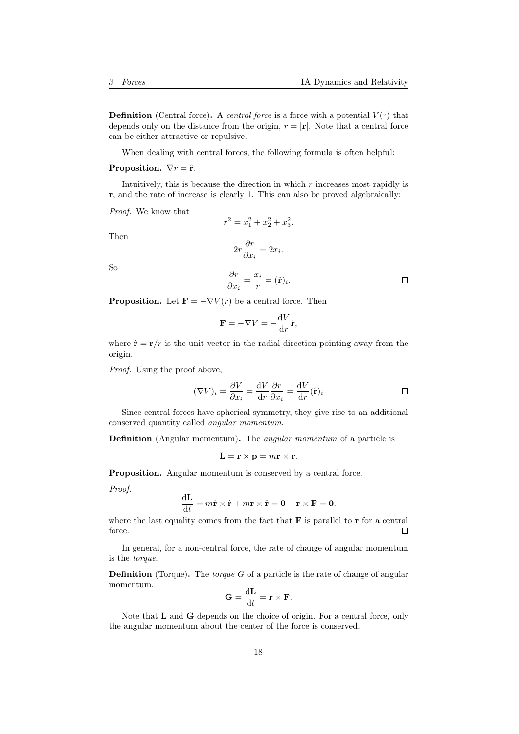**Definition** (Central force). A *central force* is a force with a potential  $V(r)$  that depends only on the distance from the origin,  $r = |\mathbf{r}|$ . Note that a central force can be either attractive or repulsive.

When dealing with central forces, the following formula is often helpful:

#### **Proposition.**  $\nabla r = \hat{\mathbf{r}}$ .

Intuitively, this is because the direction in which  $r$  increases most rapidly is r, and the rate of increase is clearly 1. This can also be proved algebraically:

Proof. We know that

$$
r^2 = x_1^2 + x_2^2 + x_3^2.
$$

Then

So

$$
2r\frac{\partial r}{\partial x_i} = 2x_i.
$$

$$
\frac{\partial r}{\partial x_i} = \frac{x_i}{r} = (\hat{\mathbf{r}})_i.
$$

 $\frac{v_i}{r} = (\hat{\mathbf{r}})_i.$ 

 $\Box$ 

**Proposition.** Let  $\mathbf{F} = -\nabla V(r)$  be a central force. Then

$$
\mathbf{F} = -\nabla V = -\frac{\mathrm{d}V}{\mathrm{d}r}\hat{\mathbf{r}},
$$

where  $\hat{\mathbf{r}} = \mathbf{r}/r$  is the unit vector in the radial direction pointing away from the origin.

Proof. Using the proof above,

$$
(\nabla V)_i = \frac{\partial V}{\partial x_i} = \frac{\mathrm{d}V}{\mathrm{d}r} \frac{\partial r}{\partial x_i} = \frac{\mathrm{d}V}{\mathrm{d}r} (\hat{\mathbf{r}})_i
$$

Since central forces have spherical symmetry, they give rise to an additional conserved quantity called angular momentum.

Definition (Angular momentum). The *angular momentum* of a particle is

$$
\mathbf{L} = \mathbf{r} \times \mathbf{p} = m\mathbf{r} \times \dot{\mathbf{r}}.
$$

Proposition. Angular momentum is conserved by a central force.

Proof.

$$
\frac{\mathrm{d}L}{\mathrm{d}t} = m\dot{\mathbf{r}} \times \dot{\mathbf{r}} + m\mathbf{r} \times \ddot{\mathbf{r}} = \mathbf{0} + \mathbf{r} \times \mathbf{F} = \mathbf{0}.
$$

where the last equality comes from the fact that  $\bf{F}$  is parallel to  $\bf{r}$  for a central force.  $\Box$ 

In general, for a non-central force, the rate of change of angular momentum is the torque.

**Definition** (Torque). The *torque G* of a particle is the rate of change of angular momentum.

$$
\mathbf{G} = \frac{\mathrm{d}\mathbf{L}}{\mathrm{d}t} = \mathbf{r} \times \mathbf{F}.
$$

Note that L and G depends on the choice of origin. For a central force, only the angular momentum about the center of the force is conserved.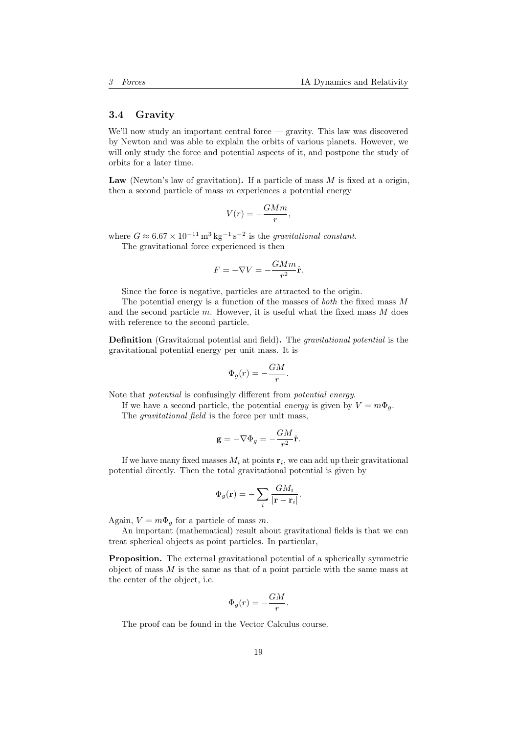## <span id="page-18-0"></span>3.4 Gravity

We'll now study an important central force — gravity. This law was discovered by Newton and was able to explain the orbits of various planets. However, we will only study the force and potential aspects of it, and postpone the study of orbits for a later time.

Law (Newton's law of gravitation). If a particle of mass  $M$  is fixed at a origin, then a second particle of mass  $m$  experiences a potential energy

$$
V(r) = -\frac{GMm}{r},
$$

where  $G \approx 6.67 \times 10^{-11} \,\mathrm{m}^3 \,\mathrm{kg}^{-1} \,\mathrm{s}^{-2}$  is the *gravitational constant*.

The gravitational force experienced is then

$$
F = -\nabla V = -\frac{GMm}{r^2}\hat{\mathbf{r}}.
$$

Since the force is negative, particles are attracted to the origin.

The potential energy is a function of the masses of both the fixed mass M and the second particle  $m$ . However, it is useful what the fixed mass  $M$  does with reference to the second particle.

Definition (Gravitaional potential and field). The gravitational potential is the gravitational potential energy per unit mass. It is

$$
\Phi_g(r) = -\frac{GM}{r}.
$$

Note that potential is confusingly different from potential energy.

If we have a second particle, the potential energy is given by  $V = m\Phi_q$ .

The *gravitational field* is the force per unit mass,

$$
\mathbf{g} = -\nabla \Phi_g = -\frac{GM}{r^2}\hat{\mathbf{r}}.
$$

If we have many fixed masses  $M_i$  at points  $\mathbf{r}_i$ , we can add up their gravitational potential directly. Then the total gravitational potential is given by

$$
\Phi_g(\mathbf{r}) = -\sum_i \frac{GM_i}{|\mathbf{r} - \mathbf{r}_i|}.
$$

Again,  $V = m\Phi_q$  for a particle of mass m.

An important (mathematical) result about gravitational fields is that we can treat spherical objects as point particles. In particular,

Proposition. The external gravitational potential of a spherically symmetric object of mass  $M$  is the same as that of a point particle with the same mass at the center of the object, i.e.

$$
\Phi_g(r) = -\frac{GM}{r}.
$$

The proof can be found in the Vector Calculus course.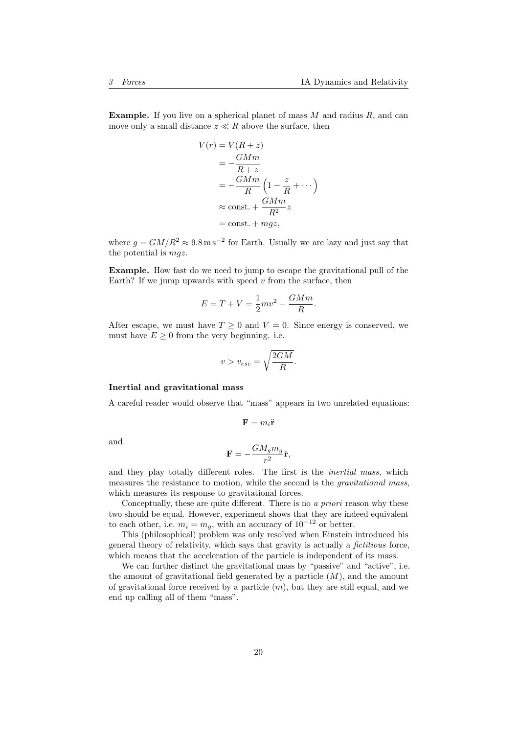**Example.** If you live on a spherical planet of mass  $M$  and radius  $R$ , and can move only a small distance  $z \ll R$  above the surface, then

$$
V(r) = V(R + z)
$$
  
=  $-\frac{GMm}{R + z}$   
=  $-\frac{GMm}{R} \left(1 - \frac{z}{R} + \cdots\right)$   
 $\approx$  const. +  $\frac{GMm}{R^2}z$   
= const. + mgz,

where  $g = GM/R^2 \approx 9.8 \,\mathrm{m\,s^{-2}}$  for Earth. Usually we are lazy and just say that the potential is  $mgz$ .

Example. How fast do we need to jump to escape the gravitational pull of the Earth? If we jump upwards with speed  $v$  from the surface, then

$$
E = T + V = \frac{1}{2}mv^2 - \frac{GMm}{R}.
$$

After escape, we must have  $T \geq 0$  and  $V = 0$ . Since energy is conserved, we must have  $E \geq 0$  from the very beginning. i.e.

$$
v > v_{esc} = \sqrt{\frac{2GM}{R}}.
$$

#### Inertial and gravitational mass

A careful reader would observe that "mass" appears in two unrelated equations:

$$
\mathbf{F}=m_i \ddot{\mathbf{r}}
$$

and

$$
\mathbf{F}=-\frac{GM_{g}m_{g}}{r^{2}}\hat{\mathbf{r}},
$$

and they play totally different roles. The first is the inertial mass, which measures the resistance to motion, while the second is the gravitational mass, which measures its response to gravitational forces.

Conceptually, these are quite different. There is no a *priori* reason why these two should be equal. However, experiment shows that they are indeed equivalent to each other, i.e.  $m_i = m_g$ , with an accuracy of  $10^{-12}$  or better.

This (philosophical) problem was only resolved when Einstein introduced his general theory of relativity, which says that gravity is actually a fictitious force, which means that the acceleration of the particle is independent of its mass.

We can further distinct the gravitational mass by "passive" and "active", i.e. the amount of gravitational field generated by a particle  $(M)$ , and the amount of gravitational force received by a particle  $(m)$ , but they are still equal, and we end up calling all of them "mass".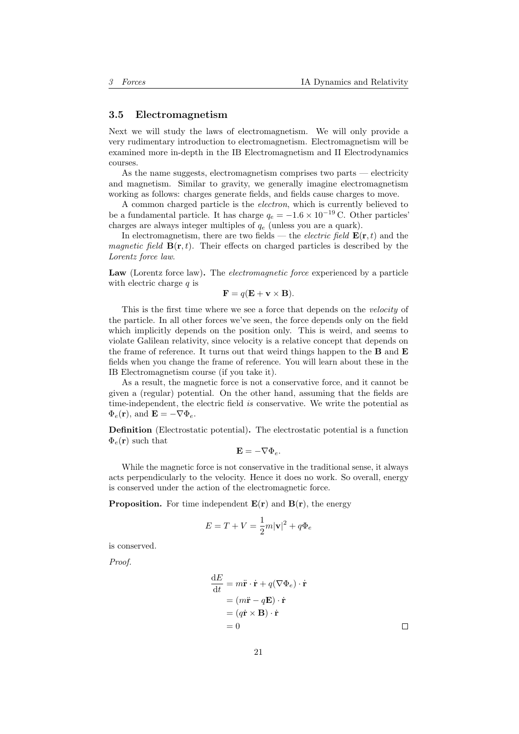#### <span id="page-20-0"></span>3.5 Electromagnetism

Next we will study the laws of electromagnetism. We will only provide a very rudimentary introduction to electromagnetism. Electromagnetism will be examined more in-depth in the IB Electromagnetism and II Electrodynamics courses.

As the name suggests, electromagnetism comprises two parts — electricity and magnetism. Similar to gravity, we generally imagine electromagnetism working as follows: charges generate fields, and fields cause charges to move.

A common charged particle is the electron, which is currently believed to be a fundamental particle. It has charge  $q_e = -1.6 \times 10^{-19}$  C. Other particles' charges are always integer multiples of  $q_e$  (unless you are a quark).

In electromagnetism, there are two fields — the *electric field*  $\mathbf{E}(\mathbf{r},t)$  and the *magnetic field*  $\mathbf{B}(\mathbf{r},t)$ . Their effects on charged particles is described by the Lorentz force law.

Law (Lorentz force law). The *electromagnetic force* experienced by a particle with electric charge  $q$  is

$$
\mathbf{F} = q(\mathbf{E} + \mathbf{v} \times \mathbf{B}).
$$

This is the first time where we see a force that depends on the velocity of the particle. In all other forces we've seen, the force depends only on the field which implicitly depends on the position only. This is weird, and seems to violate Galilean relativity, since velocity is a relative concept that depends on the frame of reference. It turns out that weird things happen to the  $B$  and  $E$ fields when you change the frame of reference. You will learn about these in the IB Electromagnetism course (if you take it).

As a result, the magnetic force is not a conservative force, and it cannot be given a (regular) potential. On the other hand, assuming that the fields are time-independent, the electric field is conservative. We write the potential as  $\Phi_e(\mathbf{r})$ , and  $\mathbf{E} = -\nabla \Phi_e$ .

Definition (Electrostatic potential). The electrostatic potential is a function  $\Phi_e(\mathbf{r})$  such that

$$
\mathbf{E}=-\nabla \Phi_e.
$$

While the magnetic force is not conservative in the traditional sense, it always acts perpendicularly to the velocity. Hence it does no work. So overall, energy is conserved under the action of the electromagnetic force.

**Proposition.** For time independent  $E(r)$  and  $B(r)$ , the energy

$$
E = T + V = \frac{1}{2}m|\mathbf{v}|^2 + q\Phi_e
$$

is conserved.

Proof.

$$
\frac{dE}{dt} = m\ddot{\mathbf{r}} \cdot \dot{\mathbf{r}} + q(\nabla \Phi_e) \cdot \dot{\mathbf{r}}
$$
  
=  $(m\ddot{\mathbf{r}} - q\mathbf{E}) \cdot \dot{\mathbf{r}}$   
=  $(q\dot{\mathbf{r}} \times \mathbf{B}) \cdot \dot{\mathbf{r}}$   
= 0

 $\Box$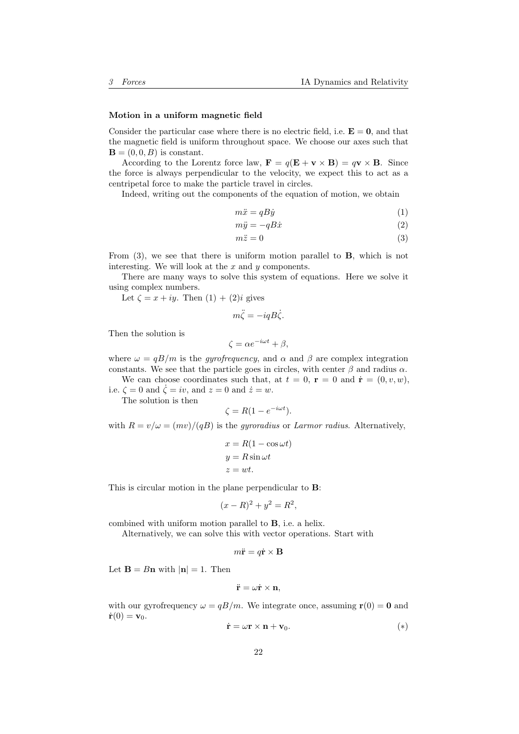#### Motion in a uniform magnetic field

Consider the particular case where there is no electric field, i.e.  $\mathbf{E} = \mathbf{0}$ , and that the magnetic field is uniform throughout space. We choose our axes such that  $\mathbf{B} = (0, 0, B)$  is constant.

According to the Lorentz force law,  $\mathbf{F} = q(\mathbf{E} + \mathbf{v} \times \mathbf{B}) = q\mathbf{v} \times \mathbf{B}$ . Since the force is always perpendicular to the velocity, we expect this to act as a centripetal force to make the particle travel in circles.

Indeed, writing out the components of the equation of motion, we obtain

$$
m\ddot{x} = qB\dot{y} \tag{1}
$$

$$
m\ddot{y} = -qB\dot{x} \tag{2}
$$

$$
m\ddot{z} = 0\tag{3}
$$

From (3), we see that there is uniform motion parallel to B, which is not interesting. We will look at the  $x$  and  $y$  components.

There are many ways to solve this system of equations. Here we solve it using complex numbers.

Let  $\zeta = x + iy$ . Then  $(1) + (2)i$  gives

$$
m\ddot{\zeta} = -iqB\dot{\zeta}.
$$

Then the solution is

$$
\zeta = \alpha e^{-i\omega t} + \beta,
$$

where  $\omega = qB/m$  is the *gyrofrequency*, and  $\alpha$  and  $\beta$  are complex integration constants. We see that the particle goes in circles, with center  $\beta$  and radius  $\alpha$ .

We can choose coordinates such that, at  $t = 0$ ,  $\mathbf{r} = 0$  and  $\dot{\mathbf{r}} = (0, v, w)$ , i.e.  $\zeta = 0$  and  $\dot{\zeta} = iv$ , and  $z = 0$  and  $\dot{z} = w$ .

The solution is then

$$
\zeta = R(1 - e^{-i\omega t}).
$$

with  $R = v/\omega = (mv)/(qB)$  is the gyroradius or Larmor radius. Alternatively,

$$
x = R(1 - \cos \omega t)
$$

$$
y = R \sin \omega t
$$

$$
z = wt.
$$

This is circular motion in the plane perpendicular to B:

$$
(x - R)^2 + y^2 = R^2,
$$

combined with uniform motion parallel to B, i.e. a helix.

Alternatively, we can solve this with vector operations. Start with

$$
m\ddot{\mathbf{r}} = q\dot{\mathbf{r}} \times \mathbf{B}
$$

Let  $\mathbf{B} = B\mathbf{n}$  with  $|\mathbf{n}| = 1$ . Then

$$
\ddot{\mathbf{r}} = \omega \dot{\mathbf{r}} \times \mathbf{n},
$$

with our gyrofrequency  $\omega = qB/m$ . We integrate once, assuming  $r(0) = 0$  and  $\dot{\mathbf{r}}(0) = \mathbf{v}_0.$ 

$$
\dot{\mathbf{r}} = \omega \mathbf{r} \times \mathbf{n} + \mathbf{v}_0. \tag{*}
$$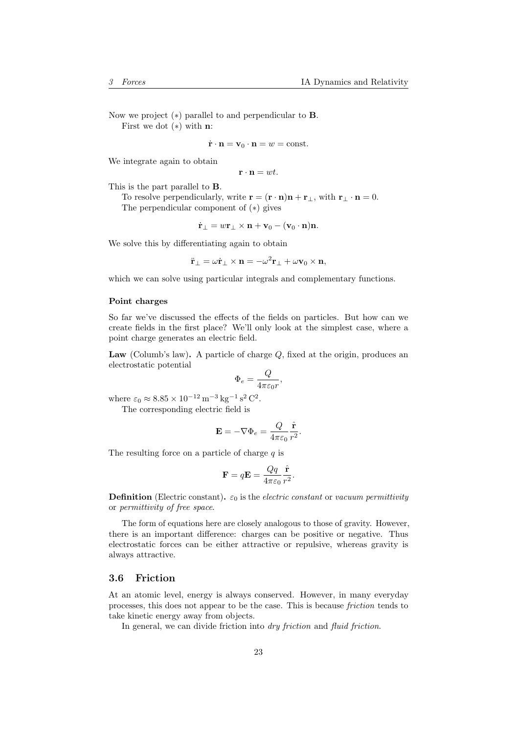Now we project (∗) parallel to and perpendicular to B. First we dot  $(*)$  with **n**:

$$
\dot{\mathbf{r}} \cdot \mathbf{n} = \mathbf{v}_0 \cdot \mathbf{n} = w = \text{const.}
$$

We integrate again to obtain

$$
\mathbf{r} \cdot \mathbf{n} = wt.
$$

This is the part parallel to B.

To resolve perpendicularly, write  $\mathbf{r} = (\mathbf{r} \cdot \mathbf{n})\mathbf{n} + \mathbf{r}_{\perp}$ , with  $\mathbf{r}_{\perp} \cdot \mathbf{n} = 0$ . The perpendicular component of (∗) gives

$$
\dot{\mathbf{r}}_{\perp} = w\mathbf{r}_{\perp} \times \mathbf{n} + \mathbf{v}_0 - (\mathbf{v}_0 \cdot \mathbf{n})\mathbf{n}.
$$

We solve this by differentiating again to obtain

$$
\ddot{\mathbf{r}}_{\perp} = \omega \dot{\mathbf{r}}_{\perp} \times \mathbf{n} = -\omega^2 \mathbf{r}_{\perp} + \omega \mathbf{v}_0 \times \mathbf{n},
$$

which we can solve using particular integrals and complementary functions.

## Point charges

So far we've discussed the effects of the fields on particles. But how can we create fields in the first place? We'll only look at the simplest case, where a point charge generates an electric field.

Law (Columb's law). A particle of charge  $Q$ , fixed at the origin, produces an electrostatic potential

$$
\Phi_e=\frac{Q}{4\pi\varepsilon_0 r},
$$

where  $\varepsilon_0 \approx 8.85 \times 10^{-12} \,\mathrm{m}^{-3} \,\mathrm{kg}^{-1} \,\mathrm{s}^2 \,\mathrm{C}^2$ .

The corresponding electric field is

$$
\mathbf{E} = -\nabla \Phi_e = \frac{Q}{4\pi\varepsilon_0} \frac{\hat{\mathbf{r}}}{r^2}.
$$

The resulting force on a particle of charge  $q$  is

$$
\mathbf{F} = q\mathbf{E} = \frac{Qq}{4\pi\varepsilon_0} \frac{\hat{\mathbf{r}}}{r^2}.
$$

**Definition** (Electric constant).  $\varepsilon_0$  is the *electric constant* or vacuum permittivity or permittivity of free space.

The form of equations here are closely analogous to those of gravity. However, there is an important difference: charges can be positive or negative. Thus electrostatic forces can be either attractive or repulsive, whereas gravity is always attractive.

## <span id="page-22-0"></span>3.6 Friction

At an atomic level, energy is always conserved. However, in many everyday processes, this does not appear to be the case. This is because friction tends to take kinetic energy away from objects.

In general, we can divide friction into *dry friction* and *fluid friction*.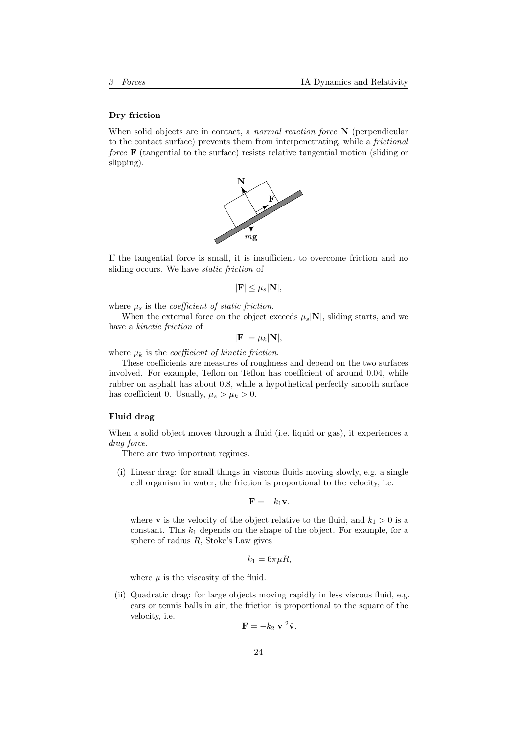#### Dry friction

When solid objects are in contact, a *normal reaction force*  $N$  (perpendicular to the contact surface) prevents them from interpenetrating, while a frictional force **F** (tangential to the surface) resists relative tangential motion (sliding or slipping).



If the tangential force is small, it is insufficient to overcome friction and no sliding occurs. We have static friction of

$$
|\mathbf{F}| \leq \mu_s |\mathbf{N}|,
$$

where  $\mu_s$  is the *coefficient of static friction*.

When the external force on the object exceeds  $\mu_s|\mathbf{N}|$ , sliding starts, and we have a kinetic friction of

$$
|\mathbf{F}| = \mu_k |\mathbf{N}|,
$$

where  $\mu_k$  is the *coefficient of kinetic friction*.

These coefficients are measures of roughness and depend on the two surfaces involved. For example, Teflon on Teflon has coefficient of around 0.04, while rubber on asphalt has about 0.8, while a hypothetical perfectly smooth surface has coefficient 0. Usually,  $\mu_s > \mu_k > 0$ .

#### Fluid drag

When a solid object moves through a fluid (i.e. liquid or gas), it experiences a drag force.

There are two important regimes.

(i) Linear drag: for small things in viscous fluids moving slowly, e.g. a single cell organism in water, the friction is proportional to the velocity, i.e.

$$
\mathbf{F}=-k_1\mathbf{v}.
$$

where **v** is the velocity of the object relative to the fluid, and  $k_1 > 0$  is a constant. This  $k_1$  depends on the shape of the object. For example, for a sphere of radius  $R$ , Stoke's Law gives

$$
k_1 = 6\pi\mu R,
$$

where  $\mu$  is the viscosity of the fluid.

(ii) Quadratic drag: for large objects moving rapidly in less viscous fluid, e.g. cars or tennis balls in air, the friction is proportional to the square of the velocity, i.e.

$$
\mathbf{F} = -k_2 |\mathbf{v}|^2 \hat{\mathbf{v}}.
$$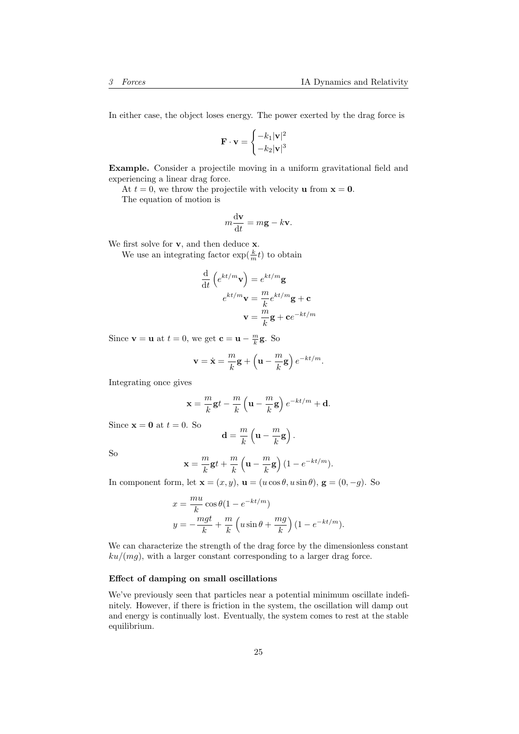In either case, the object loses energy. The power exerted by the drag force is

$$
\mathbf{F} \cdot \mathbf{v} = \begin{cases} -k_1 |\mathbf{v}|^2 \\ -k_2 |\mathbf{v}|^3 \end{cases}
$$

Example. Consider a projectile moving in a uniform gravitational field and experiencing a linear drag force.

At  $t = 0$ , we throw the projectile with velocity **u** from  $x = 0$ . The equation of motion is

$$
m\frac{\mathrm{d}\mathbf{v}}{\mathrm{d}t} = m\mathbf{g} - k\mathbf{v}.
$$

We first solve for **v**, and then deduce **x**.

We use an integrating factor  $\exp(\frac{k}{m}t)$  to obtain

$$
\frac{\mathrm{d}}{\mathrm{d}t} \left( e^{kt/m} \mathbf{v} \right) = e^{kt/m} \mathbf{g}
$$
\n
$$
e^{kt/m} \mathbf{v} = \frac{m}{k} e^{kt/m} \mathbf{g} + \mathbf{c}
$$
\n
$$
\mathbf{v} = \frac{m}{k} \mathbf{g} + \mathbf{c} e^{-kt/m}
$$

Since **v** = **u** at  $t = 0$ , we get **c** = **u** -  $\frac{m}{k}$ **g**. So

$$
\mathbf{v} = \dot{\mathbf{x}} = \frac{m}{k}\mathbf{g} + \left(\mathbf{u} - \frac{m}{k}\mathbf{g}\right)e^{-kt/m}.
$$

Integrating once gives

$$
\mathbf{x} = \frac{m}{k}\mathbf{g}t - \frac{m}{k}\left(\mathbf{u} - \frac{m}{k}\mathbf{g}\right)e^{-kt/m} + \mathbf{d}.
$$

Since  $\mathbf{x} = \mathbf{0}$  at  $t = 0$ . So

$$
\mathbf{d} = \frac{m}{k} \left( \mathbf{u} - \frac{m}{k} \mathbf{g} \right).
$$

So

$$
\mathbf{x} = \frac{m}{k}\mathbf{g}t + \frac{m}{k}\left(\mathbf{u} - \frac{m}{k}\mathbf{g}\right)(1 - e^{-kt/m}).
$$

In component form, let  $\mathbf{x} = (x, y)$ ,  $\mathbf{u} = (u \cos \theta, u \sin \theta)$ ,  $\mathbf{g} = (0, -g)$ . So

$$
x = \frac{mu}{k} \cos \theta (1 - e^{-kt/m})
$$
  

$$
y = -\frac{mgt}{k} + \frac{m}{k} \left( u \sin \theta + \frac{mg}{k} \right) (1 - e^{-kt/m}).
$$

We can characterize the strength of the drag force by the dimensionless constant  $ku/(mg)$ , with a larger constant corresponding to a larger drag force.

#### Effect of damping on small oscillations

We've previously seen that particles near a potential minimum oscillate indefinitely. However, if there is friction in the system, the oscillation will damp out and energy is continually lost. Eventually, the system comes to rest at the stable equilibrium.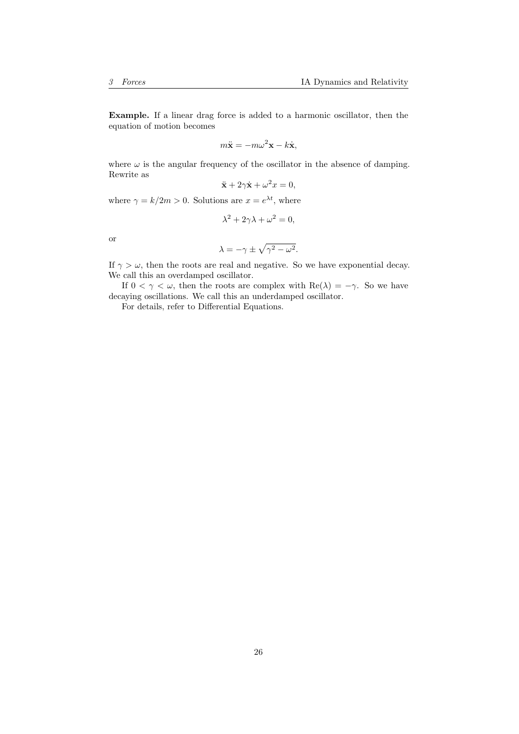Example. If a linear drag force is added to a harmonic oscillator, then the equation of motion becomes

$$
m\ddot{\mathbf{x}} = -m\omega^2 \mathbf{x} - k\dot{\mathbf{x}},
$$

where  $\omega$  is the angular frequency of the oscillator in the absence of damping. Rewrite as

$$
\ddot{\mathbf{x}} + 2\gamma \dot{\mathbf{x}} + \omega^2 x = 0,
$$

where  $\gamma = k/2m > 0$ . Solutions are  $x = e^{\lambda t}$ , where

$$
\lambda^2 + 2\gamma\lambda + \omega^2 = 0,
$$

or

$$
\lambda = -\gamma \pm \sqrt{\gamma^2 - \omega^2}.
$$

If  $\gamma > \omega$ , then the roots are real and negative. So we have exponential decay. We call this an overdamped oscillator.

If  $0 < \gamma < \omega$ , then the roots are complex with  $\text{Re}(\lambda) = -\gamma$ . So we have decaying oscillations. We call this an underdamped oscillator.

For details, refer to Differential Equations.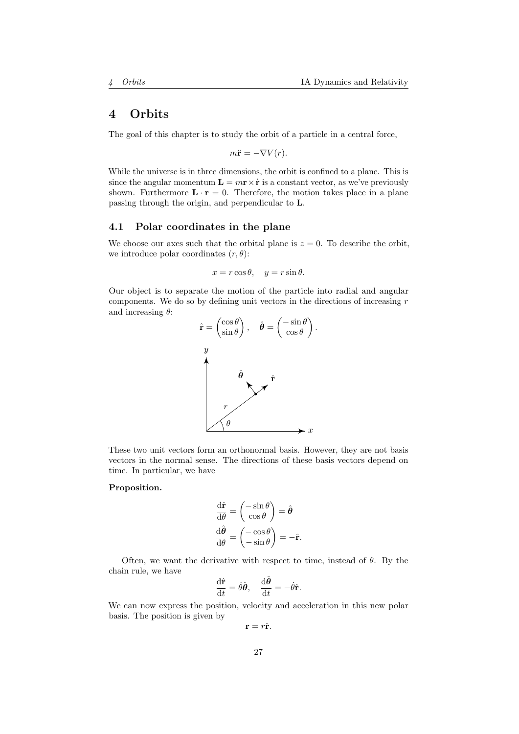# <span id="page-26-0"></span>4 Orbits

The goal of this chapter is to study the orbit of a particle in a central force,

$$
m\ddot{\mathbf{r}} = -\nabla V(r).
$$

While the universe is in three dimensions, the orbit is confined to a plane. This is since the angular momentum  $\mathbf{L} = m\mathbf{r} \times \dot{\mathbf{r}}$  is a constant vector, as we've previously shown. Furthermore  $\mathbf{L} \cdot \mathbf{r} = 0$ . Therefore, the motion takes place in a plane passing through the origin, and perpendicular to L.

## <span id="page-26-1"></span>4.1 Polar coordinates in the plane

We choose our axes such that the orbital plane is  $z = 0$ . To describe the orbit, we introduce polar coordinates  $(r, \theta)$ :

$$
x = r \cos \theta, \quad y = r \sin \theta.
$$

Our object is to separate the motion of the particle into radial and angular components. We do so by defining unit vectors in the directions of increasing  $r$ and increasing  $\theta$ :



These two unit vectors form an orthonormal basis. However, they are not basis vectors in the normal sense. The directions of these basis vectors depend on time. In particular, we have

#### Proposition.

$$
\frac{\mathrm{d}\hat{\mathbf{r}}}{\mathrm{d}\theta} = \begin{pmatrix} -\sin\theta \\ \cos\theta \end{pmatrix} = \hat{\boldsymbol{\theta}}
$$

$$
\frac{\mathrm{d}\hat{\boldsymbol{\theta}}}{\mathrm{d}\theta} = \begin{pmatrix} -\cos\theta \\ -\sin\theta \end{pmatrix} = -\hat{\mathbf{r}}.
$$

Often, we want the derivative with respect to time, instead of  $\theta$ . By the chain rule, we have

$$
\frac{\mathrm{d}\hat{\mathbf{r}}}{\mathrm{d}t} = \dot{\theta}\hat{\boldsymbol{\theta}}, \quad \frac{\mathrm{d}\hat{\boldsymbol{\theta}}}{\mathrm{d}t} = -\dot{\theta}\hat{\mathbf{r}}.
$$

We can now express the position, velocity and acceleration in this new polar basis. The position is given by

$$
\mathbf{r}=r\hat{\mathbf{r}}.
$$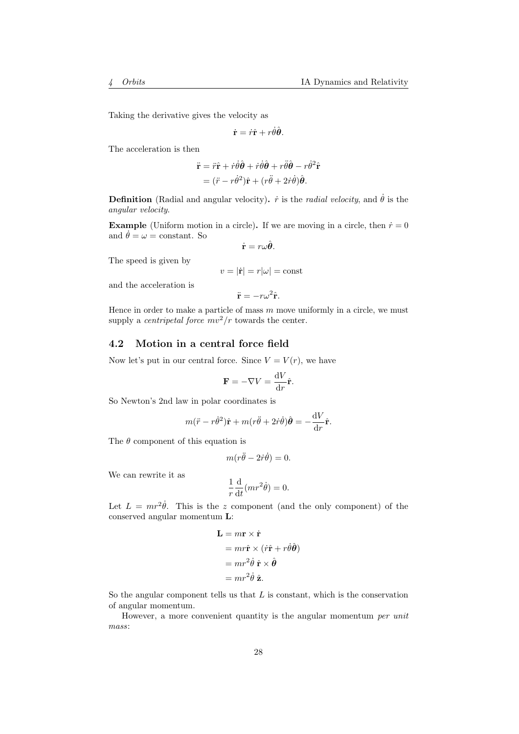Taking the derivative gives the velocity as

$$
\dot{\mathbf{r}} = \dot{r}\hat{\mathbf{r}} + r\dot{\theta}\hat{\boldsymbol{\theta}}.
$$

The acceleration is then

$$
\ddot{\mathbf{r}} = \ddot{r}\hat{\mathbf{r}} + \dot{r}\dot{\theta}\hat{\boldsymbol{\theta}} + \dot{r}\dot{\theta}\hat{\boldsymbol{\theta}} + r\ddot{\theta}\hat{\boldsymbol{\theta}} - r\dot{\theta}^{2}\hat{\mathbf{r}}
$$

$$
= (\ddot{r} - r\dot{\theta}^{2})\hat{\mathbf{r}} + (r\ddot{\theta} + 2\dot{r}\dot{\theta})\hat{\boldsymbol{\theta}}.
$$

**Definition** (Radial and angular velocity).  $\dot{r}$  is the *radial velocity*, and  $\dot{\theta}$  is the angular velocity.

**Example** (Uniform motion in a circle). If we are moving in a circle, then  $\dot{r} = 0$ and  $\dot{\theta} = \omega = constant$ . So

$$
\dot{\mathbf{r}}=r\omega\hat{\boldsymbol{\theta}}.
$$

The speed is given by

$$
v = |\dot{\mathbf{r}}| = r|\omega| = \text{const}
$$

and the acceleration is

$$
\ddot{\mathbf{r}} = -r\omega^2 \hat{\mathbf{r}}.
$$

Hence in order to make a particle of mass  $m$  move uniformly in a circle, we must supply a *centripetal force*  $mv^2/r$  towards the center.

## <span id="page-27-0"></span>4.2 Motion in a central force field

Now let's put in our central force. Since  $V = V(r)$ , we have

$$
\mathbf{F} = -\nabla V = \frac{\mathrm{d}V}{\mathrm{d}r}\hat{\mathbf{r}}.
$$

So Newton's 2nd law in polar coordinates is

$$
m(\ddot{r} - r\dot{\theta}^2)\hat{\mathbf{r}} + m(r\ddot{\theta} + 2\dot{r}\dot{\theta})\hat{\theta} = -\frac{\mathrm{d}V}{\mathrm{d}r}\hat{\mathbf{r}}.
$$

The  $\theta$  component of this equation is

$$
m(r\ddot{\theta} - 2\dot{r}\dot{\theta}) = 0.
$$

We can rewrite it as

$$
\frac{1}{r}\frac{\mathrm{d}}{\mathrm{d}t}(mr^2\dot{\theta}) = 0.
$$

Let  $L = mr^2\dot{\theta}$ . This is the z component (and the only component) of the conserved angular momentum L:

$$
\mathbf{L} = m\mathbf{r} \times \dot{\mathbf{r}}
$$
  
=  $mr\hat{\mathbf{r}} \times (r\hat{\mathbf{r}} + r\dot{\theta}\hat{\boldsymbol{\theta}})$   
=  $mr^2\dot{\theta}\hat{\mathbf{r}} \times \hat{\boldsymbol{\theta}}$   
=  $mr^2\dot{\theta}\hat{\mathbf{z}}$ .

So the angular component tells us that  $L$  is constant, which is the conservation of angular momentum.

However, a more convenient quantity is the angular momentum per unit mass: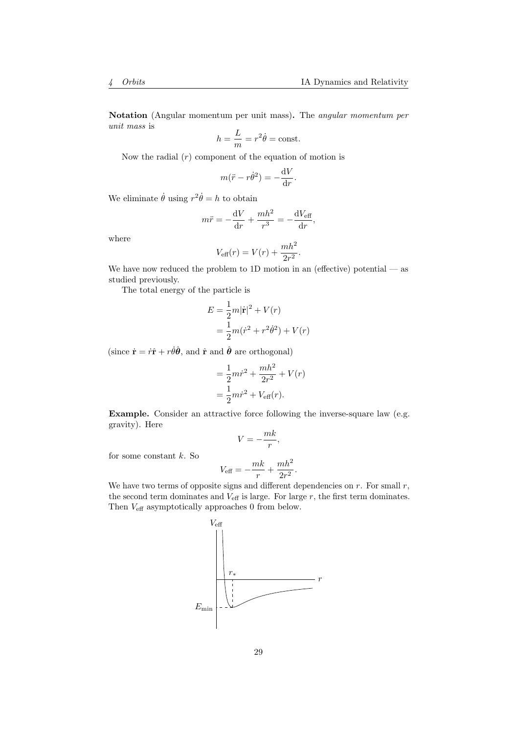Notation (Angular momentum per unit mass). The angular momentum per unit mass is

$$
h = \frac{L}{m} = r^2 \dot{\theta} = \text{const.}
$$

Now the radial  $(r)$  component of the equation of motion is

$$
m(\ddot{r} - r\dot{\theta}^2) = -\frac{\mathrm{d}V}{\mathrm{d}r}.
$$

We eliminate  $\dot{\theta}$  using  $r^2\dot{\theta} = h$  to obtain

$$
m\ddot{r} = -\frac{\mathrm{d}V}{\mathrm{d}r} + \frac{mh^2}{r^3} = -\frac{\mathrm{d}V_{\text{eff}}}{\mathrm{d}r},
$$

where

$$
V_{\text{eff}}(r) = V(r) + \frac{mh^2}{2r^2}.
$$

We have now reduced the problem to 1D motion in an (effective) potential  $-$  as studied previously.

The total energy of the particle is

$$
E = \frac{1}{2}m|\dot{\mathbf{r}}|^2 + V(r)
$$
  
=  $\frac{1}{2}m(\dot{r}^2 + r^2\dot{\theta}^2) + V(r)$ 

(since  $\dot{\mathbf{r}} = \dot{r}\hat{\mathbf{r}} + r\dot{\theta}\hat{\boldsymbol{\theta}}$ , and  $\hat{\mathbf{r}}$  and  $\hat{\boldsymbol{\theta}}$  are orthogonal)

$$
= \frac{1}{2}m\dot{r}^2 + \frac{mh^2}{2r^2} + V(r)
$$

$$
= \frac{1}{2}m\dot{r}^2 + V_{\text{eff}}(r).
$$

Example. Consider an attractive force following the inverse-square law (e.g. gravity). Here

$$
V=-\frac{mk}{r},
$$

for some constant  $k$ . So

$$
V_{\text{eff}} = -\frac{mk}{r} + \frac{mh^2}{2r^2}.
$$

We have two terms of opposite signs and different dependencies on  $r$ . For small  $r$ , the second term dominates and  $V_{\text{eff}}$  is large. For large  $r$ , the first term dominates. Then  $V_{\rm eff}$  asymptotically approaches 0 from below.

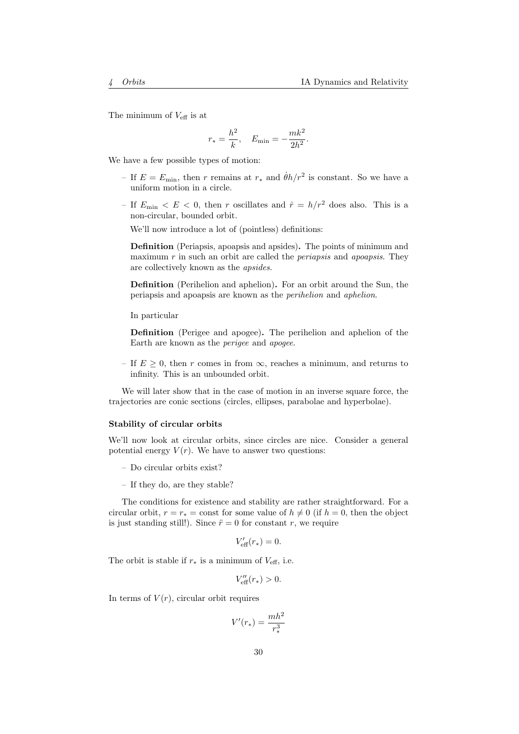The minimum of  $V_{\text{eff}}$  is at

$$
r_* = \frac{h^2}{k}
$$
,  $E_{\min} = -\frac{mk^2}{2h^2}$ .

We have a few possible types of motion:

- If  $E = E_{\text{min}}$ , then r remains at  $r_*$  and  $\dot{\theta}h/r^2$  is constant. So we have a uniform motion in a circle.
- If  $E_{\text{min}} < E < 0$ , then r oscillates and  $\dot{r} = h/r^2$  does also. This is a non-circular, bounded orbit.

We'll now introduce a lot of (pointless) definitions:

Definition (Periapsis, apoapsis and apsides). The points of minimum and maximum r in such an orbit are called the *periapsis* and *apoapsis*. They are collectively known as the apsides.

Definition (Perihelion and aphelion). For an orbit around the Sun, the periapsis and apoapsis are known as the perihelion and aphelion.

In particular

Definition (Perigee and apogee). The perihelion and aphelion of the Earth are known as the perigee and apogee.

– If  $E \geq 0$ , then r comes in from  $\infty$ , reaches a minimum, and returns to infinity. This is an unbounded orbit.

We will later show that in the case of motion in an inverse square force, the trajectories are conic sections (circles, ellipses, parabolae and hyperbolae).

#### Stability of circular orbits

We'll now look at circular orbits, since circles are nice. Consider a general potential energy  $V(r)$ . We have to answer two questions:

- Do circular orbits exist?
- If they do, are they stable?

The conditions for existence and stability are rather straightforward. For a circular orbit,  $r = r_* = \text{const}$  for some value of  $h \neq 0$  (if  $h = 0$ , then the object is just standing still!). Since  $\ddot{r} = 0$  for constant r, we require

$$
V'_{\text{eff}}(r_*) = 0.
$$

The orbit is stable if  $r_*$  is a minimum of  $V_{\text{eff}}$ , i.e.

$$
V_{\text{eff}}^{\prime \prime}(r_{*})>0.
$$

In terms of  $V(r)$ , circular orbit requires

$$
V'(r_*)=\frac{mh^2}{r_*^3}
$$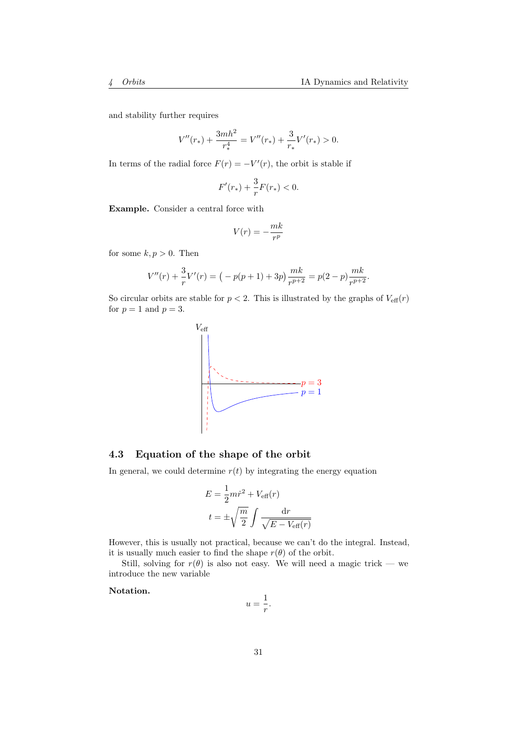and stability further requires

$$
V''(r_{*}) + \frac{3mh^{2}}{r_{*}^{4}} = V''(r_{*}) + \frac{3}{r_{*}}V'(r_{*}) > 0.
$$

In terms of the radial force  $F(r) = -V'(r)$ , the orbit is stable if

$$
F'(r_*) + \frac{3}{r}F(r_*) < 0.
$$

Example. Consider a central force with

$$
V(r) = -\frac{mk}{r^p}
$$

for some  $k, p > 0$ . Then

$$
V''(r) + \frac{3}{r}V'(r) = (-p(p+1) + 3p)\frac{mk}{r^{p+2}} = p(2-p)\frac{mk}{r^{p+2}}.
$$

So circular orbits are stable for  $p < 2$ . This is illustrated by the graphs of  $V_{\text{eff}}(r)$ for  $p = 1$  and  $p = 3$ .



## <span id="page-30-0"></span>4.3 Equation of the shape of the orbit

In general, we could determine  $r(t)$  by integrating the energy equation

$$
E = \frac{1}{2} m \dot{r}^2 + V_{\text{eff}}(r)
$$

$$
t = \pm \sqrt{\frac{m}{2}} \int \frac{\text{d}r}{\sqrt{E - V_{\text{eff}}(r)}}
$$

However, this is usually not practical, because we can't do the integral. Instead, it is usually much easier to find the shape  $r(\theta)$  of the orbit.

Still, solving for  $r(\theta)$  is also not easy. We will need a magic trick — we introduce the new variable

Notation.

$$
u = \frac{1}{r}.
$$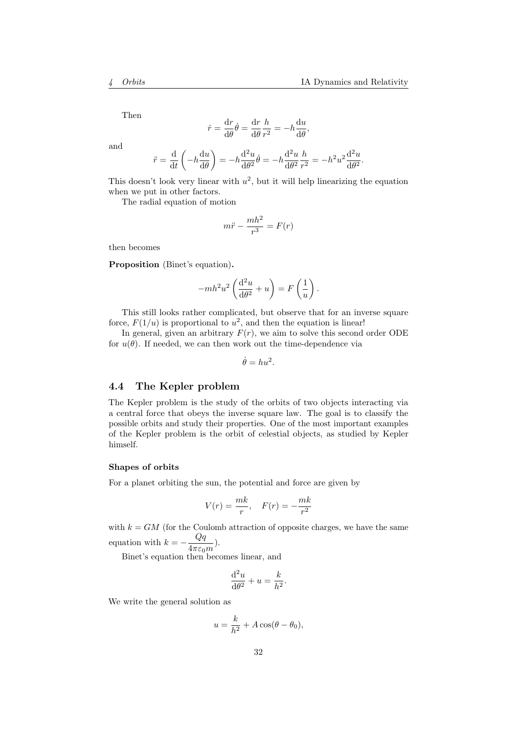Then

$$
\dot{r} = \frac{\mathrm{d}r}{\mathrm{d}\theta}\dot{\theta} = \frac{\mathrm{d}r}{\mathrm{d}\theta}\frac{h}{r^2} = -h\frac{\mathrm{d}u}{\mathrm{d}\theta},
$$

and

$$
\ddot{r} = \frac{\mathrm{d}}{\mathrm{d}t} \left( -h \frac{\mathrm{d}u}{\mathrm{d}\theta} \right) = -h \frac{\mathrm{d}^2 u}{\mathrm{d}\theta^2} \dot{\theta} = -h \frac{\mathrm{d}^2 u}{\mathrm{d}\theta^2} \frac{h}{r^2} = -h^2 u^2 \frac{\mathrm{d}^2 u}{\mathrm{d}\theta^2}.
$$

This doesn't look very linear with  $u^2$ , but it will help linearizing the equation when we put in other factors.

The radial equation of motion

$$
m\ddot{r} - \frac{mh^2}{r^3} = F(r)
$$

then becomes

Proposition (Binet's equation).

$$
-mh^2u^2\left(\frac{\mathrm{d}^2u}{\mathrm{d}\theta^2}+u\right)=F\left(\frac{1}{u}\right).
$$

This still looks rather complicated, but observe that for an inverse square force,  $F(1/u)$  is proportional to  $u^2$ , and then the equation is linear!

In general, given an arbitrary  $F(r)$ , we aim to solve this second order ODE for  $u(\theta)$ . If needed, we can then work out the time-dependence via

 $\dot{\theta} = hu^2$ .

## <span id="page-31-0"></span>4.4 The Kepler problem

The Kepler problem is the study of the orbits of two objects interacting via a central force that obeys the inverse square law. The goal is to classify the possible orbits and study their properties. One of the most important examples of the Kepler problem is the orbit of celestial objects, as studied by Kepler himself.

#### Shapes of orbits

For a planet orbiting the sun, the potential and force are given by

$$
V(r) = \frac{mk}{r}, \quad F(r) = -\frac{mk}{r^2}
$$

with  $k = GM$  (for the Coulomb attraction of opposite charges, we have the same equation with  $k = -\frac{Qq}{4}$  $\frac{q}{4\pi\varepsilon_0 m}$ ).

Binet's equation then becomes linear, and

$$
\frac{\mathrm{d}^2 u}{\mathrm{d}\theta^2} + u = \frac{k}{h^2}.
$$

We write the general solution as

$$
u=\frac{k}{h^2}+A\cos(\theta-\theta_0),
$$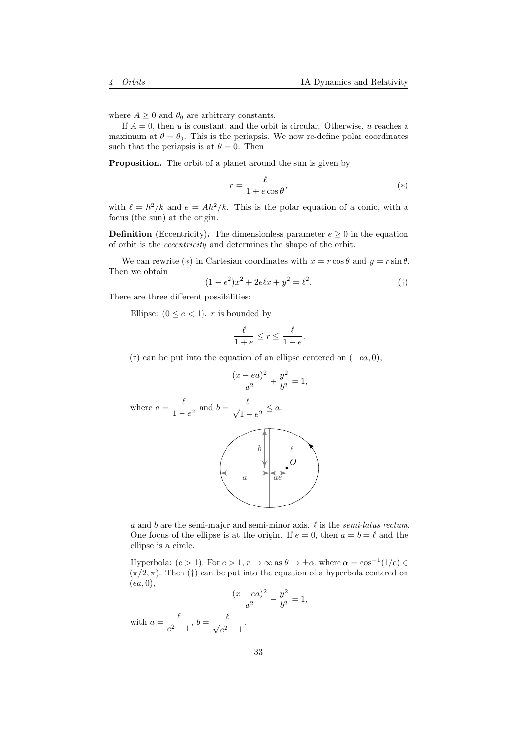where  $A \geq 0$  and  $\theta_0$  are arbitrary constants.

If  $A = 0$ , then u is constant, and the orbit is circular. Otherwise, u reaches a maximum at  $\theta = \theta_0$ . This is the periapsis. We now re-define polar coordinates such that the periapsis is at  $\theta = 0$ . Then

Proposition. The orbit of a planet around the sun is given by

$$
r = \frac{\ell}{1 + e \cos \theta},\tag{*}
$$

with  $\ell = h^2/k$  and  $e = Ah^2/k$ . This is the polar equation of a conic, with a focus (the sun) at the origin.

**Definition** (Eccentricity). The dimensionless parameter  $e > 0$  in the equation of orbit is the eccentricity and determines the shape of the orbit.

We can rewrite (\*) in Cartesian coordinates with  $x = r \cos \theta$  and  $y = r \sin \theta$ . Then we obtain

$$
(1 - e2)x2 + 2e\ell x + y2 = \ell2.
$$
 (†)

There are three different possibilities:

– Ellipse:  $(0 \le e < 1)$ . *r* is bounded by

$$
\frac{\ell}{1+e} \le r \le \frac{\ell}{1-e}.
$$

(†) can be put into the equation of an ellipse centered on  $(-ea, 0)$ ,

$$
\frac{(x+ea)^2}{a^2} + \frac{y^2}{b^2} = 1,
$$

where 
$$
a = \frac{\ell}{1 - e^2}
$$
 and  $b = \frac{\ell}{\sqrt{1 - e^2}} \le a$ .



a and b are the semi-major and semi-minor axis.  $\ell$  is the semi-latus rectum. One focus of the ellipse is at the origin. If  $e = 0$ , then  $a = b = \ell$  and the ellipse is a circle.

– Hyperbola:  $(e > 1)$ . For  $e > 1$ ,  $r \to \infty$  as  $\theta \to \pm \alpha$ , where  $\alpha = \cos^{-1}(1/e) \in$  $(\pi/2, \pi)$ . Then (†) can be put into the equation of a hyperbola centered on  $(ea, 0),$ 

$$
\frac{(x - ea)^2}{a^2} - \frac{y^2}{b^2} = 1,
$$

with  $a=\frac{\ell}{2}$  $\frac{\ell}{e^2-1}, b=\frac{\ell}{\sqrt{e^2}}$  $\frac{c}{e^2-1}$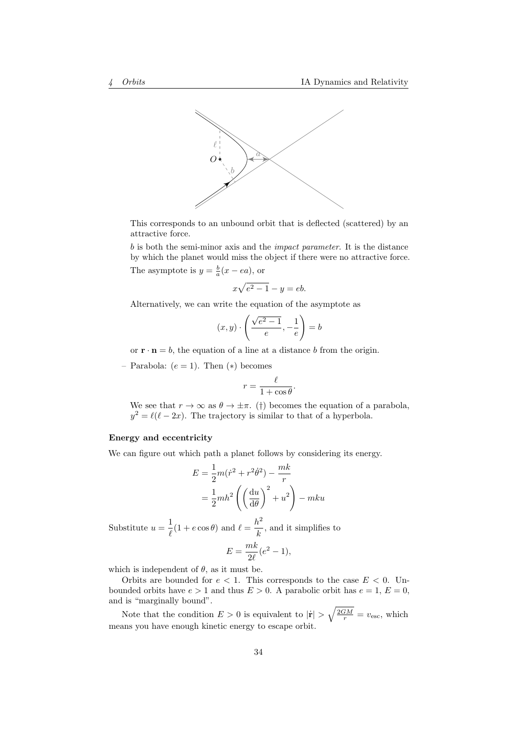

This corresponds to an unbound orbit that is deflected (scattered) by an attractive force.

b is both the semi-minor axis and the impact parameter. It is the distance by which the planet would miss the object if there were no attractive force. The asymptote is  $y = \frac{b}{a}(x - ea)$ , or

$$
x\sqrt{e^2 - 1} - y = eb.
$$

Alternatively, we can write the equation of the asymptote as

$$
(x,y)\cdot \left(\frac{\sqrt{e^2-1}}{e},-\frac{1}{e}\right)=b
$$

or  $\mathbf{r} \cdot \mathbf{n} = b$ , the equation of a line at a distance b from the origin.

– Parabola:  $(e = 1)$ . Then  $(*)$  becomes

$$
r = \frac{\ell}{1 + \cos \theta}.
$$

We see that  $r \to \infty$  as  $\theta \to \pm \pi$ . (†) becomes the equation of a parabola,  $y^2 = \ell(\ell - 2x)$ . The trajectory is similar to that of a hyperbola.

#### Energy and eccentricity

We can figure out which path a planet follows by considering its energy.

$$
E = \frac{1}{2}m(\dot{r}^2 + r^2\dot{\theta}^2) - \frac{mk}{r}
$$

$$
= \frac{1}{2}mh^2 \left( \left(\frac{du}{d\theta}\right)^2 + u^2 \right) - mku
$$

Substitute  $u=\frac{1}{a}$  $\frac{1}{\ell}(1 + e \cos \theta)$  and  $\ell = \frac{h^2}{k}$  $\frac{c}{k}$ , and it simplifies to

$$
E = \frac{mk}{2\ell}(e^2 - 1),
$$

which is independent of  $\theta$ , as it must be.

Orbits are bounded for  $e < 1$ . This corresponds to the case  $E < 0$ . Unbounded orbits have  $e > 1$  and thus  $E > 0$ . A parabolic orbit has  $e = 1, E = 0$ , and is "marginally bound".

Note that the condition  $E > 0$  is equivalent to  $|\dot{\mathbf{r}}| > \sqrt{\frac{2GM}{r}} = v_{\text{esc}}$ , which means you have enough kinetic energy to escape orbit.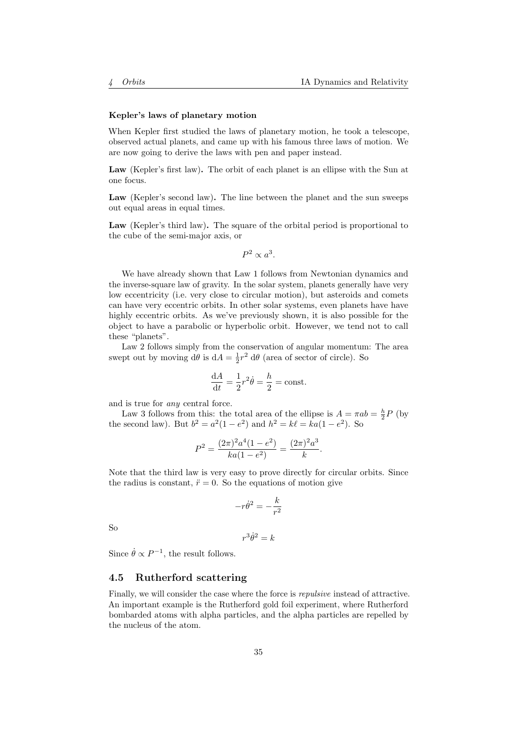#### Kepler's laws of planetary motion

When Kepler first studied the laws of planetary motion, he took a telescope, observed actual planets, and came up with his famous three laws of motion. We are now going to derive the laws with pen and paper instead.

Law (Kepler's first law). The orbit of each planet is an ellipse with the Sun at one focus.

Law (Kepler's second law). The line between the planet and the sun sweeps out equal areas in equal times.

Law (Kepler's third law). The square of the orbital period is proportional to the cube of the semi-major axis, or

$$
P^2 \propto a^3.
$$

We have already shown that Law 1 follows from Newtonian dynamics and the inverse-square law of gravity. In the solar system, planets generally have very low eccentricity (i.e. very close to circular motion), but asteroids and comets can have very eccentric orbits. In other solar systems, even planets have have highly eccentric orbits. As we've previously shown, it is also possible for the object to have a parabolic or hyperbolic orbit. However, we tend not to call these "planets".

Law 2 follows simply from the conservation of angular momentum: The area swept out by moving  $d\theta$  is  $dA = \frac{1}{2}r^2 d\theta$  (area of sector of circle). So

$$
\frac{\mathrm{d}A}{\mathrm{d}t} = \frac{1}{2}r^2\dot{\theta} = \frac{h}{2} = \text{const.}
$$

and is true for any central force.

Law 3 follows from this: the total area of the ellipse is  $A = \pi ab = \frac{h}{2}P$  (by the second law). But  $b^2 = a^2(1 - e^2)$  and  $h^2 = k\ell = ka(1 - e^2)$ . So

$$
P^{2} = \frac{(2\pi)^{2}a^{4}(1 - e^{2})}{ka(1 - e^{2})} = \frac{(2\pi)^{2}a^{3}}{k}.
$$

Note that the third law is very easy to prove directly for circular orbits. Since the radius is constant,  $\ddot{r} = 0$ . So the equations of motion give

$$
-r\dot{\theta}^2=-\frac{k}{r^2}
$$

So

$$
r^3\dot{\theta}^2 = k
$$

Since  $\dot{\theta} \propto P^{-1}$ , the result follows.

## <span id="page-34-0"></span>4.5 Rutherford scattering

Finally, we will consider the case where the force is repulsive instead of attractive. An important example is the Rutherford gold foil experiment, where Rutherford bombarded atoms with alpha particles, and the alpha particles are repelled by the nucleus of the atom.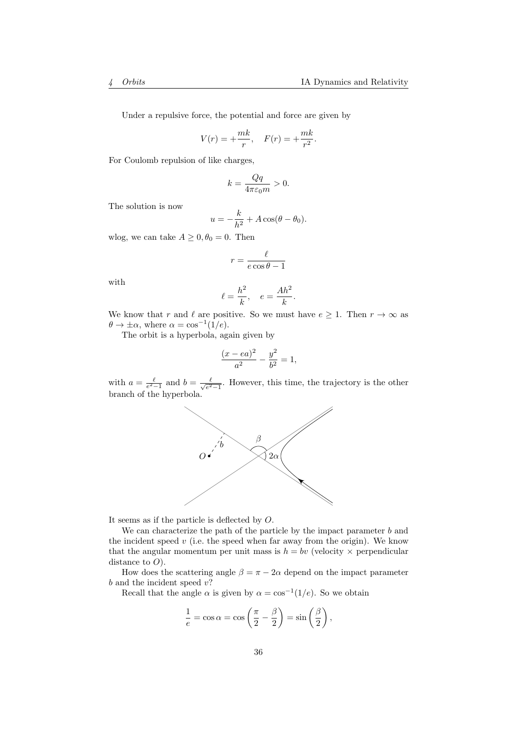Under a repulsive force, the potential and force are given by

$$
V(r) = +\frac{mk}{r}, \quad F(r) = +\frac{mk}{r^2}.
$$

For Coulomb repulsion of like charges,

$$
k=\frac{Qq}{4\pi\varepsilon_0m}>0.
$$

The solution is now

$$
u = -\frac{k}{h^2} + A\cos(\theta - \theta_0).
$$

wlog, we can take  $A \geq 0, \theta_0 = 0$ . Then

$$
r = \frac{\ell}{e \cos \theta - 1}
$$

with

$$
\ell = \frac{h^2}{k}, \quad e = \frac{Ah^2}{k}.
$$

We know that r and  $\ell$  are positive. So we must have  $e \geq 1$ . Then  $r \to \infty$  as  $\theta \to \pm \alpha$ , where  $\alpha = \cos^{-1}(1/e)$ .

The orbit is a hyperbola, again given by

$$
\frac{(x - ea)^2}{a^2} - \frac{y^2}{b^2} = 1,
$$

with  $a = \frac{\ell}{e^2 - 1}$  and  $b = \frac{\ell}{\sqrt{e^2}}$  $\frac{\ell}{e^2-1}$ . However, this time, the trajectory is the other branch of the hyperbola.



It seems as if the particle is deflected by O.

We can characterize the path of the particle by the impact parameter b and the incident speed  $v$  (i.e. the speed when far away from the origin). We know that the angular momentum per unit mass is  $h = bv$  (velocity  $\times$  perpendicular distance to  $O$ ).

How does the scattering angle  $\beta = \pi - 2\alpha$  depend on the impact parameter  $b$  and the incident speed  $v$ ?

Recall that the angle  $\alpha$  is given by  $\alpha = \cos^{-1}(1/e)$ . So we obtain

$$
\frac{1}{e} = \cos \alpha = \cos \left(\frac{\pi}{2} - \frac{\beta}{2}\right) = \sin \left(\frac{\beta}{2}\right),\,
$$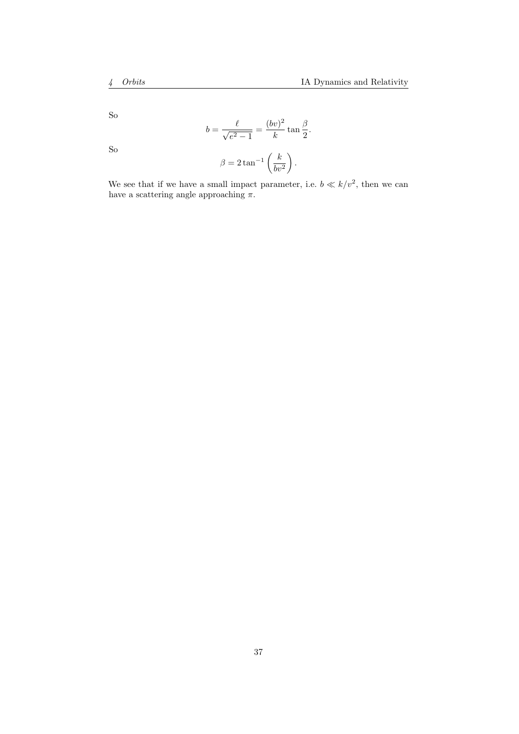So

So

$$
b = \frac{\ell}{\sqrt{e^2 - 1}} = \frac{(bv)^2}{k} \tan \frac{\beta}{2}.
$$

$$
\beta = 2 \tan^{-1} \left( \frac{k}{bv^2} \right).
$$

We see that if we have a small impact parameter, i.e.  $b \ll k/v^2$ , then we can have a scattering angle approaching  $\pi$ .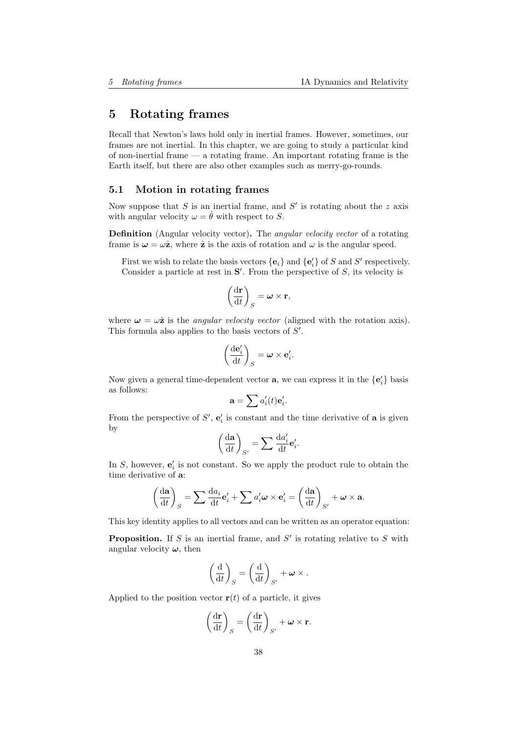# 5 Rotating frames

Recall that Newton's laws hold only in inertial frames. However, sometimes, our frames are not inertial. In this chapter, we are going to study a particular kind of non-inertial frame — a rotating frame. An important rotating frame is the Earth itself, but there are also other examples such as merry-go-rounds.

## 5.1 Motion in rotating frames

Now suppose that  $S$  is an inertial frame, and  $S'$  is rotating about the  $z$  axis with angular velocity  $\omega = \dot{\theta}$  with respect to S.

Definition (Angular velocity vector). The *angular velocity vector* of a rotating frame is  $\omega = \omega \hat{z}$ , where  $\hat{z}$  is the axis of rotation and  $\omega$  is the angular speed.

First we wish to relate the basis vectors  $\{e_i\}$  and  $\{e'_i\}$  of S and S' respectively. Consider a particle at rest in  $S'$ . From the perspective of  $S$ , its velocity is

$$
\left(\frac{\mathrm{d}\mathbf{r}}{\mathrm{d}t}\right)_S = \boldsymbol{\omega} \times \mathbf{r},
$$

where  $\omega = \omega \hat{z}$  is the *angular velocity vector* (aligned with the rotation axis). This formula also applies to the basis vectors of  $S'$ .

$$
\left(\frac{\mathrm{d}\mathbf{e}'_i}{\mathrm{d}t}\right)_S = \boldsymbol{\omega} \times \mathbf{e}'_i.
$$

Now given a general time-dependent vector **a**, we can express it in the  $\{\mathbf{e}'_i\}$  basis as follows:

$$
\mathbf{a} = \sum a_i'(t)\mathbf{e}_i'.
$$

From the perspective of  $S'$ ,  $e'_i$  is constant and the time derivative of **a** is given by

$$
\left(\frac{\mathrm{d}\mathbf{a}}{\mathrm{d}t}\right)_{S'} = \sum \frac{\mathrm{d}a'_i}{\mathrm{d}t} \mathbf{e}'_i.
$$

In  $S$ , however,  $e'_{i}$  is not constant. So we apply the product rule to obtain the time derivative of a:

$$
\left(\frac{\mathrm{d}\mathbf{a}}{\mathrm{d}t}\right)_{S} = \sum \frac{\mathrm{d}a_{i}}{\mathrm{d}t} \mathbf{e}'_{i} + \sum a'_{i} \boldsymbol{\omega} \times \mathbf{e}'_{i} = \left(\frac{\mathrm{d}\mathbf{a}}{\mathrm{d}t}\right)_{S'} + \boldsymbol{\omega} \times \mathbf{a}.
$$

This key identity applies to all vectors and can be written as an operator equation:

**Proposition.** If S is an inertial frame, and S' is rotating relative to S with angular velocity  $\omega$ , then

$$
\left(\frac{\mathrm{d}}{\mathrm{d}t}\right)_{S} = \left(\frac{\mathrm{d}}{\mathrm{d}t}\right)_{S'} + \boldsymbol{\omega} \times.
$$

Applied to the position vector  $\mathbf{r}(t)$  of a particle, it gives

$$
\left(\frac{\mathrm{d}\mathbf{r}}{\mathrm{d}t}\right)_{S} = \left(\frac{\mathrm{d}\mathbf{r}}{\mathrm{d}t}\right)_{S'} + \boldsymbol{\omega} \times \mathbf{r}.
$$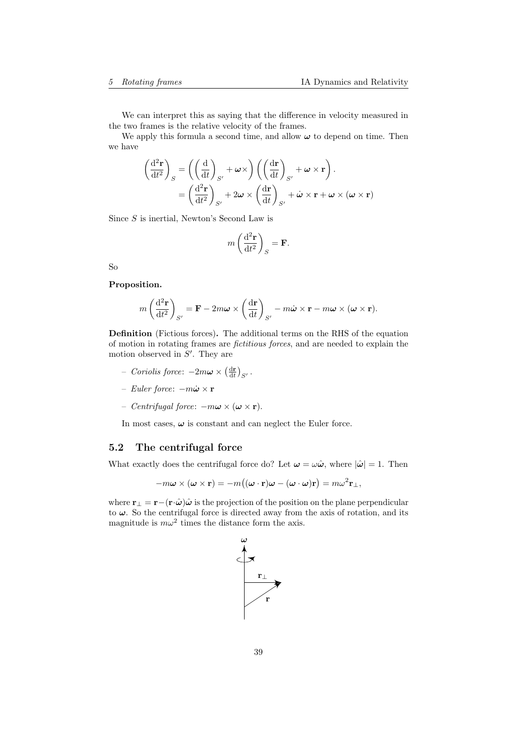We can interpret this as saying that the difference in velocity measured in the two frames is the relative velocity of the frames.

We apply this formula a second time, and allow  $\omega$  to depend on time. Then we have

$$
\begin{aligned}\n\left(\frac{\mathrm{d}^2 \mathbf{r}}{\mathrm{d}t^2}\right)_S &= \left(\left(\frac{\mathrm{d}}{\mathrm{d}t}\right)_{S'} + \omega \times \right) \left(\left(\frac{\mathrm{d}\mathbf{r}}{\mathrm{d}t}\right)_{S'} + \omega \times \mathbf{r}\right).\n\end{aligned}
$$
\n
$$
= \left(\frac{\mathrm{d}^2 \mathbf{r}}{\mathrm{d}t^2}\right)_{S'} + 2\omega \times \left(\frac{\mathrm{d}\mathbf{r}}{\mathrm{d}t}\right)_{S'} + \dot{\omega} \times \mathbf{r} + \omega \times (\omega \times \mathbf{r})
$$

Since S is inertial, Newton's Second Law is

$$
m\left(\frac{\mathrm{d}^2\mathbf{r}}{\mathrm{d}t^2}\right)_S = \mathbf{F}.
$$

So

## Proposition.

$$
m\left(\frac{\mathrm{d}^2\mathbf{r}}{\mathrm{d}t^2}\right)_{S'} = \mathbf{F} - 2m\boldsymbol{\omega} \times \left(\frac{\mathrm{d}\mathbf{r}}{\mathrm{d}t}\right)_{S'} - m\dot{\boldsymbol{\omega}} \times \mathbf{r} - m\boldsymbol{\omega} \times (\boldsymbol{\omega} \times \mathbf{r}).
$$

Definition (Fictious forces). The additional terms on the RHS of the equation of motion in rotating frames are fictitious forces, and are needed to explain the motion observed in  $S'$ . They are

- Coriolis force:  $-2m\boldsymbol{\omega}\times\left(\frac{\mathrm{d}\mathbf{r}}{\mathrm{d}t}\right)_{S'}$ .
- $-$  Euler force:  $-m$ ώ  $\times$  r
- Centrifugal force:  $-mω × (ω × r)$ .

In most cases,  $\omega$  is constant and can neglect the Euler force.

## 5.2 The centrifugal force

What exactly does the centrifugal force do? Let  $\omega = \omega \hat{\omega}$ , where  $|\hat{\omega}| = 1$ . Then

$$
-m\boldsymbol{\omega}\times(\boldsymbol{\omega}\times\mathbf{r})=-m\big((\boldsymbol{\omega}\cdot\mathbf{r})\boldsymbol{\omega}-(\boldsymbol{\omega}\cdot\boldsymbol{\omega})\mathbf{r}\big)=m\omega^2\mathbf{r}_{\perp},
$$

where  $\mathbf{r}_{\perp} = \mathbf{r} - (\mathbf{r} \cdot \hat{\boldsymbol{\omega}}) \hat{\boldsymbol{\omega}}$  is the projection of the position on the plane perpendicular to  $\omega$ . So the centrifugal force is directed away from the axis of rotation, and its magnitude is  $m\omega^2$  times the distance form the axis.

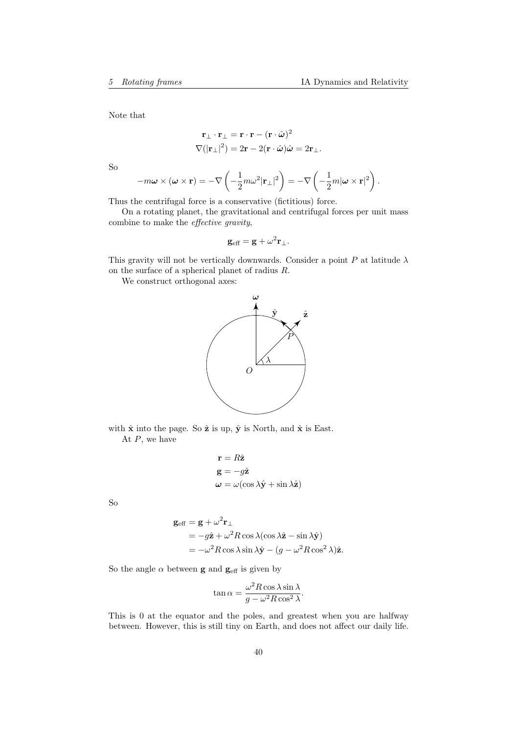Note that

$$
\mathbf{r}_{\perp} \cdot \mathbf{r}_{\perp} = \mathbf{r} \cdot \mathbf{r} - (\mathbf{r} \cdot \hat{\boldsymbol{\omega}})^2
$$
  

$$
\nabla (|\mathbf{r}_{\perp}|^2) = 2\mathbf{r} - 2(\mathbf{r} \cdot \hat{\boldsymbol{\omega}})\hat{\boldsymbol{\omega}} = 2\mathbf{r}_{\perp}.
$$

So

$$
-m\boldsymbol{\omega}\times(\boldsymbol{\omega}\times\mathbf{r})=-\nabla\left(-\frac{1}{2}m\omega^2|\mathbf{r}_{\perp}|^2\right)=-\nabla\left(-\frac{1}{2}m|\boldsymbol{\omega}\times\mathbf{r}|^2\right).
$$

Thus the centrifugal force is a conservative (fictitious) force.

On a rotating planet, the gravitational and centrifugal forces per unit mass combine to make the effective gravity,

$$
\mathbf{g}_{\text{eff}} = \mathbf{g} + \omega^2 \mathbf{r}_{\perp}.
$$

This gravity will not be vertically downwards. Consider a point  $P$  at latitude  $\lambda$ on the surface of a spherical planet of radius R.

We construct orthogonal axes:



with  $\hat{\mathbf{x}}$  into the page. So  $\hat{\mathbf{z}}$  is up,  $\hat{\mathbf{y}}$  is North, and  $\hat{\mathbf{x}}$  is East. At  $P$ , we have

$$
\mathbf{r} = R\hat{\mathbf{z}}
$$
  
\n
$$
\mathbf{g} = -g\hat{\mathbf{z}}
$$
  
\n
$$
\boldsymbol{\omega} = \omega(\cos \lambda \hat{\mathbf{y}} + \sin \lambda \hat{\mathbf{z}})
$$

So

$$
\mathbf{g}_{\text{eff}} = \mathbf{g} + \omega^2 \mathbf{r}_{\perp}
$$
  
=  $-g\hat{\mathbf{z}} + \omega^2 R \cos \lambda (\cos \lambda \hat{\mathbf{z}} - \sin \lambda \hat{\mathbf{y}})$   
=  $-\omega^2 R \cos \lambda \sin \lambda \hat{\mathbf{y}} - (g - \omega^2 R \cos^2 \lambda)\hat{\mathbf{z}}.$ 

So the angle  $\alpha$  between **g** and  $\mathbf{g}_{\text{eff}}$  is given by

$$
\tan \alpha = \frac{\omega^2 R \cos \lambda \sin \lambda}{g - \omega^2 R \cos^2 \lambda}.
$$

This is 0 at the equator and the poles, and greatest when you are halfway between. However, this is still tiny on Earth, and does not affect our daily life.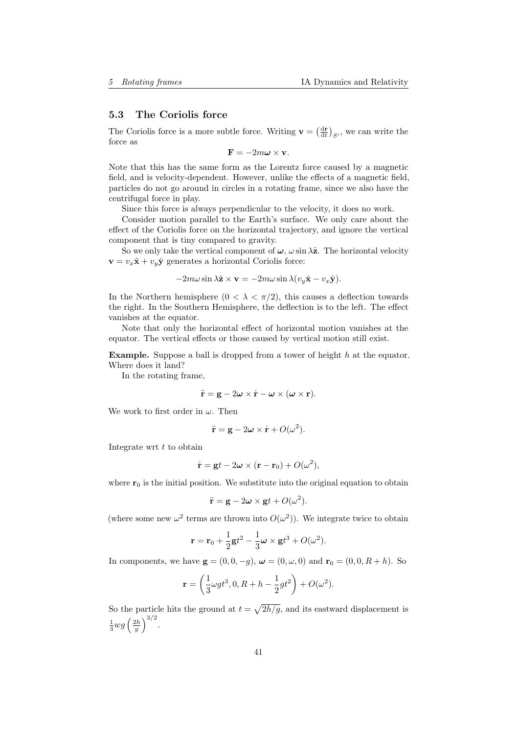## 5.3 The Coriolis force

The Coriolis force is a more subtle force. Writing  $\mathbf{v} = \left(\frac{d\mathbf{r}}{dt}\right)_{S'}$ , we can write the force as

 $\mathbf{F} = -2m\boldsymbol{\omega} \times \mathbf{v}$ .

Note that this has the same form as the Lorentz force caused by a magnetic field, and is velocity-dependent. However, unlike the effects of a magnetic field, particles do not go around in circles in a rotating frame, since we also have the centrifugal force in play.

Since this force is always perpendicular to the velocity, it does no work.

Consider motion parallel to the Earth's surface. We only care about the effect of the Coriolis force on the horizontal trajectory, and ignore the vertical component that is tiny compared to gravity.

So we only take the vertical component of  $\omega$ ,  $\omega \sin \lambda \hat{z}$ . The horizontal velocity  $\mathbf{v} = v_x \hat{\mathbf{x}} + v_y \hat{\mathbf{y}}$  generates a horizontal Coriolis force:

$$
-2m\omega\sin\lambda\hat{\mathbf{z}}\times\mathbf{v}=-2m\omega\sin\lambda(v_y\hat{\mathbf{x}}-v_x\hat{\mathbf{y}}).
$$

In the Northern hemisphere  $(0 < \lambda < \pi/2)$ , this causes a deflection towards the right. In the Southern Hemisphere, the deflection is to the left. The effect vanishes at the equator.

Note that only the horizontal effect of horizontal motion vanishes at the equator. The vertical effects or those caused by vertical motion still exist.

**Example.** Suppose a ball is dropped from a tower of height  $h$  at the equator. Where does it land?

In the rotating frame,

$$
\ddot{\mathbf{r}} = \mathbf{g} - 2\boldsymbol{\omega} \times \dot{\mathbf{r}} - \boldsymbol{\omega} \times (\boldsymbol{\omega} \times \mathbf{r}).
$$

We work to first order in  $\omega$ . Then

$$
\ddot{\mathbf{r}} = \mathbf{g} - 2\boldsymbol{\omega} \times \dot{\mathbf{r}} + O(\omega^2).
$$

Integrate wrt  $t$  to obtain

$$
\dot{\mathbf{r}} = \mathbf{g}t - 2\boldsymbol{\omega} \times (\mathbf{r} - \mathbf{r}_0) + O(\omega^2),
$$

where  $r_0$  is the initial position. We substitute into the original equation to obtain

$$
\ddot{\mathbf{r}} = \mathbf{g} - 2\boldsymbol{\omega} \times \mathbf{g}t + O(\omega^2).
$$

(where some new  $\omega^2$  terms are thrown into  $O(\omega^2)$ ). We integrate twice to obtain

$$
\mathbf{r} = \mathbf{r}_0 + \frac{1}{2}\mathbf{g}t^2 - \frac{1}{3}\boldsymbol{\omega} \times \mathbf{g}t^3 + O(\omega^2).
$$

In components, we have  $\mathbf{g} = (0, 0, -g)$ ,  $\boldsymbol{\omega} = (0, \omega, 0)$  and  $\mathbf{r}_0 = (0, 0, R + h)$ . So

$$
\mathbf{r} = \left(\frac{1}{3}\omega gt^3, 0, R + h - \frac{1}{2}gt^2\right) + O(\omega^2).
$$

So the particle hits the ground at  $t = \sqrt{2h/g}$ , and its eastward displacement is  $rac{1}{3}$ wg $\left(\frac{2h}{g}\right)^{3/2}$ .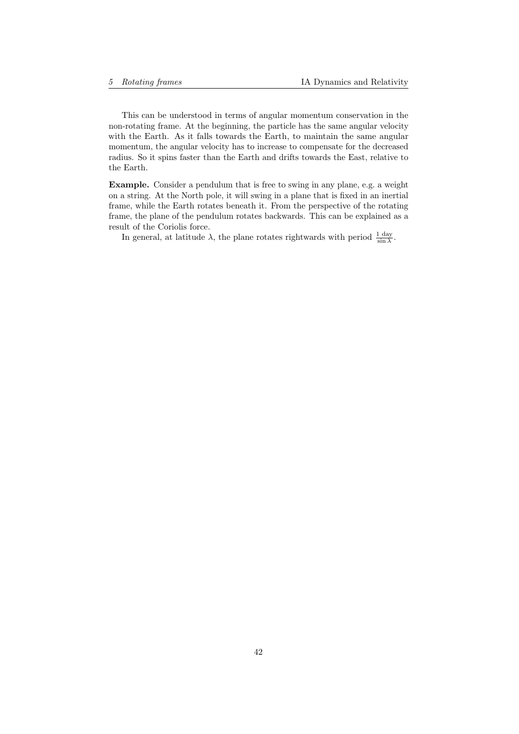This can be understood in terms of angular momentum conservation in the non-rotating frame. At the beginning, the particle has the same angular velocity with the Earth. As it falls towards the Earth, to maintain the same angular momentum, the angular velocity has to increase to compensate for the decreased radius. So it spins faster than the Earth and drifts towards the East, relative to the Earth.

Example. Consider a pendulum that is free to swing in any plane, e.g. a weight on a string. At the North pole, it will swing in a plane that is fixed in an inertial frame, while the Earth rotates beneath it. From the perspective of the rotating frame, the plane of the pendulum rotates backwards. This can be explained as a result of the Coriolis force.

In general, at latitude  $\lambda$ , the plane rotates rightwards with period  $\frac{1 \text{ day}}{\sin \lambda}$ .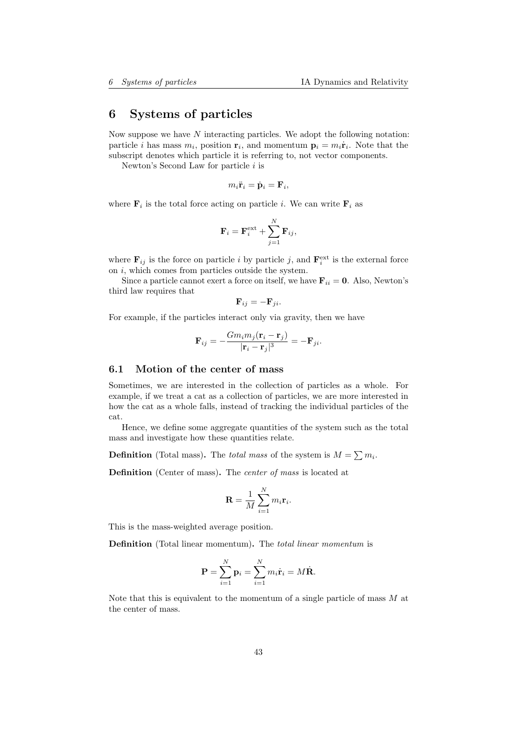# 6 Systems of particles

Now suppose we have  $N$  interacting particles. We adopt the following notation: particle *i* has mass  $m_i$ , position  $\mathbf{r}_i$ , and momentum  $\mathbf{p}_i = m_i \dot{\mathbf{r}}_i$ . Note that the subscript denotes which particle it is referring to, not vector components.

Newton's Second Law for particle  $i$  is

$$
m_i \ddot{\mathbf{r}}_i = \dot{\mathbf{p}}_i = \mathbf{F}_i,
$$

where  $\mathbf{F}_i$  is the total force acting on particle *i*. We can write  $\mathbf{F}_i$  as

$$
\mathbf{F}_i = \mathbf{F}_i^{\text{ext}} + \sum_{j=1}^N \mathbf{F}_{ij},
$$

where  $\mathbf{F}_{ij}$  is the force on particle *i* by particle *j*, and  $\mathbf{F}_{i}^{\text{ext}}$  is the external force on i, which comes from particles outside the system.

Since a particle cannot exert a force on itself, we have  $\mathbf{F}_{ii} = \mathbf{0}$ . Also, Newton's third law requires that

$$
\mathbf{F}_{ij} = -\mathbf{F}_{ji}.
$$

For example, if the particles interact only via gravity, then we have

$$
\mathbf{F}_{ij} = -\frac{Gm_i m_j (\mathbf{r}_i - \mathbf{r}_j)}{|\mathbf{r}_i - \mathbf{r}_j|^3} = -\mathbf{F}_{ji}.
$$

## 6.1 Motion of the center of mass

Sometimes, we are interested in the collection of particles as a whole. For example, if we treat a cat as a collection of particles, we are more interested in how the cat as a whole falls, instead of tracking the individual particles of the cat.

Hence, we define some aggregate quantities of the system such as the total mass and investigate how these quantities relate.

**Definition** (Total mass). The *total mass* of the system is  $M = \sum m_i$ .

Definition (Center of mass). The *center of mass* is located at

$$
\mathbf{R} = \frac{1}{M} \sum_{i=1}^{N} m_i \mathbf{r}_i.
$$

This is the mass-weighted average position.

Definition (Total linear momentum). The *total linear momentum* is

$$
\mathbf{P} = \sum_{i=1}^{N} \mathbf{p}_i = \sum_{i=1}^{N} m_i \dot{\mathbf{r}}_i = M \dot{\mathbf{R}}.
$$

Note that this is equivalent to the momentum of a single particle of mass  $M$  at the center of mass.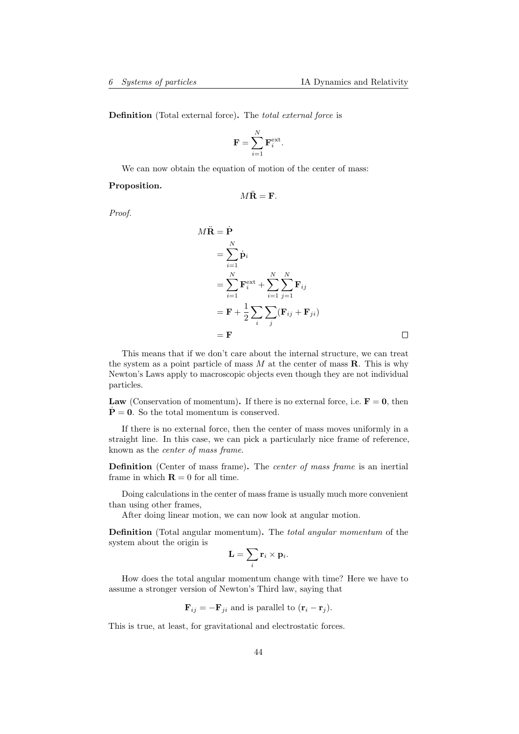Definition (Total external force). The *total external force* is

$$
\mathbf{F} = \sum_{i=1}^{N} \mathbf{F}_{i}^{\text{ext}}.
$$

We can now obtain the equation of motion of the center of mass:

Proposition.

$$
M\ddot{\mathbf{R}} = \mathbf{F}.
$$

Proof.

$$
M\ddot{\mathbf{R}} = \dot{\mathbf{P}}
$$
  
=  $\sum_{i=1}^{N} \dot{\mathbf{p}}_i$   
=  $\sum_{i=1}^{N} \mathbf{F}_i^{\text{ext}} + \sum_{i=1}^{N} \sum_{j=1}^{N} \mathbf{F}_{ij}$   
=  $\mathbf{F} + \frac{1}{2} \sum_{i} \sum_{j} (\mathbf{F}_{ij} + \mathbf{F}_{ji})$   
=  $\mathbf{F}$ 

This means that if we don't care about the internal structure, we can treat the system as a point particle of mass  $M$  at the center of mass  $\bf R$ . This is why Newton's Laws apply to macroscopic objects even though they are not individual particles.

Law (Conservation of momentum). If there is no external force, i.e.  $F = 0$ , then  $P = 0$ . So the total momentum is conserved.

If there is no external force, then the center of mass moves uniformly in a straight line. In this case, we can pick a particularly nice frame of reference, known as the center of mass frame.

Definition (Center of mass frame). The center of mass frame is an inertial frame in which  $\mathbf{R} = 0$  for all time.

Doing calculations in the center of mass frame is usually much more convenient than using other frames,

After doing linear motion, we can now look at angular motion.

Definition (Total angular momentum). The total angular momentum of the system about the origin is

$$
\mathbf{L} = \sum_i \mathbf{r}_i \times \mathbf{p}_i.
$$

How does the total angular momentum change with time? Here we have to assume a stronger version of Newton's Third law, saying that

$$
\mathbf{F}_{ij} = -\mathbf{F}_{ji}
$$
 and is parallel to  $(\mathbf{r}_i - \mathbf{r}_j)$ .

This is true, at least, for gravitational and electrostatic forces.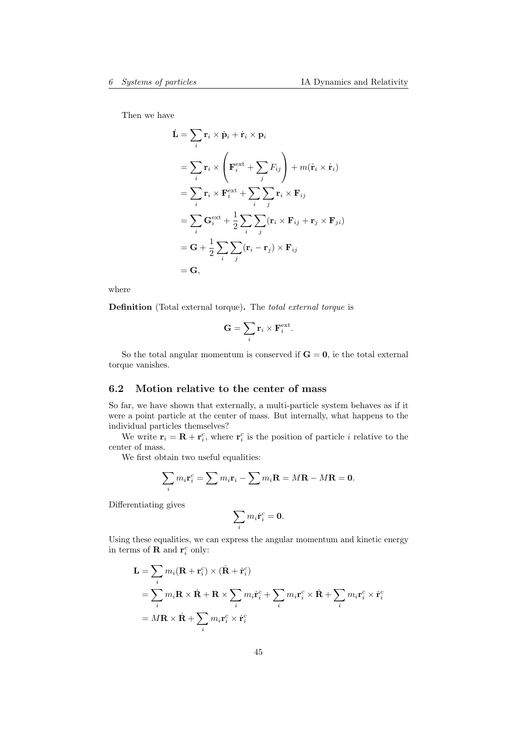Then we have

$$
\dot{\mathbf{L}} = \sum_{i} \mathbf{r}_{i} \times \dot{\mathbf{p}}_{i} + \dot{\mathbf{r}}_{i} \times \mathbf{p}_{i}
$$
\n
$$
= \sum_{i} \mathbf{r}_{i} \times \left( \mathbf{F}_{i}^{\text{ext}} + \sum_{j} F_{ij} \right) + m(\dot{\mathbf{r}}_{i} \times \dot{\mathbf{r}}_{i})
$$
\n
$$
= \sum_{i} \mathbf{r}_{i} \times \mathbf{F}_{i}^{\text{ext}} + \sum_{i} \sum_{j} \mathbf{r}_{i} \times \mathbf{F}_{ij}
$$
\n
$$
= \sum_{i} \mathbf{G}_{i}^{\text{ext}} + \frac{1}{2} \sum_{i} \sum_{j} (\mathbf{r}_{i} \times \mathbf{F}_{ij} + \mathbf{r}_{j} \times \mathbf{F}_{ji})
$$
\n
$$
= \mathbf{G} + \frac{1}{2} \sum_{i} \sum_{j} (\mathbf{r}_{i} - \mathbf{r}_{j}) \times \mathbf{F}_{ij}
$$
\n
$$
= \mathbf{G},
$$

where

Definition (Total external torque). The total external torque is

$$
\mathbf{G} = \sum_i \mathbf{r}_i \times \mathbf{F}_i^{\text{ext}}.
$$

So the total angular momentum is conserved if  $G = 0$ , ie the total external torque vanishes.

## 6.2 Motion relative to the center of mass

So far, we have shown that externally, a multi-particle system behaves as if it were a point particle at the center of mass. But internally, what happens to the individual particles themselves?

We write  $\mathbf{r}_i = \mathbf{R} + \mathbf{r}_i^c$ , where  $\mathbf{r}_i^c$  is the position of particle *i* relative to the center of mass.

We first obtain two useful equalities:

$$
\sum_i m_i \mathbf{r}_i^c = \sum m_i \mathbf{r}_i - \sum m_i \mathbf{R} = M\mathbf{R} - M\mathbf{R} = \mathbf{0}.
$$

Differentiating gives

$$
\sum_i m_i \dot{\mathbf{r}}_i^c = \mathbf{0}.
$$

Using these equalities, we can express the angular momentum and kinetic energy in terms of **R** and  $\mathbf{r}_i^c$  only:

$$
\mathbf{L} = \sum_{i} m_{i}(\mathbf{R} + \mathbf{r}_{i}^{c}) \times (\dot{\mathbf{R}} + \dot{\mathbf{r}}_{i}^{c})
$$
  
= 
$$
\sum_{i} m_{i} \mathbf{R} \times \dot{\mathbf{R}} + \mathbf{R} \times \sum_{i} m_{i} \dot{\mathbf{r}}_{i}^{c} + \sum_{i} m_{i} \mathbf{r}_{i}^{c} \times \dot{\mathbf{R}} + \sum_{i} m_{i} \mathbf{r}_{i}^{c} \times \dot{\mathbf{r}}_{i}^{c}
$$
  
= 
$$
M\mathbf{R} \times \dot{\mathbf{R}} + \sum_{i} m_{i} \mathbf{r}_{i}^{c} \times \dot{\mathbf{r}}_{i}^{c}
$$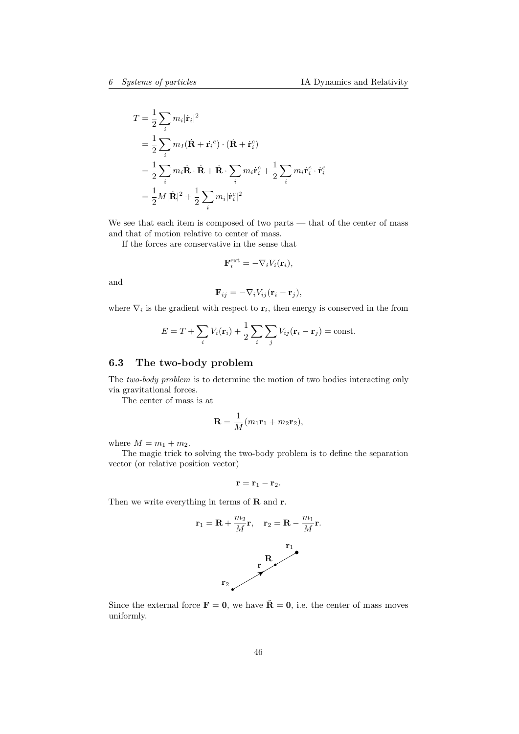$$
T = \frac{1}{2} \sum_{i} m_i |\dot{\mathbf{r}}_i|^2
$$
  
=  $\frac{1}{2} \sum_{i} m_I (\dot{\mathbf{R}} + \dot{\mathbf{r}}_i^c) \cdot (\dot{\mathbf{R}} + \dot{\mathbf{r}}_i^c)$   
=  $\frac{1}{2} \sum_{i} m_i \dot{\mathbf{R}} \cdot \dot{\mathbf{R}} + \dot{\mathbf{R}} \cdot \sum_{i} m_i \dot{\mathbf{r}}_i^c + \frac{1}{2} \sum_{i} m_i \dot{\mathbf{r}}_i^c \cdot \dot{\mathbf{r}}_i^c$   
=  $\frac{1}{2} M |\dot{\mathbf{R}}|^2 + \frac{1}{2} \sum_{i} m_i |\dot{\mathbf{r}}_i^c|^2$ 

We see that each item is composed of two parts — that of the center of mass and that of motion relative to center of mass.

If the forces are conservative in the sense that

$$
\mathbf{F}_{i}^{\text{ext}} = -\nabla_{i}V_{i}(\mathbf{r}_{i}),
$$

and

$$
\mathbf{F}_{ij} = -\nabla_i V_{ij} (\mathbf{r}_i - \mathbf{r}_j),
$$

where  $\nabla_i$  is the gradient with respect to  $\mathbf{r}_i$ , then energy is conserved in the from

$$
E = T + \sum_{i} V_i(\mathbf{r}_i) + \frac{1}{2} \sum_{i} \sum_{j} V_{ij}(\mathbf{r}_i - \mathbf{r}_j) = \text{const.}
$$

# 6.3 The two-body problem

The two-body problem is to determine the motion of two bodies interacting only via gravitational forces.

The center of mass is at

$$
\mathbf{R} = \frac{1}{M}(m_1\mathbf{r}_1 + m_2\mathbf{r}_2),
$$

where  $M = m_1 + m_2$ .

The magic trick to solving the two-body problem is to define the separation vector (or relative position vector)

$$
\mathbf{r}=\mathbf{r}_1-\mathbf{r}_2.
$$

Then we write everything in terms of  **and**  $**r**$ **.** 

$$
\mathbf{r}_1 = \mathbf{R} + \frac{m_2}{M}\mathbf{r}, \quad \mathbf{r}_2 = \mathbf{R} - \frac{m_1}{M}\mathbf{r}.
$$

Since the external force  $\mathbf{F} = \mathbf{0}$ , we have  $\ddot{\mathbf{R}} = \mathbf{0}$ , i.e. the center of mass moves uniformly.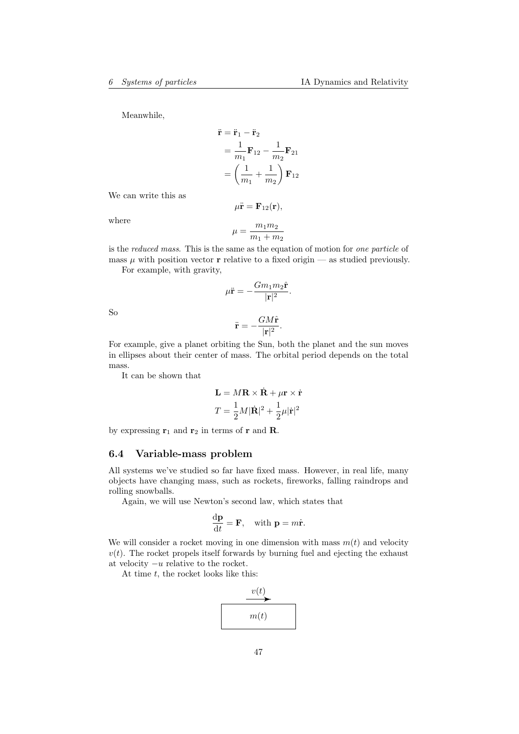Meanwhile,

$$
\ddot{\mathbf{r}} = \ddot{\mathbf{r}}_1 - \ddot{\mathbf{r}}_2 \n= \frac{1}{m_1} \mathbf{F}_{12} - \frac{1}{m_2} \mathbf{F}_{21} \n= \left(\frac{1}{m_1} + \frac{1}{m_2}\right) \mathbf{F}_{12}
$$

We can write this as

$$
\mu \ddot{\mathbf{r}} = \mathbf{F}_{12}(\mathbf{r}),
$$

where

$$
\mu=\frac{m_1m_2}{m_1+m_2}
$$

is the reduced mass. This is the same as the equation of motion for one particle of mass  $\mu$  with position vector **r** relative to a fixed origin — as studied previously.

For example, with gravity,

$$
\mu \ddot{\mathbf{r}} = -\frac{Gm_1m_2\hat{\mathbf{r}}}{|\mathbf{r}|^2}.
$$

So

$$
\ddot{\mathbf{r}} = -\frac{GM\hat{\mathbf{r}}}{|\mathbf{r}|^2}.
$$

For example, give a planet orbiting the Sun, both the planet and the sun moves in ellipses about their center of mass. The orbital period depends on the total mass.

It can be shown that

$$
\mathbf{L} = M\mathbf{R} \times \dot{\mathbf{R}} + \mu \mathbf{r} \times \dot{\mathbf{r}}
$$

$$
T = \frac{1}{2}M|\dot{\mathbf{R}}|^2 + \frac{1}{2}\mu|\dot{\mathbf{r}}|^2
$$

by expressing  $r_1$  and  $r_2$  in terms of r and R.

# 6.4 Variable-mass problem

All systems we've studied so far have fixed mass. However, in real life, many objects have changing mass, such as rockets, fireworks, falling raindrops and rolling snowballs.

Again, we will use Newton's second law, which states that

$$
\frac{\mathrm{d}\mathbf{p}}{\mathrm{d}t} = \mathbf{F}, \quad \text{with } \mathbf{p} = m\dot{\mathbf{r}}.
$$

We will consider a rocket moving in one dimension with mass  $m(t)$  and velocity  $v(t)$ . The rocket propels itself forwards by burning fuel and ejecting the exhaust at velocity  $-u$  relative to the rocket.

At time  $t$ , the rocket looks like this:

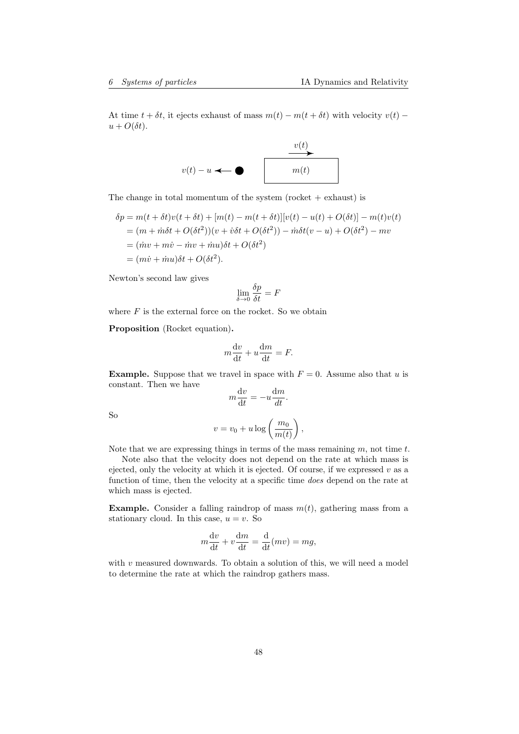At time  $t + \delta t$ , it ejects exhaust of mass  $m(t) - m(t + \delta t)$  with velocity  $v(t)$  –  $u + O(\delta t)$ .



The change in total momentum of the system (rocket  $+$  exhaust) is

$$
\delta p = m(t + \delta t)v(t + \delta t) + [m(t) - m(t + \delta t)][v(t) - u(t) + O(\delta t)] - m(t)v(t)
$$
  
= 
$$
(m + \dot{m}\delta t + O(\delta t^2))(v + \dot{v}\delta t + O(\delta t^2)) - \dot{m}\delta t(v - u) + O(\delta t^2) - mv
$$
  
= 
$$
(\dot{m}v + m\dot{v} - \dot{m}v + \dot{m}u)\delta t + O(\delta t^2)
$$
  
= 
$$
(m\dot{v} + \dot{m}u)\delta t + O(\delta t^2).
$$

Newton's second law gives

$$
\lim_{\delta \to 0} \frac{\delta p}{\delta t} = F
$$

where  $F$  is the external force on the rocket. So we obtain

Proposition (Rocket equation).

$$
m\frac{\mathrm{d}v}{\mathrm{d}t} + u\frac{\mathrm{d}m}{\mathrm{d}t} = F.
$$

**Example.** Suppose that we travel in space with  $F = 0$ . Assume also that u is constant. Then we have

$$
m\frac{\mathrm{d}v}{\mathrm{d}t} = -u\frac{\mathrm{d}m}{dt}.
$$

So

$$
v = v_0 + u \log\left(\frac{m_0}{m(t)}\right),\,
$$

Note that we are expressing things in terms of the mass remaining  $m$ , not time  $t$ .

Note also that the velocity does not depend on the rate at which mass is ejected, only the velocity at which it is ejected. Of course, if we expressed  $v$  as a function of time, then the velocity at a specific time does depend on the rate at which mass is ejected.

**Example.** Consider a falling raindrop of mass  $m(t)$ , gathering mass from a stationary cloud. In this case,  $u = v$ . So

$$
m\frac{\mathrm{d}v}{\mathrm{d}t} + v\frac{\mathrm{d}m}{\mathrm{d}t} = \frac{\mathrm{d}}{\mathrm{d}t}(mv) = mg,
$$

with  $v$  measured downwards. To obtain a solution of this, we will need a model to determine the rate at which the raindrop gathers mass.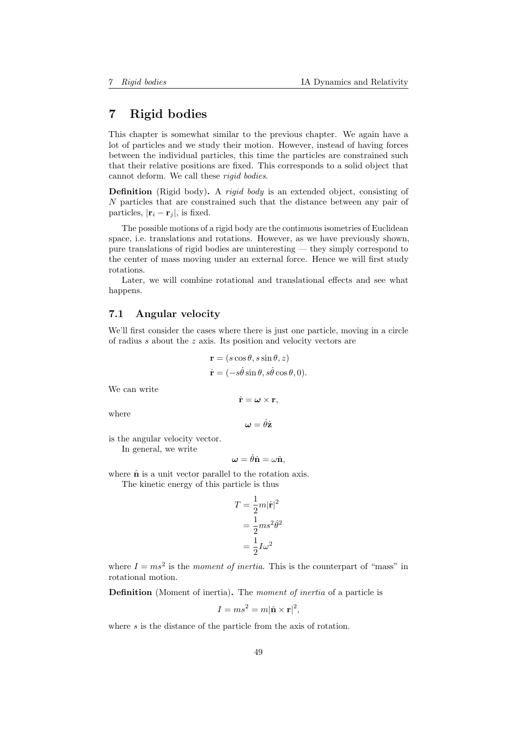# 7 Rigid bodies

This chapter is somewhat similar to the previous chapter. We again have a lot of particles and we study their motion. However, instead of having forces between the individual particles, this time the particles are constrained such that their relative positions are fixed. This corresponds to a solid object that cannot deform. We call these rigid bodies.

**Definition** (Rigid body). A *rigid body* is an extended object, consisting of N particles that are constrained such that the distance between any pair of particles,  $|\mathbf{r}_i - \mathbf{r}_j|$ , is fixed.

The possible motions of a rigid body are the continuous isometries of Euclidean space, i.e. translations and rotations. However, as we have previously shown, pure translations of rigid bodies are uninteresting — they simply correspond to the center of mass moving under an external force. Hence we will first study rotations.

Later, we will combine rotational and translational effects and see what happens.

## 7.1 Angular velocity

We'll first consider the cases where there is just one particle, moving in a circle of radius s about the z axis. Its position and velocity vectors are

$$
\mathbf{r} = (s \cos \theta, s \sin \theta, z)
$$
  

$$
\dot{\mathbf{r}} = (-s\dot{\theta} \sin \theta, s\dot{\theta} \cos \theta, 0).
$$

We can write

$$
\dot{\mathbf{r}}=\boldsymbol{\omega}\times\mathbf{r},
$$

where

$$
\boldsymbol{\omega}=\dot{\theta}\hat{\mathbf{z}}
$$

is the angular velocity vector. In general, we write

$$
\boldsymbol{\omega} = \dot{\theta} \hat{\mathbf{n}} = \omega \hat{\mathbf{n}},
$$

where  $\hat{\mathbf{n}}$  is a unit vector parallel to the rotation axis. The kinetic energy of this particle is thus

$$
T = \frac{1}{2}m|\dot{\mathbf{r}}|^2
$$

$$
= \frac{1}{2}ms^2\dot{\theta}^2
$$

$$
= \frac{1}{2}I\omega^2
$$

where  $I = ms^2$  is the moment of inertia. This is the counterpart of "mass" in rotational motion.

Definition (Moment of inertia). The moment of inertia of a particle is

$$
I = ms^2 = m|\hat{\mathbf{n}} \times \mathbf{r}|^2,
$$

where s is the distance of the particle from the axis of rotation.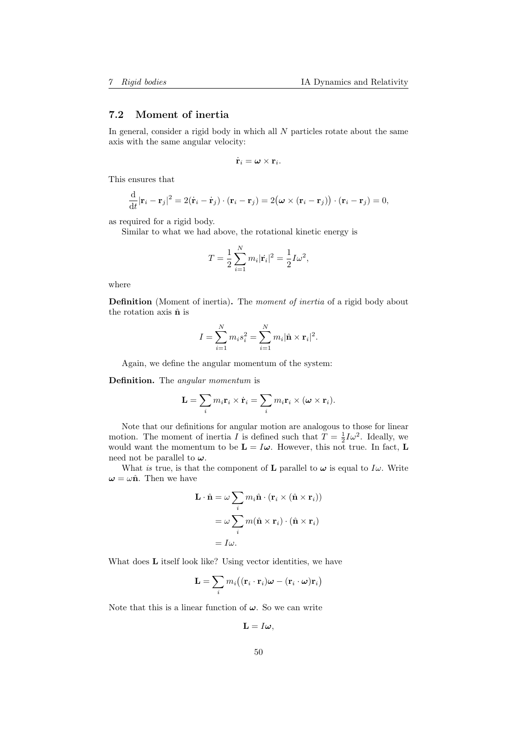## 7.2 Moment of inertia

In general, consider a rigid body in which all  $N$  particles rotate about the same axis with the same angular velocity:

$$
\dot{\mathbf{r}}_i = \boldsymbol{\omega} \times \mathbf{r}_i.
$$

This ensures that

d

$$
\frac{\mathrm{d}}{\mathrm{d}t}|\mathbf{r}_i-\mathbf{r}_j|^2=2(\dot{\mathbf{r}}_i-\dot{\mathbf{r}}_j)\cdot(\mathbf{r}_i-\mathbf{r}_j)=2(\boldsymbol{\omega}\times(\mathbf{r}_i-\mathbf{r}_j))\cdot(\mathbf{r}_i-\mathbf{r}_j)=0,
$$

as required for a rigid body.

Similar to what we had above, the rotational kinetic energy is

$$
T = \frac{1}{2} \sum_{i=1}^{N} m_i |\dot{\mathbf{r}}_i|^2 = \frac{1}{2} I \omega^2,
$$

where

Definition (Moment of inertia). The *moment of inertia* of a rigid body about the rotation axis  $\hat{\mathbf{n}}$  is

$$
I = \sum_{i=1}^{N} m_i s_i^2 = \sum_{i=1}^{N} m_i |\hat{\mathbf{n}} \times \mathbf{r}_i|^2.
$$

Again, we define the angular momentum of the system:

Definition. The angular momentum is

$$
\mathbf{L} = \sum_i m_i \mathbf{r}_i \times \dot{\mathbf{r}}_i = \sum_i m_i \mathbf{r}_i \times (\boldsymbol{\omega} \times \mathbf{r}_i).
$$

Note that our definitions for angular motion are analogous to those for linear motion. The moment of inertia I is defined such that  $T = \frac{1}{2}I\omega^2$ . Ideally, we would want the momentum to be  $\mathbf{L} = I\boldsymbol{\omega}$ . However, this not true. In fact, **L** need not be parallel to  $\omega$ .

What is true, is that the component of **L** parallel to  $\omega$  is equal to  $I\omega$ . Write  $\omega = \omega \hat{\mathbf{n}}$ . Then we have

$$
\mathbf{L} \cdot \hat{\mathbf{n}} = \omega \sum_{i} m_{i} \hat{\mathbf{n}} \cdot (\mathbf{r}_{i} \times (\hat{\mathbf{n}} \times \mathbf{r}_{i}))
$$

$$
= \omega \sum_{i} m(\hat{\mathbf{n}} \times \mathbf{r}_{i}) \cdot (\hat{\mathbf{n}} \times \mathbf{r}_{i})
$$

$$
= I\omega.
$$

What does **L** itself look like? Using vector identities, we have

$$
\mathbf{L} = \sum_i m_i \big( (\mathbf{r}_i \cdot \mathbf{r}_i) \boldsymbol{\omega} - (\mathbf{r}_i \cdot \boldsymbol{\omega}) \mathbf{r}_i \big)
$$

Note that this is a linear function of  $\omega$ . So we can write

$$
\mathbf{L}=I\boldsymbol{\omega},
$$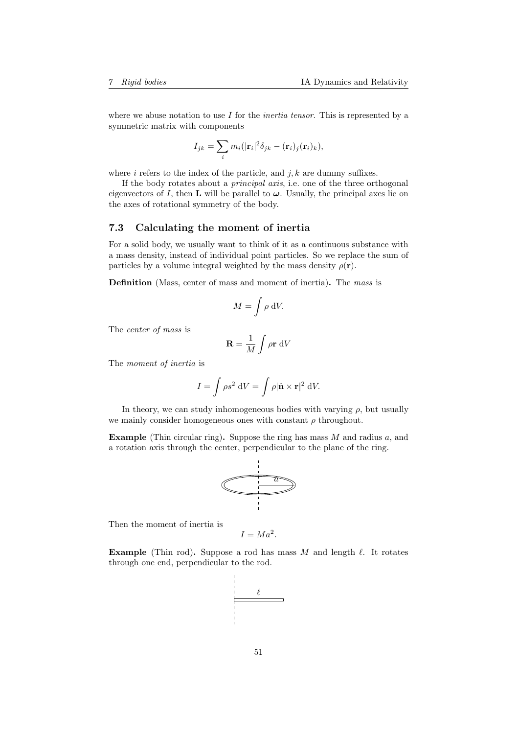where we abuse notation to use  $I$  for the *inertia tensor*. This is represented by a symmetric matrix with components

$$
I_{jk} = \sum_{i} m_i (|\mathbf{r}_i|^2 \delta_{jk} - (\mathbf{r}_i)_j (\mathbf{r}_i)_k),
$$

where i refers to the index of the particle, and  $j, k$  are dummy suffixes.

If the body rotates about a principal axis, i.e. one of the three orthogonal eigenvectors of I, then **L** will be parallel to  $\omega$ . Usually, the principal axes lie on the axes of rotational symmetry of the body.

## 7.3 Calculating the moment of inertia

For a solid body, we usually want to think of it as a continuous substance with a mass density, instead of individual point particles. So we replace the sum of particles by a volume integral weighted by the mass density  $\rho(\mathbf{r})$ .

Definition (Mass, center of mass and moment of inertia). The mass is

$$
M = \int \rho \, \mathrm{d}V.
$$

The center of mass is

$$
\mathbf{R} = \frac{1}{M} \int \rho \mathbf{r} \, \mathrm{d}V
$$

The moment of inertia is

$$
I = \int \rho s^2 \, \mathrm{d}V = \int \rho |\hat{\mathbf{n}} \times \mathbf{r}|^2 \, \mathrm{d}V.
$$

In theory, we can study inhomogeneous bodies with varying  $\rho$ , but usually we mainly consider homogeneous ones with constant  $\rho$  throughout.

**Example** (Thin circular ring). Suppose the ring has mass  $M$  and radius  $a$ , and a rotation axis through the center, perpendicular to the plane of the ring.



Then the moment of inertia is

$$
I = Ma^2.
$$

**Example** (Thin rod). Suppose a rod has mass M and length  $\ell$ . It rotates through one end, perpendicular to the rod.

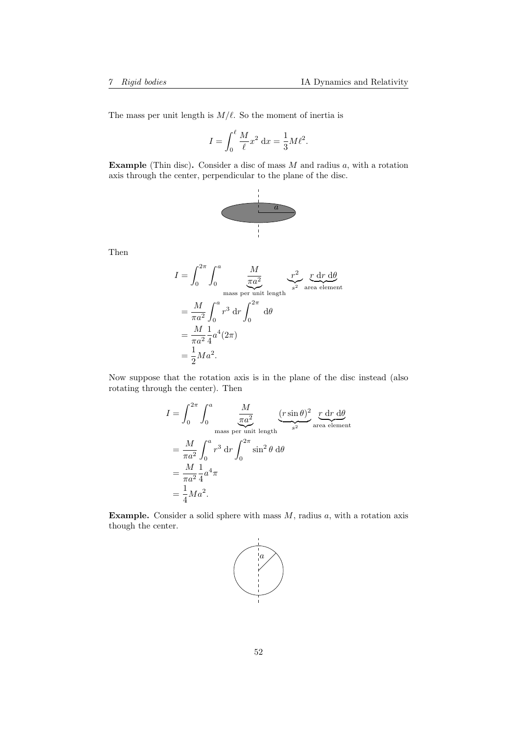The mass per unit length is  $M/\ell$ . So the moment of inertia is

$$
I = \int_0^{\ell} \frac{M}{\ell} x^2 dx = \frac{1}{3} M \ell^2.
$$

**Example** (Thin disc). Consider a disc of mass  $M$  and radius  $a$ , with a rotation axis through the center, perpendicular to the plane of the disc.



Then

$$
I = \int_0^{2\pi} \int_0^a \frac{M}{\pi a^2} \frac{r^2}{\pi a^2} \frac{r dr d\theta}{r^2} \n= \frac{M}{\pi a^2} \int_0^a r^3 dr \int_0^{2\pi} d\theta \n= \frac{M}{\pi a^2} \frac{1}{4} a^4 (2\pi) \n= \frac{1}{2} M a^2.
$$

Now suppose that the rotation axis is in the plane of the disc instead (also rotating through the center). Then

$$
I = \int_0^{2\pi} \int_0^a \frac{M}{\pi a^2} \underbrace{(r \sin \theta)^2}_{\text{mass per unit length}} \underbrace{r \, dr \, d\theta}_{s^2}
$$
  
= 
$$
\frac{M}{\pi a^2} \int_0^a r^3 \, dr \int_0^{2\pi} \sin^2 \theta \, d\theta
$$
  
= 
$$
\frac{M}{\pi a^2} \frac{1}{4} a^4 \pi
$$
  
= 
$$
\frac{1}{4} M a^2.
$$

**Example.** Consider a solid sphere with mass  $M$ , radius  $a$ , with a rotation axis though the center.

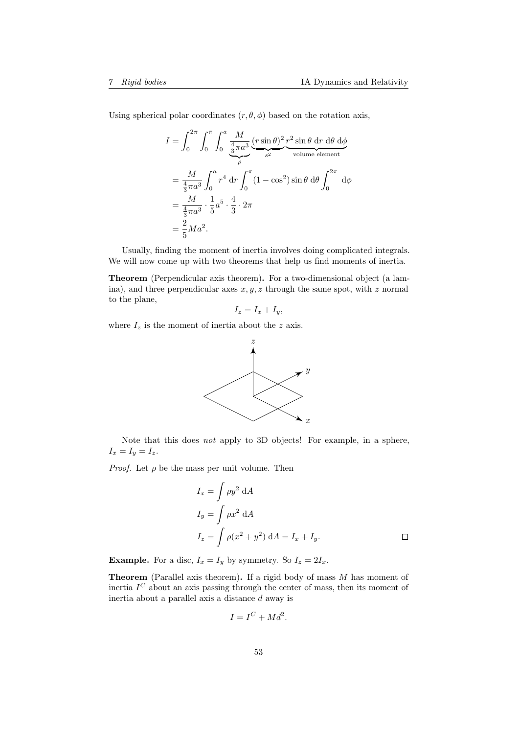Using spherical polar coordinates  $(r, \theta, \phi)$  based on the rotation axis,

$$
I = \int_0^{2\pi} \int_0^{\pi} \int_0^a \frac{M}{\frac{4}{3}\pi a^3} \underbrace{(r \sin \theta)^2}_{s^2} \underbrace{r^2 \sin \theta \, dr \, d\theta \, d\phi}_{\text{volume element}}
$$
  
=  $\frac{M}{\frac{4}{3}\pi a^3} \int_0^a r^4 dr \int_0^{\pi} (1 - \cos^2) \sin \theta \, d\theta \int_0^{2\pi} d\phi$   
=  $\frac{M}{\frac{4}{3}\pi a^3} \cdot \frac{1}{5} a^5 \cdot \frac{4}{3} \cdot 2\pi$   
=  $\frac{2}{5} M a^2$ .

Usually, finding the moment of inertia involves doing complicated integrals. We will now come up with two theorems that help us find moments of inertia.

Theorem (Perpendicular axis theorem). For a two-dimensional object (a lamina), and three perpendicular axes  $x, y, z$  through the same spot, with z normal to the plane,

$$
I_z = I_x + I_y,
$$

where  $I_z$  is the moment of inertia about the z axis.



Note that this does not apply to 3D objects! For example, in a sphere,  $I_x = I_y = I_z.$ 

*Proof.* Let  $\rho$  be the mass per unit volume. Then

$$
I_x = \int \rho y^2 dA
$$
  
\n
$$
I_y = \int \rho x^2 dA
$$
  
\n
$$
I_z = \int \rho (x^2 + y^2) dA = I_x + I_y.
$$

**Example.** For a disc,  $I_x = I_y$  by symmetry. So  $I_z = 2I_x$ .

**Theorem** (Parallel axis theorem). If a rigid body of mass  $M$  has moment of inertia  $I^C$  about an axis passing through the center of mass, then its moment of inertia about a parallel axis a distance d away is

$$
I = I^C + Md^2.
$$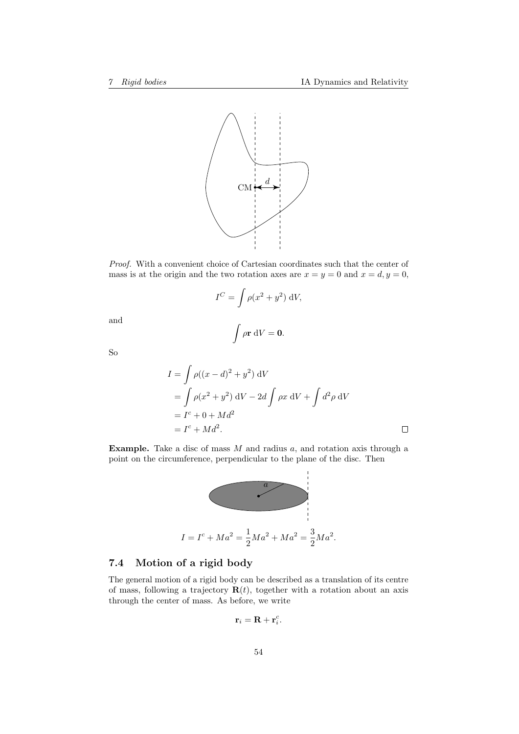

Proof. With a convenient choice of Cartesian coordinates such that the center of mass is at the origin and the two rotation axes are  $x = y = 0$  and  $x = d, y = 0$ ,

$$
I^C = \int \rho(x^2 + y^2) \, \mathrm{d}V,
$$

 $\int \rho \mathbf{r} \, dV = \mathbf{0}.$ 

and

So

$$
I = \int \rho((x - d)^2 + y^2) \, dV
$$
  
=  $\int \rho(x^2 + y^2) \, dV - 2d \int \rho x \, dV + \int d^2 \rho \, dV$   
=  $I^c + 0 + Md^2$   
=  $I^c + Md^2$ .

**Example.** Take a disc of mass  $M$  and radius  $a$ , and rotation axis through a point on the circumference, perpendicular to the plane of the disc. Then



# 7.4 Motion of a rigid body

The general motion of a rigid body can be described as a translation of its centre of mass, following a trajectory  $\mathbf{R}(t)$ , together with a rotation about an axis through the center of mass. As before, we write

$$
\mathbf{r}_i = \mathbf{R} + \mathbf{r}_i^c.
$$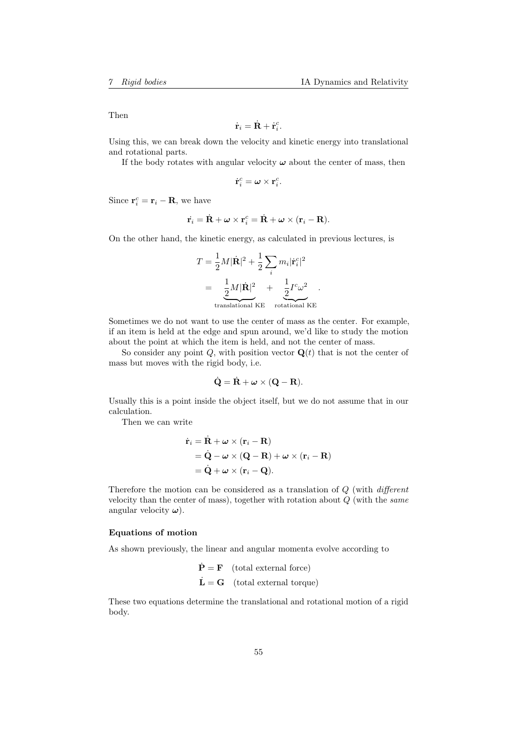Then

$$
\dot{\mathbf{r}}_i = \dot{\mathbf{R}} + \dot{\mathbf{r}}_i^c.
$$

Using this, we can break down the velocity and kinetic energy into translational and rotational parts.

If the body rotates with angular velocity  $\omega$  about the center of mass, then

$$
\dot{\mathbf{r}}_i^c = \boldsymbol{\omega} \times \mathbf{r}_i^c.
$$

Since  $\mathbf{r}_i^c = \mathbf{r}_i - \mathbf{R}$ , we have

$$
\dot{\mathbf{r}}_i = \dot{\mathbf{R}} + \boldsymbol{\omega} \times \mathbf{r}_i^c = \dot{\mathbf{R}} + \boldsymbol{\omega} \times (\mathbf{r}_i - \mathbf{R}).
$$

On the other hand, the kinetic energy, as calculated in previous lectures, is

$$
T = \frac{1}{2}M|\dot{\mathbf{R}}|^2 + \frac{1}{2}\sum_i m_i |\dot{\mathbf{r}}_i^c|^2
$$
  
= 
$$
\underbrace{\frac{1}{2}M|\dot{\mathbf{R}}|^2}_{\text{translational KE}} + \underbrace{\frac{1}{2}I^c\omega^2}_{\text{rotational KE}}.
$$

Sometimes we do not want to use the center of mass as the center. For example, if an item is held at the edge and spun around, we'd like to study the motion about the point at which the item is held, and not the center of mass.

So consider any point  $Q$ , with position vector  $\mathbf{Q}(t)$  that is not the center of mass but moves with the rigid body, i.e.

$$
\dot{\mathbf{Q}} = \dot{\mathbf{R}} + \boldsymbol{\omega} \times (\mathbf{Q} - \mathbf{R}).
$$

Usually this is a point inside the object itself, but we do not assume that in our calculation.

Then we can write

$$
\dot{\mathbf{r}}_i = \dot{\mathbf{R}} + \boldsymbol{\omega} \times (\mathbf{r}_i - \mathbf{R})
$$
  
=  $\dot{\mathbf{Q}} - \boldsymbol{\omega} \times (\mathbf{Q} - \mathbf{R}) + \boldsymbol{\omega} \times (\mathbf{r}_i - \mathbf{R})$   
=  $\dot{\mathbf{Q}} + \boldsymbol{\omega} \times (\mathbf{r}_i - \mathbf{Q}).$ 

Therefore the motion can be considered as a translation of Q (with different velocity than the center of mass), together with rotation about  $Q$  (with the same angular velocity  $\omega$ ).

#### Equations of motion

As shown previously, the linear and angular momenta evolve according to

$$
\dot{\mathbf{P}} = \mathbf{F} \quad \text{(total external force)}
$$
\n
$$
\dot{\mathbf{L}} = \mathbf{G} \quad \text{(total external torque)}
$$

These two equations determine the translational and rotational motion of a rigid body.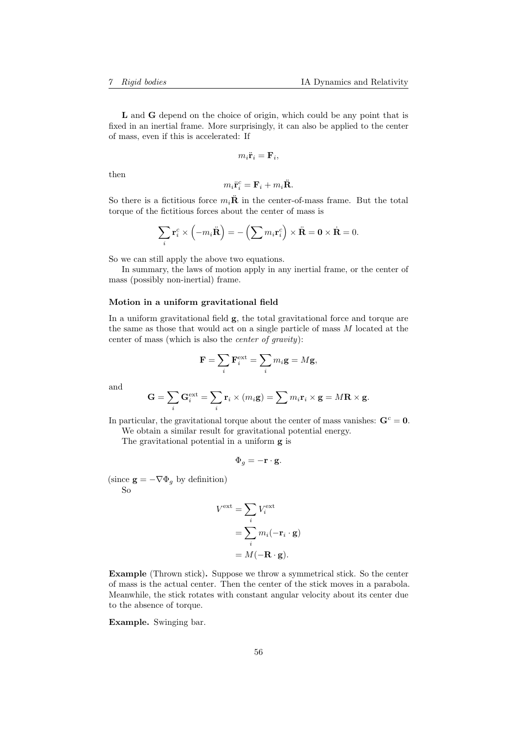L and G depend on the choice of origin, which could be any point that is fixed in an inertial frame. More surprisingly, it can also be applied to the center of mass, even if this is accelerated: If

$$
m_i \ddot{\mathbf{r}}_i = \mathbf{F}_i,
$$

then

$$
m_i \ddot{\mathbf{r}}_i^c = \mathbf{F}_i + m_i \ddot{\mathbf{R}}.
$$

So there is a fictitious force  $m_i\ddot{\mathbf{R}}$  in the center-of-mass frame. But the total torque of the fictitious forces about the center of mass is

$$
\sum_{i} \mathbf{r}_{i}^{c} \times \left( -m_{i} \ddot{\mathbf{R}} \right) = -\left( \sum m_{i} \mathbf{r}_{i}^{c} \right) \times \ddot{\mathbf{R}} = \mathbf{0} \times \dot{\mathbf{R}} = 0.
$$

So we can still apply the above two equations.

In summary, the laws of motion apply in any inertial frame, or the center of mass (possibly non-inertial) frame.

#### Motion in a uniform gravitational field

In a uniform gravitational field g, the total gravitational force and torque are the same as those that would act on a single particle of mass M located at the center of mass (which is also the center of gravity):

$$
\mathbf{F} = \sum_{i} \mathbf{F}_{i}^{\text{ext}} = \sum_{i} m_{i} \mathbf{g} = M \mathbf{g},
$$

and

$$
\mathbf{G} = \sum_{i} \mathbf{G}_{i}^{\text{ext}} = \sum_{i} \mathbf{r}_{i} \times (m_{i} \mathbf{g}) = \sum m_{i} \mathbf{r}_{i} \times \mathbf{g} = M \mathbf{R} \times \mathbf{g}.
$$

In particular, the gravitational torque about the center of mass vanishes:  $G<sup>c</sup> = 0$ .

We obtain a similar result for gravitational potential energy.

The gravitational potential in a uniform g is

$$
\Phi_g = -\mathbf{r} \cdot \mathbf{g}.
$$

(since  $\mathbf{g} = -\nabla \Phi_g$  by definition) So

$$
V^{\text{ext}} = \sum_{i} V_i^{\text{ext}}
$$

$$
= \sum_{i} m_i(-\mathbf{r}_i \cdot \mathbf{g})
$$

$$
= M(-\mathbf{R} \cdot \mathbf{g}).
$$

Example (Thrown stick). Suppose we throw a symmetrical stick. So the center of mass is the actual center. Then the center of the stick moves in a parabola. Meanwhile, the stick rotates with constant angular velocity about its center due to the absence of torque.

Example. Swinging bar.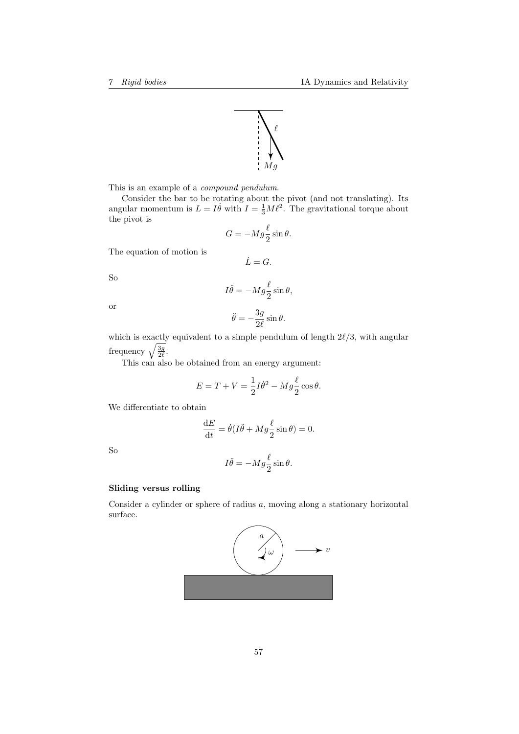

This is an example of a compound pendulum.

Consider the bar to be rotating about the pivot (and not translating). Its angular momentum is  $L = I \dot{\theta}$  with  $I = \frac{1}{3} M \ell^2$ . The gravitational torque about the pivot is

$$
G = -Mg \frac{\ell}{2} \sin \theta.
$$

 $\dot{L}=G.$ 

The equation of motion is

$$
f_{\rm{max}}
$$

$$
I\ddot{\theta} = -Mg \frac{\ell}{2} \sin \theta,
$$

or

So

$$
\ddot{\theta} = -\frac{3g}{2\ell} \sin \theta.
$$

which is exactly equivalent to a simple pendulum of length  $2\ell/3$ , with angular frequency  $\sqrt{\frac{3g}{2\ell}}$ .

This can also be obtained from an energy argument:

$$
E = T + V = \frac{1}{2}I\dot{\theta}^2 - Mg\frac{\ell}{2}\cos\theta.
$$

We differentiate to obtain

$$
\frac{\mathrm{d}E}{\mathrm{d}t} = \dot{\theta}(I\ddot{\theta} + Mg\frac{\ell}{2}\sin\theta) = 0.
$$

So

$$
I\ddot{\theta} = -M g \frac{\ell}{2} \sin \theta.
$$

### Sliding versus rolling

Consider a cylinder or sphere of radius a, moving along a stationary horizontal surface.

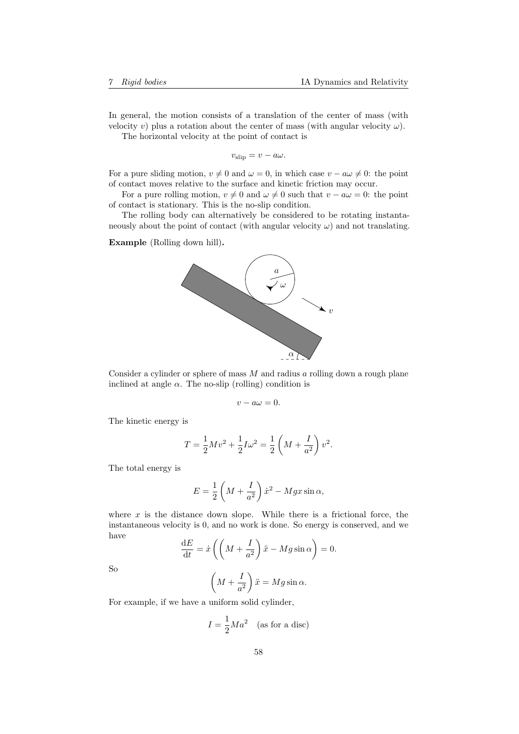In general, the motion consists of a translation of the center of mass (with velocity v) plus a rotation about the center of mass (with angular velocity  $\omega$ ). The horizontal velocity at the point of contact is

 $v_{\text{slip}} = v - a\omega.$ 

For a pure sliding motion,  $v \neq 0$  and  $\omega = 0$ , in which case  $v - a\omega \neq 0$ : the point of contact moves relative to the surface and kinetic friction may occur.

For a pure rolling motion,  $v \neq 0$  and  $\omega \neq 0$  such that  $v - a\omega = 0$ : the point of contact is stationary. This is the no-slip condition.

The rolling body can alternatively be considered to be rotating instantaneously about the point of contact (with angular velocity  $\omega$ ) and not translating.

Example (Rolling down hill).



Consider a cylinder or sphere of mass  $M$  and radius  $a$  rolling down a rough plane inclined at angle  $\alpha$ . The no-slip (rolling) condition is

$$
v - a\omega = 0.
$$

The kinetic energy is

$$
T = \frac{1}{2}Mv^{2} + \frac{1}{2}I\omega^{2} = \frac{1}{2}\left(M + \frac{I}{a^{2}}\right)v^{2}.
$$

The total energy is

$$
E = \frac{1}{2} \left( M + \frac{I}{a^2} \right) \dot{x}^2 - Mgx \sin \alpha,
$$

where  $x$  is the distance down slope. While there is a frictional force, the instantaneous velocity is 0, and no work is done. So energy is conserved, and we have

$$
\frac{\mathrm{d}E}{\mathrm{d}t} = \dot{x} \left( \left( M + \frac{I}{a^2} \right) \ddot{x} - Mg \sin \alpha \right) = 0.
$$

So

$$
\left(M + \frac{I}{a^2}\right)\ddot{x} = Mg\sin\alpha.
$$

For example, if we have a uniform solid cylinder,

$$
I = \frac{1}{2}Ma^2 \quad \text{(as for a disc)}
$$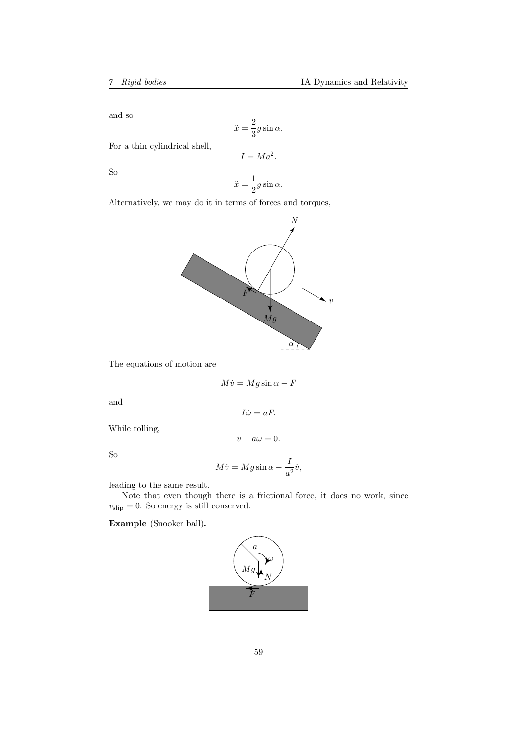and so

$$
\ddot{x} = \frac{2}{3}g\sin\alpha.
$$

For a thin cylindrical shell,

$$
I = Ma^2.
$$

So

$$
\ddot{x} = \frac{1}{2}g\sin\alpha.
$$

Alternatively, we may do it in terms of forces and torques,



The equations of motion are

$$
M\dot{v} = Mg\sin\alpha - F
$$

 $I\dot{\omega} = aF.$ 

 $\dot{v} - a\dot{\omega} = 0.$ 

and

While rolling,

So

$$
M\dot{v} = Mg\sin\alpha - \frac{I}{a^2}\dot{v},
$$

leading to the same result.

Note that even though there is a frictional force, it does no work, since  $v_{\text{slip}} = 0$ . So energy is still conserved.

Example (Snooker ball).

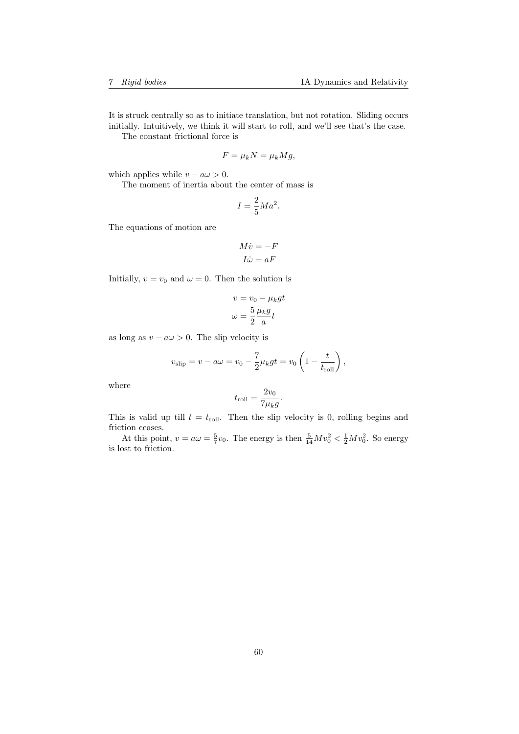It is struck centrally so as to initiate translation, but not rotation. Sliding occurs initially. Intuitively, we think it will start to roll, and we'll see that's the case.

The constant frictional force is

$$
F = \mu_k N = \mu_k Mg,
$$

which applies while  $v - a\omega > 0$ .

The moment of inertia about the center of mass is

$$
I = \frac{2}{5}Ma^2.
$$

The equations of motion are

$$
M\dot{v} = -F
$$

$$
I\dot{\omega} = aF
$$

Initially,  $v = v_0$  and  $\omega = 0$ . Then the solution is

$$
v = v_0 - \mu_k gt
$$

$$
\omega = \frac{5}{2} \frac{\mu_k g}{a} t
$$

as long as  $v - a\omega > 0$ . The slip velocity is

$$
v_{\text{slip}} = v - a\omega = v_0 - \frac{7}{2}\mu_k gt = v_0 \left(1 - \frac{t}{t_{\text{roll}}}\right),
$$

where

$$
t_{\text{roll}} = \frac{2v_0}{7\mu_k g}.
$$

This is valid up till  $t = t_{roll}$ . Then the slip velocity is 0, rolling begins and friction ceases.

At this point,  $v = a\omega = \frac{5}{7}v_0$ . The energy is then  $\frac{5}{14}Mv_0^2 < \frac{1}{2}Mv_0^2$ . So energy is lost to friction.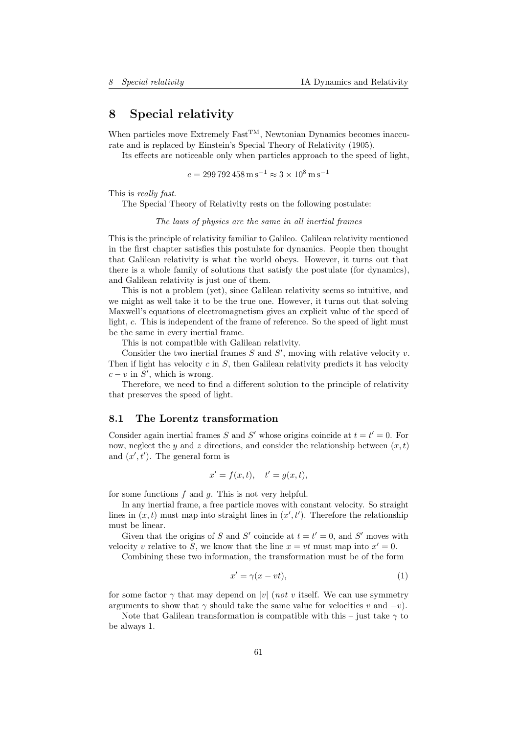# 8 Special relativity

When particles move Extremely  $Fast^{TM}$ , Newtonian Dynamics becomes inaccurate and is replaced by Einstein's Special Theory of Relativity (1905).

Its effects are noticeable only when particles approach to the speed of light,

 $c = 299\,792\,458\,\mathrm{m\,s}^{-1} \approx 3\times10^8\,\mathrm{m\,s}^{-1}$ 

This is really fast.

The Special Theory of Relativity rests on the following postulate:

The laws of physics are the same in all inertial frames

This is the principle of relativity familiar to Galileo. Galilean relativity mentioned in the first chapter satisfies this postulate for dynamics. People then thought that Galilean relativity is what the world obeys. However, it turns out that there is a whole family of solutions that satisfy the postulate (for dynamics), and Galilean relativity is just one of them.

This is not a problem (yet), since Galilean relativity seems so intuitive, and we might as well take it to be the true one. However, it turns out that solving Maxwell's equations of electromagnetism gives an explicit value of the speed of light, c. This is independent of the frame of reference. So the speed of light must be the same in every inertial frame.

This is not compatible with Galilean relativity.

Consider the two inertial frames  $S$  and  $S'$ , moving with relative velocity  $v$ . Then if light has velocity  $c$  in  $S$ , then Galilean relativity predicts it has velocity  $c - v$  in  $S'$ , which is wrong.

Therefore, we need to find a different solution to the principle of relativity that preserves the speed of light.

## 8.1 The Lorentz transformation

Consider again inertial frames S and S' whose origins coincide at  $t = t' = 0$ . For now, neglect the y and z directions, and consider the relationship between  $(x, t)$ and  $(x', t')$ . The general form is

$$
x' = f(x, t), \quad t' = g(x, t),
$$

for some functions  $f$  and  $g$ . This is not very helpful.

In any inertial frame, a free particle moves with constant velocity. So straight lines in  $(x, t)$  must map into straight lines in  $(x', t')$ . Therefore the relationship must be linear.

Given that the origins of S and S' coincide at  $t = t' = 0$ , and S' moves with velocity v relative to S, we know that the line  $x = vt$  must map into  $x' = 0$ .

Combining these two information, the transformation must be of the form

$$
x' = \gamma(x - vt),\tag{1}
$$

for some factor  $\gamma$  that may depend on |v| (not v itself. We can use symmetry arguments to show that  $\gamma$  should take the same value for velocities v and  $-v$ ).

Note that Galilean transformation is compatible with this – just take  $\gamma$  to be always 1.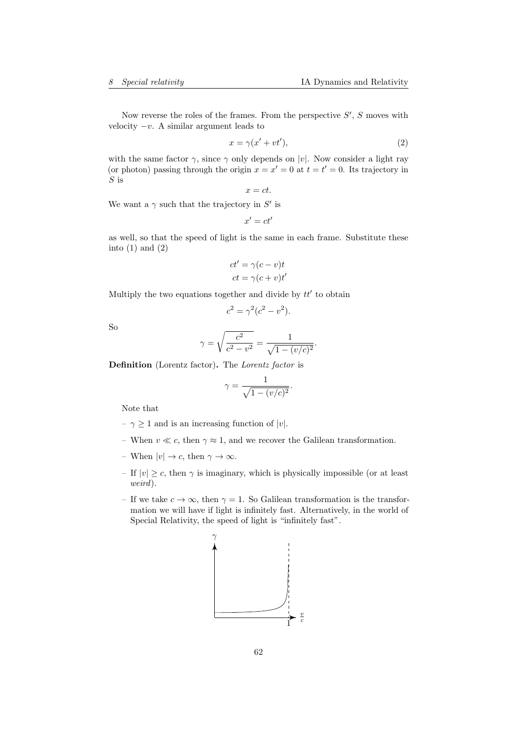Now reverse the roles of the frames. From the perspective  $S'$ ,  $S$  moves with velocity  $-v$ . A similar argument leads to

$$
x = \gamma(x' + vt'),\tag{2}
$$

with the same factor  $\gamma$ , since  $\gamma$  only depends on |v|. Now consider a light ray (or photon) passing through the origin  $x = x' = 0$  at  $t = t' = 0$ . Its trajectory in  $S$  is

$$
x=ct.
$$

We want a  $\gamma$  such that the trajectory in S' is

$$
x'=ct'
$$

as well, so that the speed of light is the same in each frame. Substitute these into  $(1)$  and  $(2)$ 

$$
ct' = \gamma(c - v)t
$$

$$
ct = \gamma(c + v)t'
$$

Multiply the two equations together and divide by  $tt'$  to obtain

$$
c^2=\gamma^2(c^2-v^2).
$$

So

$$
\gamma = \sqrt{\frac{c^2}{c^2 - v^2}} = \frac{1}{\sqrt{1 - (v/c)^2}}.
$$

Definition (Lorentz factor). The Lorentz factor is

$$
\gamma = \frac{1}{\sqrt{1 - (v/c)^2}}.
$$

Note that

- $-\gamma \geq 1$  and is an increasing function of  $|v|$ .
- When  $v \ll c$ , then  $\gamma \approx 1$ , and we recover the Galilean transformation.
- When  $|v| \to c$ , then  $\gamma \to \infty$ .
- If  $|v| \geq c$ , then  $\gamma$  is imaginary, which is physically impossible (or at least weird).
- If we take  $c \to \infty$ , then  $\gamma = 1$ . So Galilean transformation is the transformation we will have if light is infinitely fast. Alternatively, in the world of Special Relativity, the speed of light is "infinitely fast".

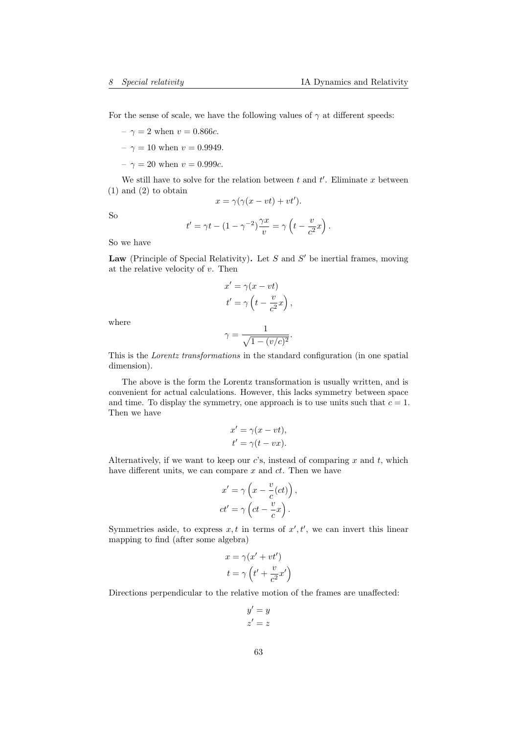For the sense of scale, we have the following values of  $\gamma$  at different speeds:

- $-\gamma = 2$  when  $v = 0.866c$ .
- $\gamma = 10$  when  $v = 0.9949$ .
- $\gamma = 20$  when  $v = 0.999c$ .

We still have to solve for the relation between  $t$  and  $t'$ . Eliminate x between (1) and (2) to obtain

$$
x = \gamma(\gamma(x - vt) + vt').
$$

So

$$
t' = \gamma t - (1 - \gamma^{-2}) \frac{\gamma x}{v} = \gamma \left( t - \frac{v}{c^2} x \right).
$$

So we have

Law (Principle of Special Relativity). Let  $S$  and  $S'$  be inertial frames, moving at the relative velocity of  $v$ . Then

$$
x' = \gamma(x - vt)
$$
  

$$
t' = \gamma \left( t - \frac{v}{c^2} x \right),
$$

where

$$
\gamma = \frac{1}{\sqrt{1 - (v/c)^2}}.
$$

This is the Lorentz transformations in the standard configuration (in one spatial dimension).

The above is the form the Lorentz transformation is usually written, and is convenient for actual calculations. However, this lacks symmetry between space and time. To display the symmetry, one approach is to use units such that  $c = 1$ . Then we have

$$
x' = \gamma(x - vt),
$$
  

$$
t' = \gamma(t - vx).
$$

Alternatively, if we want to keep our  $c$ 's, instead of comparing  $x$  and  $t$ , which have different units, we can compare  $x$  and  $ct$ . Then we have

$$
x' = \gamma \left( x - \frac{v}{c}(ct) \right),
$$
  

$$
ct' = \gamma \left( ct - \frac{v}{c} x \right).
$$

Symmetries aside, to express  $x, t$  in terms of  $x', t'$ , we can invert this linear mapping to find (after some algebra)

$$
x = \gamma(x' + vt')
$$

$$
t = \gamma \left( t' + \frac{v}{c^2} x' \right)
$$

Directions perpendicular to the relative motion of the frames are unaffected:

$$
\begin{array}{c} y' = y \\ z' = z \end{array}
$$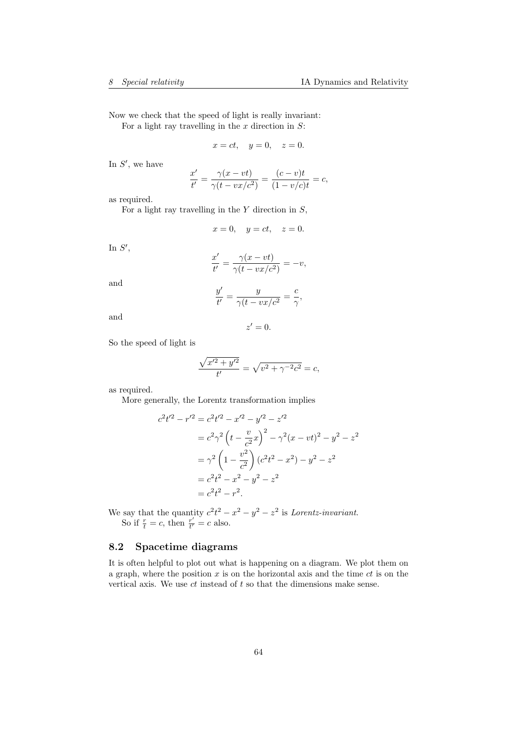Now we check that the speed of light is really invariant: For a light ray travelling in the  $x$  direction in  $S$ :

$$
x = ct, \quad y = 0, \quad z = 0.
$$

In  $S'$ , we have

$$
\frac{x'}{t'} = \frac{\gamma(x - vt)}{\gamma(t - vx/c^2)} = \frac{(c - v)t}{(1 - v/c)t} = c,
$$

as required.

For a light ray travelling in the  $Y$  direction in  $S$ ,

$$
x = 0, \quad y = ct, \quad z = 0.
$$

In  $S'$ ,

$$
\frac{x'}{t'} = \frac{\gamma(x - vt)}{\gamma(t - vx/c^2)} = -v,
$$

and

$$
\frac{y'}{t'} = \frac{y}{\gamma(t - vx/c^2)} = \frac{c}{\gamma},
$$

and

$$
z'=0.
$$

So the speed of light is

$$
\frac{\sqrt{x'^2 + y'^2}}{t'} = \sqrt{v^2 + \gamma^{-2}c^2} = c,
$$

as required.

More generally, the Lorentz transformation implies

$$
c^{2}t'^{2} - r'^{2} = c^{2}t'^{2} - x'^{2} - y'^{2} - z'^{2}
$$
  
=  $c^{2}\gamma^{2}\left(t - \frac{v}{c^{2}}x\right)^{2} - \gamma^{2}(x - vt)^{2} - y^{2} - z^{2}$   
=  $\gamma^{2}\left(1 - \frac{v^{2}}{c^{2}}\right)(c^{2}t^{2} - x^{2}) - y^{2} - z^{2}$   
=  $c^{2}t^{2} - x^{2} - y^{2} - z^{2}$   
=  $c^{2}t^{2} - r^{2}$ .

We say that the quantity  $c^2t^2 - x^2 - y^2 - z^2$  is *Lorentz-invariant*. So if  $\frac{r}{t} = c$ , then  $\frac{r'}{t'}$  $\frac{r}{t'} = c$  also.

# 8.2 Spacetime diagrams

It is often helpful to plot out what is happening on a diagram. We plot them on a graph, where the position  $x$  is on the horizontal axis and the time  $ct$  is on the vertical axis. We use  $ct$  instead of  $t$  so that the dimensions make sense.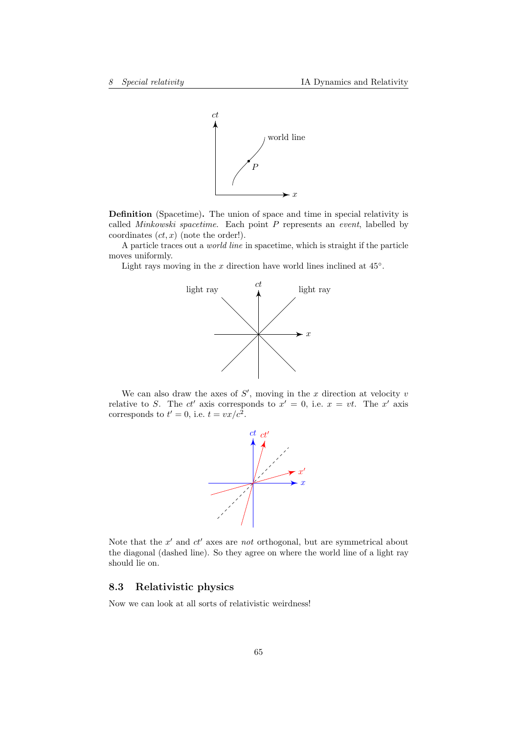

Definition (Spacetime). The union of space and time in special relativity is called Minkowski spacetime. Each point P represents an event, labelled by coordinates  $(ct, x)$  (note the order!).

A particle traces out a world line in spacetime, which is straight if the particle moves uniformly.

Light rays moving in the  $x$  direction have world lines inclined at  $45°$ .



We can also draw the axes of  $S'$ , moving in the x direction at velocity  $v$ relative to S. The  $ct'$  axis corresponds to  $x' = 0$ , i.e.  $x = vt$ . The  $x'$  axis corresponds to  $t' = 0$ , i.e.  $t = vx/c^2$ .



Note that the  $x'$  and  $ct'$  axes are not orthogonal, but are symmetrical about the diagonal (dashed line). So they agree on where the world line of a light ray should lie on.

# 8.3 Relativistic physics

Now we can look at all sorts of relativistic weirdness!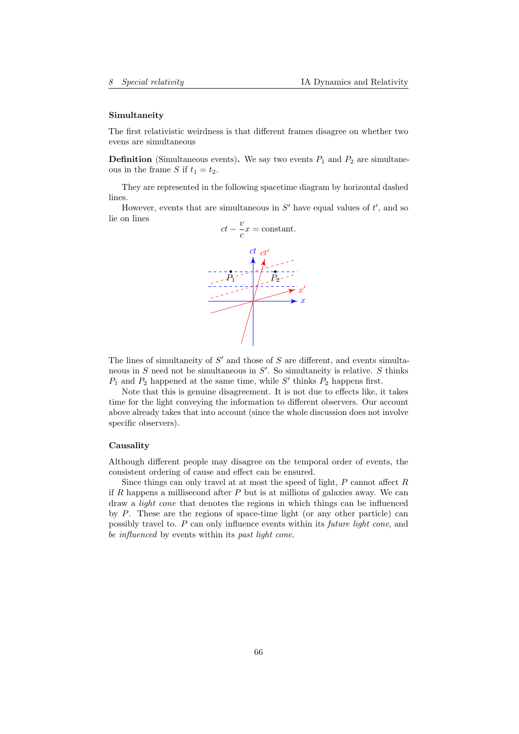#### Simultaneity

The first relativistic weirdness is that different frames disagree on whether two evens are simultaneous

**Definition** (Simultaneous events). We say two events  $P_1$  and  $P_2$  are simultaneous in the frame S if  $t_1 = t_2$ .

They are represented in the following spacetime diagram by horizontal dashed lines.

However, events that are simultaneous in  $S'$  have equal values of  $t'$ , and so lie on lines



The lines of simultaneity of  $S'$  and those of  $S$  are different, and events simultaneous in  $S$  need not be simultaneous in  $S'$ . So simultaneity is relative.  $S$  thinks  $P_1$  and  $P_2$  happened at the same time, while S' thinks  $P_2$  happens first.

Note that this is genuine disagreement. It is not due to effects like, it takes time for the light conveying the information to different observers. Our account above already takes that into account (since the whole discussion does not involve specific observers).

#### **Causality**

Although different people may disagree on the temporal order of events, the consistent ordering of cause and effect can be ensured.

Since things can only travel at at most the speed of light,  $P$  cannot affect  $R$ if R happens a millisecond after  $P$  but is at millions of galaxies away. We can draw a *light cone* that denotes the regions in which things can be influenced by P. These are the regions of space-time light (or any other particle) can possibly travel to. P can only influence events within its future light cone, and be influenced by events within its past light cone.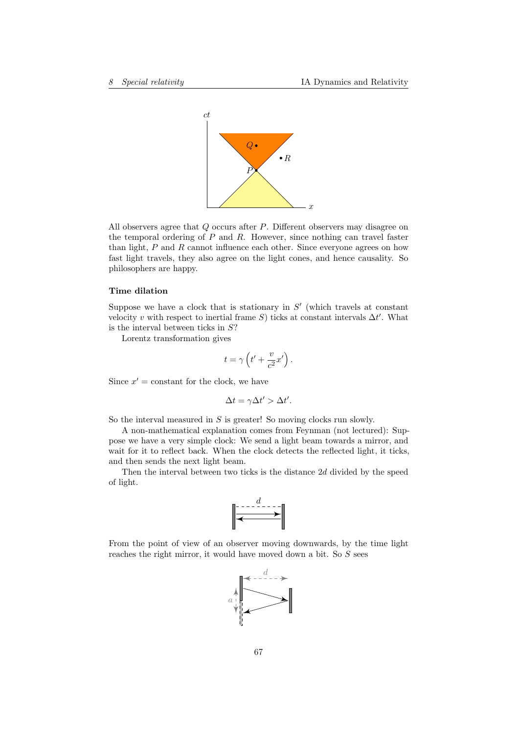

All observers agree that Q occurs after P. Different observers may disagree on the temporal ordering of  $P$  and  $R$ . However, since nothing can travel faster than light,  $P$  and  $R$  cannot influence each other. Since everyone agrees on how fast light travels, they also agree on the light cones, and hence causality. So philosophers are happy.

## Time dilation

Suppose we have a clock that is stationary in  $S'$  (which travels at constant velocity v with respect to inertial frame  $S$ ) ticks at constant intervals  $\Delta t'$ . What is the interval between ticks in  $S$ ?

Lorentz transformation gives

$$
t = \gamma \left( t' + \frac{v}{c^2} x' \right).
$$

Since  $x' =$  constant for the clock, we have

$$
\Delta t = \gamma \Delta t' > \Delta t'.
$$

So the interval measured in  $S$  is greater! So moving clocks run slowly.

A non-mathematical explanation comes from Feynman (not lectured): Suppose we have a very simple clock: We send a light beam towards a mirror, and wait for it to reflect back. When the clock detects the reflected light, it ticks, and then sends the next light beam.

Then the interval between two ticks is the distance 2d divided by the speed of light.



From the point of view of an observer moving downwards, by the time light reaches the right mirror, it would have moved down a bit. So S sees

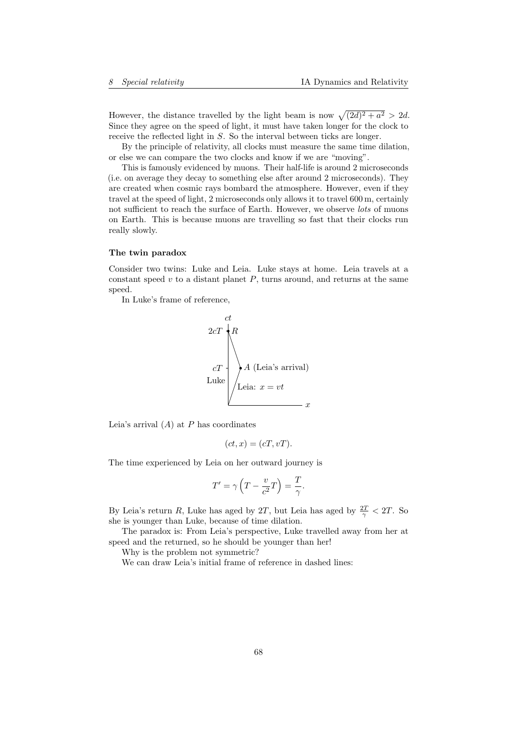However, the distance travelled by the light beam is now  $\sqrt{(2d)^2 + a^2} > 2d$ . Since they agree on the speed of light, it must have taken longer for the clock to receive the reflected light in S. So the interval between ticks are longer.

By the principle of relativity, all clocks must measure the same time dilation, or else we can compare the two clocks and know if we are "moving".

This is famously evidenced by muons. Their half-life is around 2 microseconds (i.e. on average they decay to something else after around 2 microseconds). They are created when cosmic rays bombard the atmosphere. However, even if they travel at the speed of light, 2 microseconds only allows it to travel 600 m, certainly not sufficient to reach the surface of Earth. However, we observe *lots* of muons on Earth. This is because muons are travelling so fast that their clocks run really slowly.

# The twin paradox

Consider two twins: Luke and Leia. Luke stays at home. Leia travels at a constant speed  $v$  to a distant planet  $P$ , turns around, and returns at the same speed.

In Luke's frame of reference,

$$
cT
$$
\n
$$
cT
$$
\n
$$
Luke
$$
\n
$$
L take
$$
\n
$$
L take
$$
\n
$$
L eia: x = vt
$$

Leia's arrival  $(A)$  at P has coordinates

$$
(ct, x) = (cT, vT).
$$

The time experienced by Leia on her outward journey is

$$
T' = \gamma \left( T - \frac{v}{c^2} T \right) = \frac{T}{\gamma}.
$$

By Leia's return R, Luke has aged by 2T, but Leia has aged by  $\frac{2T}{\gamma} < 2T$ . So she is younger than Luke, because of time dilation.

The paradox is: From Leia's perspective, Luke travelled away from her at speed and the returned, so he should be younger than her!

Why is the problem not symmetric?

We can draw Leia's initial frame of reference in dashed lines: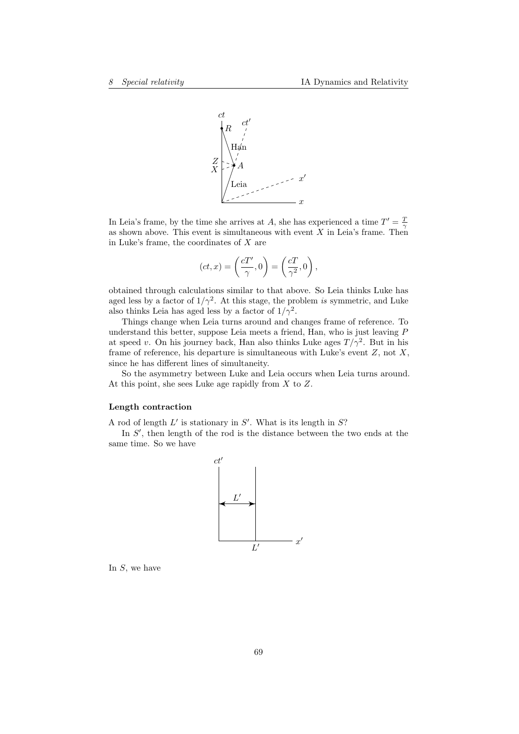

In Leia's frame, by the time she arrives at A, she has experienced a time  $T' = \frac{7}{2}$ as shown above. This event is simultaneous with event  $X$  in Leia's frame. Then in Luke's frame, the coordinates of  $X$  are

$$
(ct, x) = \left(\frac{cT'}{\gamma}, 0\right) = \left(\frac{cT}{\gamma^2}, 0\right),
$$

obtained through calculations similar to that above. So Leia thinks Luke has aged less by a factor of  $1/\gamma^2$ . At this stage, the problem is symmetric, and Luke also thinks Leia has aged less by a factor of  $1/\gamma^2$ .

Things change when Leia turns around and changes frame of reference. To understand this better, suppose Leia meets a friend, Han, who is just leaving  $P$ at speed v. On his journey back, Han also thinks Luke ages  $T/\gamma^2$ . But in his frame of reference, his departure is simultaneous with Luke's event  $Z$ , not  $X$ , since he has different lines of simultaneity.

So the asymmetry between Luke and Leia occurs when Leia turns around. At this point, she sees Luke age rapidly from  $X$  to  $Z$ .

### Length contraction

A rod of length  $L'$  is stationary in  $S'$ . What is its length in  $S$ ?

In  $S'$ , then length of the rod is the distance between the two ends at the same time. So we have



In  $S$ , we have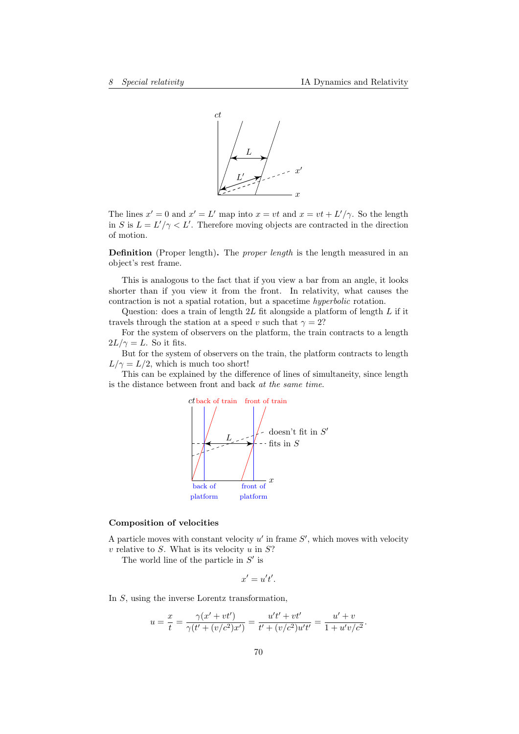

The lines  $x' = 0$  and  $x' = L'$  map into  $x = vt$  and  $x = vt + L'/\gamma$ . So the length in S is  $L = L'/\gamma < L'$ . Therefore moving objects are contracted in the direction of motion.

Definition (Proper length). The *proper length* is the length measured in an object's rest frame.

This is analogous to the fact that if you view a bar from an angle, it looks shorter than if you view it from the front. In relativity, what causes the contraction is not a spatial rotation, but a spacetime hyperbolic rotation.

Question: does a train of length  $2L$  fit alongside a platform of length  $L$  if it travels through the station at a speed v such that  $\gamma = 2$ ?

For the system of observers on the platform, the train contracts to a length  $2L/\gamma = L$ . So it fits.

But for the system of observers on the train, the platform contracts to length  $L/\gamma = L/2$ , which is much too short!

This can be explained by the difference of lines of simultaneity, since length is the distance between front and back at the same time.



#### Composition of velocities

A particle moves with constant velocity  $u'$  in frame  $S'$ , which moves with velocity  $v$  relative to  $S$ . What is its velocity  $u$  in  $S$ ?

The world line of the particle in  $S'$  is

$$
x'=u't'.
$$

In S, using the inverse Lorentz transformation,

$$
u = \frac{x}{t} = \frac{\gamma(x' + vt')}{\gamma(t' + (v/c^2)x')} = \frac{u't' + vt'}{t' + (v/c^2)u't'} = \frac{u' + v}{1 + u'v/c^2}.
$$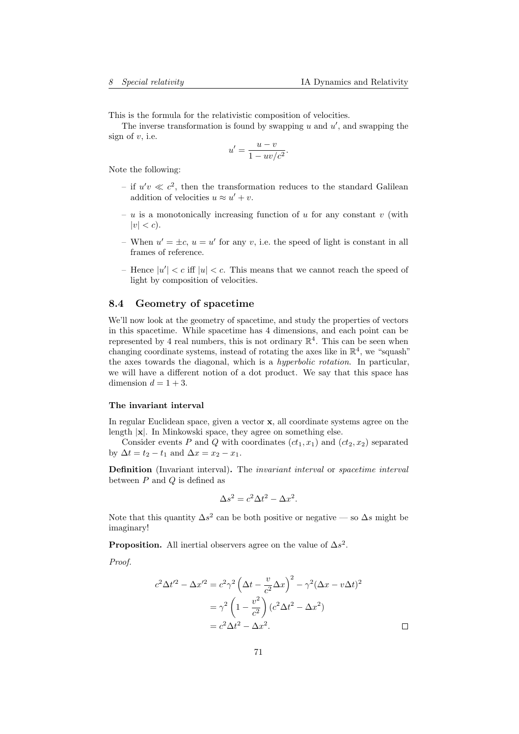This is the formula for the relativistic composition of velocities.

The inverse transformation is found by swapping  $u$  and  $u'$ , and swapping the sign of  $v$ , i.e.

$$
u' = \frac{u - v}{1 - uv/c^2}.
$$

Note the following:

- if  $u'v \ll c^2$ , then the transformation reduces to the standard Galilean addition of velocities  $u \approx u' + v$ .
- $u$  is a monotonically increasing function of  $u$  for any constant  $v$  (with  $|v| < c$ ).
- When  $u' = \pm c$ ,  $u = u'$  for any v, i.e. the speed of light is constant in all frames of reference.
- Hence  $|u'| < c$  iff  $|u| < c$ . This means that we cannot reach the speed of light by composition of velocities.

# 8.4 Geometry of spacetime

We'll now look at the geometry of spacetime, and study the properties of vectors in this spacetime. While spacetime has 4 dimensions, and each point can be represented by 4 real numbers, this is not ordinary  $\mathbb{R}^4$ . This can be seen when changing coordinate systems, instead of rotating the axes like in  $\mathbb{R}^4$ , we "squash" the axes towards the diagonal, which is a hyperbolic rotation. In particular, we will have a different notion of a dot product. We say that this space has dimension  $d = 1 + 3$ .

#### The invariant interval

In regular Euclidean space, given a vector  $x$ , all coordinate systems agree on the length  $|x|$ . In Minkowski space, they agree on something else.

Consider events P and Q with coordinates  $(ct_1, x_1)$  and  $(ct_2, x_2)$  separated by  $\Delta t = t_2 - t_1$  and  $\Delta x = x_2 - x_1$ .

Definition (Invariant interval). The invariant interval or spacetime interval between  $P$  and  $Q$  is defined as

$$
\Delta s^2 = c^2 \Delta t^2 - \Delta x^2.
$$

Note that this quantity  $\Delta s^2$  can be both positive or negative — so  $\Delta s$  might be imaginary!

**Proposition.** All inertial observers agree on the value of  $\Delta s^2$ .

Proof.

$$
c^2 \Delta t'^2 - \Delta x'^2 = c^2 \gamma^2 \left(\Delta t - \frac{v}{c^2} \Delta x\right)^2 - \gamma^2 (\Delta x - v \Delta t)^2
$$

$$
= \gamma^2 \left(1 - \frac{v^2}{c^2}\right) (c^2 \Delta t^2 - \Delta x^2)
$$

$$
= c^2 \Delta t^2 - \Delta x^2.
$$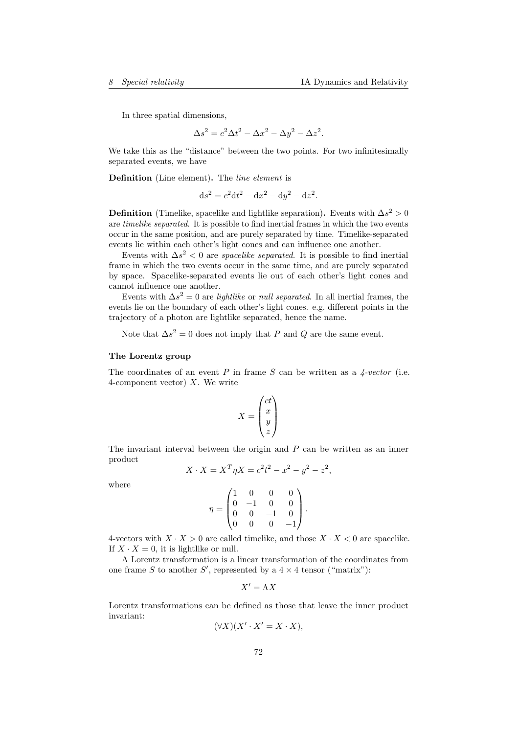In three spatial dimensions,

$$
\Delta s^2 = c^2 \Delta t^2 - \Delta x^2 - \Delta y^2 - \Delta z^2.
$$

We take this as the "distance" between the two points. For two infinitesimally separated events, we have

Definition (Line element). The line element is

 $ds^2 = c^2 dt^2 - dx^2 - dy^2 - dz^2.$ 

**Definition** (Timelike, spacelike and lightlike separation). Events with  $\Delta s^2 > 0$ are timelike separated. It is possible to find inertial frames in which the two events occur in the same position, and are purely separated by time. Timelike-separated events lie within each other's light cones and can influence one another.

Events with  $\Delta s^2 < 0$  are *spacelike separated*. It is possible to find inertial frame in which the two events occur in the same time, and are purely separated by space. Spacelike-separated events lie out of each other's light cones and cannot influence one another.

Events with  $\Delta s^2 = 0$  are *lightlike* or *null separated*. In all inertial frames, the events lie on the boundary of each other's light cones. e.g. different points in the trajectory of a photon are lightlike separated, hence the name.

Note that  $\Delta s^2 = 0$  does not imply that P and Q are the same event.

### The Lorentz group

The coordinates of an event P in frame S can be written as a  $\frac{1}{4} \cdot vector$  (i.e. 4-component vector)  $X$ . We write

$$
X = \begin{pmatrix} ct \\ x \\ y \\ z \end{pmatrix}
$$

The invariant interval between the origin and  $P$  can be written as an inner product

$$
X \cdot X = X^T \eta X = c^2 t^2 - x^2 - y^2 - z^2,
$$

where

$$
\eta = \begin{pmatrix} 1 & 0 & 0 & 0 \\ 0 & -1 & 0 & 0 \\ 0 & 0 & -1 & 0 \\ 0 & 0 & 0 & -1 \end{pmatrix}.
$$

4-vectors with  $X \cdot X > 0$  are called timelike, and those  $X \cdot X < 0$  are spacelike. If  $X \cdot X = 0$ , it is lightlike or null.

A Lorentz transformation is a linear transformation of the coordinates from one frame S to another S', represented by a  $4 \times 4$  tensor ("matrix"):

$$
X'=\Lambda X
$$

Lorentz transformations can be defined as those that leave the inner product invariant:

$$
(\forall X)(X' \cdot X' = X \cdot X),
$$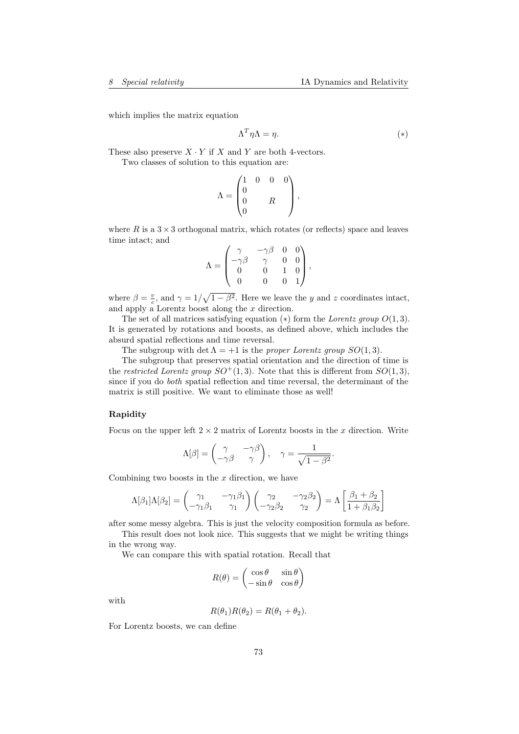which implies the matrix equation

$$
\Lambda^T \eta \Lambda = \eta. \tag{*}
$$

These also preserve  $X \cdot Y$  if X and Y are both 4-vectors. Two classes of solution to this equation are:

$$
\Lambda = \begin{pmatrix} 1 & 0 & 0 & 0 \\ 0 & & & \\ 0 & & R & \\ 0 & & & \end{pmatrix},
$$

where R is a  $3 \times 3$  orthogonal matrix, which rotates (or reflects) space and leaves time intact; and

$$
\Lambda = \begin{pmatrix} \gamma & -\gamma\beta & 0 & 0 \\ -\gamma\beta & \gamma & 0 & 0 \\ 0 & 0 & 1 & 0 \\ 0 & 0 & 0 & 1 \end{pmatrix},
$$

where  $\beta = \frac{v}{c}$ , and  $\gamma = 1/\sqrt{1-\beta^2}$ . Here we leave the y and z coordinates intact, and apply a Lorentz boost along the x direction.

The set of all matrices satisfying equation  $(*)$  form the Lorentz group  $O(1,3)$ . It is generated by rotations and boosts, as defined above, which includes the absurd spatial reflections and time reversal.

The subgroup with det  $\Lambda = +1$  is the proper Lorentz group  $SO(1,3)$ .

The subgroup that preserves spatial orientation and the direction of time is the restricted Lorentz group  $SO^+(1,3)$ . Note that this is different from  $SO(1,3)$ , since if you do both spatial reflection and time reversal, the determinant of the matrix is still positive. We want to eliminate those as well!

## Rapidity

Focus on the upper left  $2 \times 2$  matrix of Lorentz boosts in the x direction. Write

$$
\Lambda[\beta] = \begin{pmatrix} \gamma & -\gamma \beta \\ -\gamma \beta & \gamma \end{pmatrix}, \quad \gamma = \frac{1}{\sqrt{1 - \beta^2}}.
$$

Combining two boosts in the  $x$  direction, we have

$$
\Lambda[\beta_1]\Lambda[\beta_2] = \begin{pmatrix} \gamma_1 & -\gamma_1\beta_1 \\ -\gamma_1\beta_1 & \gamma_1 \end{pmatrix} \begin{pmatrix} \gamma_2 & -\gamma_2\beta_2 \\ -\gamma_2\beta_2 & \gamma_2 \end{pmatrix} = \Lambda \begin{bmatrix} \beta_1 + \beta_2 \\ 1 + \beta_1\beta_2 \end{bmatrix}
$$

after some messy algebra. This is just the velocity composition formula as before.

This result does not look nice. This suggests that we might be writing things in the wrong way.

We can compare this with spatial rotation. Recall that

$$
R(\theta) = \begin{pmatrix} \cos \theta & \sin \theta \\ -\sin \theta & \cos \theta \end{pmatrix}
$$

with

$$
R(\theta_1)R(\theta_2) = R(\theta_1 + \theta_2).
$$

For Lorentz boosts, we can define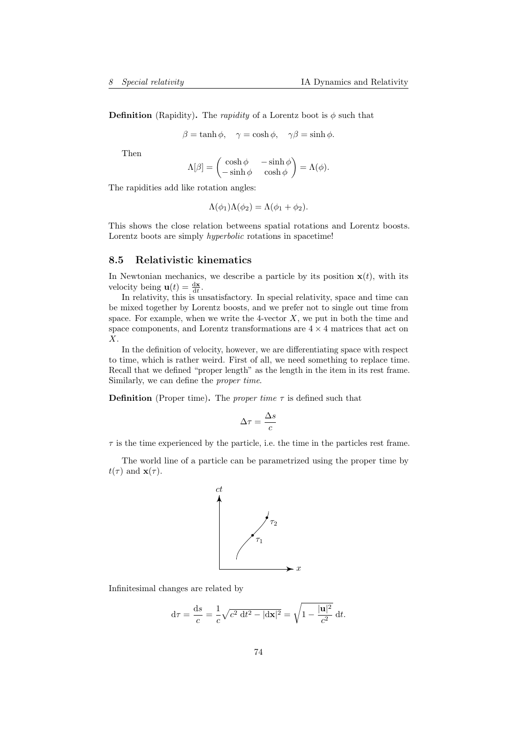**Definition** (Rapidity). The *rapidity* of a Lorentz boot is  $\phi$  such that

$$
\beta = \tanh \phi, \quad \gamma = \cosh \phi, \quad \gamma \beta = \sinh \phi.
$$

Then

$$
\Lambda[\beta] = \begin{pmatrix} \cosh \phi & -\sinh \phi \\ -\sinh \phi & \cosh \phi \end{pmatrix} = \Lambda(\phi).
$$

The rapidities add like rotation angles:

$$
\Lambda(\phi_1)\Lambda(\phi_2) = \Lambda(\phi_1 + \phi_2).
$$

This shows the close relation betweens spatial rotations and Lorentz boosts. Lorentz boots are simply hyperbolic rotations in spacetime!

## 8.5 Relativistic kinematics

In Newtonian mechanics, we describe a particle by its position  $\mathbf{x}(t)$ , with its velocity being  $\mathbf{u}(t) = \frac{d\mathbf{x}}{dt}$ .

In relativity, this is unsatisfactory. In special relativity, space and time can be mixed together by Lorentz boosts, and we prefer not to single out time from space. For example, when we write the 4-vector  $X$ , we put in both the time and space components, and Lorentz transformations are  $4 \times 4$  matrices that act on X.

In the definition of velocity, however, we are differentiating space with respect to time, which is rather weird. First of all, we need something to replace time. Recall that we defined "proper length" as the length in the item in its rest frame. Similarly, we can define the proper time.

**Definition** (Proper time). The *proper time*  $\tau$  is defined such that

$$
\Delta \tau = \frac{\Delta s}{c}
$$

 $\tau$  is the time experienced by the particle, i.e. the time in the particles rest frame.

The world line of a particle can be parametrized using the proper time by  $t(\tau)$  and  $\mathbf{x}(\tau)$ .



Infinitesimal changes are related by

$$
d\tau = \frac{ds}{c} = \frac{1}{c}\sqrt{c^2 dt^2 - |dx|^2} = \sqrt{1 - \frac{|u|^2}{c^2}} dt.
$$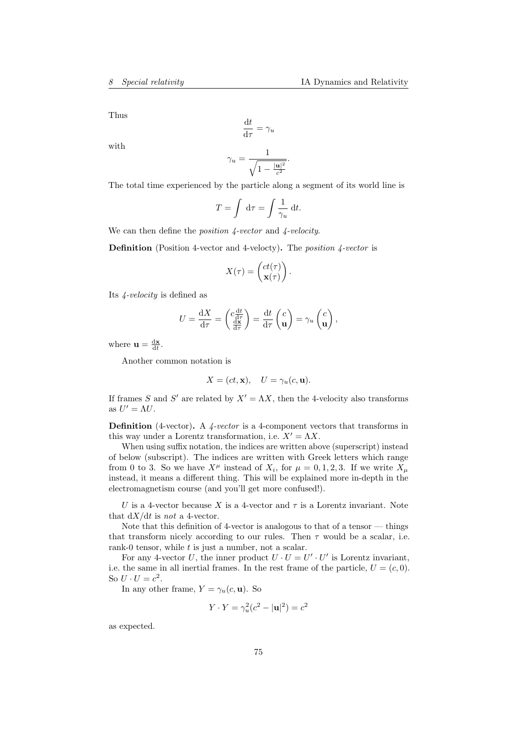Thus

$$
\frac{\mathrm{d}t}{\mathrm{d}\tau} = \gamma_u
$$

with

$$
\gamma_u = \frac{1}{\sqrt{1 - \frac{|\mathbf{u}|^2}{c^2}}}.
$$

The total time experienced by the particle along a segment of its world line is

$$
T = \int d\tau = \int \frac{1}{\gamma_u} dt.
$$

We can then define the *position 4-vector* and 4-velocity.

Definition (Position 4-vector and 4-velocty). The *position 4-vector* is

$$
X(\tau) = \begin{pmatrix} ct(\tau) \\ \mathbf{x}(\tau) \end{pmatrix}.
$$

Its 4-velocity is defined as

$$
U = \frac{dX}{d\tau} = \begin{pmatrix} c\frac{dt}{d\tau} \\ \frac{dx}{d\tau} \end{pmatrix} = \frac{dt}{d\tau} \begin{pmatrix} c \\ \mathbf{u} \end{pmatrix} = \gamma_u \begin{pmatrix} c \\ \mathbf{u} \end{pmatrix},
$$

where  $\mathbf{u} = \frac{d\mathbf{x}}{dt}$ .

Another common notation is

$$
X = (ct, \mathbf{x}), \quad U = \gamma_u(c, \mathbf{u}).
$$

If frames S and S' are related by  $X' = \Lambda X$ , then the 4-velocity also transforms as  $U' = \Lambda U$ .

**Definition** (4-vector). A  $\angle$ -vector is a 4-component vectors that transforms in this way under a Lorentz transformation, i.e.  $X' = \Lambda X$ .

When using suffix notation, the indices are written above (superscript) instead of below (subscript). The indices are written with Greek letters which range from 0 to 3. So we have  $X^{\mu}$  instead of  $X_i$ , for  $\mu = 0, 1, 2, 3$ . If we write  $X_{\mu}$ instead, it means a different thing. This will be explained more in-depth in the electromagnetism course (and you'll get more confused!).

U is a 4-vector because X is a 4-vector and  $\tau$  is a Lorentz invariant. Note that  $dX/dt$  is not a 4-vector.

Note that this definition of 4-vector is analogous to that of a tensor — things that transform nicely according to our rules. Then  $\tau$  would be a scalar, i.e. rank-0 tensor, while  $t$  is just a number, not a scalar.

For any 4-vector U, the inner product  $U \cdot U = U' \cdot U'$  is Lorentz invariant, i.e. the same in all inertial frames. In the rest frame of the particle,  $U = (c, 0)$ . So  $U \cdot U = c^2$ .

In any other frame,  $Y = \gamma_u(c, \mathbf{u})$ . So

$$
Y \cdot Y = \gamma_u^2 (c^2 - |\mathbf{u}|^2) = c^2
$$

as expected.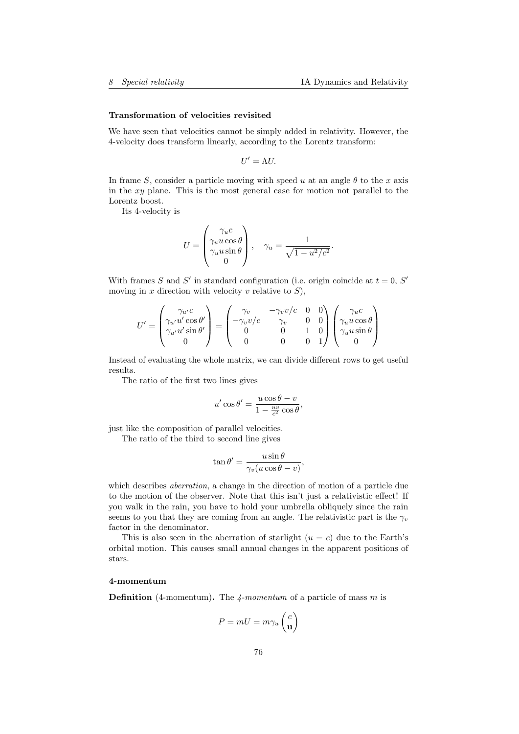#### Transformation of velocities revisited

We have seen that velocities cannot be simply added in relativity. However, the 4-velocity does transform linearly, according to the Lorentz transform:

$$
U'=\Lambda U.
$$

In frame S, consider a particle moving with speed u at an angle  $\theta$  to the x axis in the xy plane. This is the most general case for motion not parallel to the Lorentz boost.

Its 4-velocity is

$$
U = \begin{pmatrix} \gamma_u c \\ \gamma_u u \cos \theta \\ \gamma_u u \sin \theta \\ 0 \end{pmatrix}, \quad \gamma_u = \frac{1}{\sqrt{1 - u^2/c^2}}.
$$

With frames S and S' in standard configuration (i.e. origin coincide at  $t = 0$ , S' moving in x direction with velocity v relative to  $S$ ),

$$
U' = \begin{pmatrix} \gamma_{u'}c \\ \gamma_{u'}u'\cos\theta' \\ \gamma_{u'}u'\sin\theta' \\ 0 \end{pmatrix} = \begin{pmatrix} \gamma_v & -\gamma_v v/c & 0 & 0 \\ -\gamma_v v/c & \gamma_v & 0 & 0 \\ 0 & 0 & 1 & 0 \\ 0 & 0 & 0 & 1 \end{pmatrix} \begin{pmatrix} \gamma_u c \\ \gamma_u u \cos\theta \\ \gamma_u u \sin\theta \\ 0 \end{pmatrix}
$$

Instead of evaluating the whole matrix, we can divide different rows to get useful results.

The ratio of the first two lines gives

$$
u'\cos\theta' = \frac{u\cos\theta - v}{1 - \frac{uv}{c^2}\cos\theta},
$$

just like the composition of parallel velocities.

The ratio of the third to second line gives

$$
\tan \theta' = \frac{u \sin \theta}{\gamma_v (u \cos \theta - v)},
$$

which describes *aberration*, a change in the direction of motion of a particle due to the motion of the observer. Note that this isn't just a relativistic effect! If you walk in the rain, you have to hold your umbrella obliquely since the rain seems to you that they are coming from an angle. The relativistic part is the  $\gamma_v$ factor in the denominator.

This is also seen in the aberration of starlight  $(u = c)$  due to the Earth's orbital motion. This causes small annual changes in the apparent positions of stars.

#### 4-momentum

**Definition** (4-momentum). The  $\mu$ -momentum of a particle of mass m is

$$
P = mU = m\gamma_u \begin{pmatrix} c \\ \mathbf{u} \end{pmatrix}
$$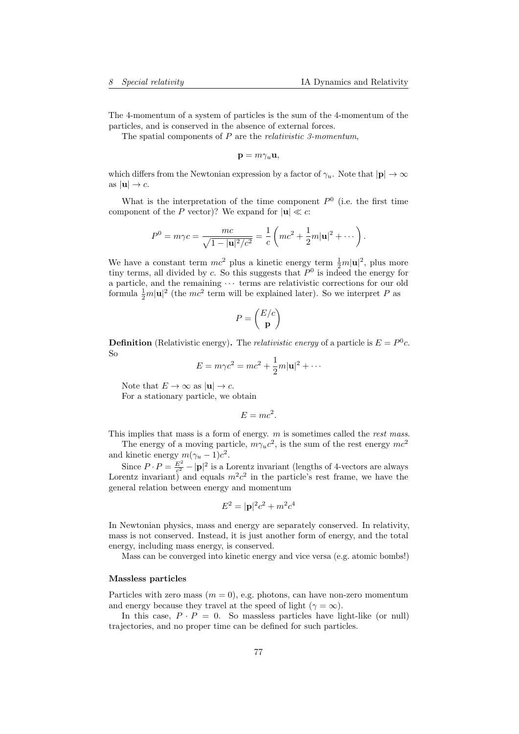The 4-momentum of a system of particles is the sum of the 4-momentum of the particles, and is conserved in the absence of external forces.

The spatial components of  $P$  are the *relativistic 3-momentum*,

$$
\mathbf{p}=m\gamma _{u}\mathbf{u,}
$$

which differs from the Newtonian expression by a factor of  $\gamma_u$ . Note that  $|\mathbf{p}| \to \infty$ as  $|\mathbf{u}| \to c$ .

What is the interpretation of the time component  $P^0$  (i.e. the first time component of the P vector)? We expand for  $|\mathbf{u}| \ll c$ :

$$
P^{0} = m\gamma c = \frac{mc}{\sqrt{1 - |\mathbf{u}|^{2}/c^{2}}} = \frac{1}{c} \left( mc^{2} + \frac{1}{2}m|\mathbf{u}|^{2} + \cdots \right).
$$

We have a constant term  $mc^2$  plus a kinetic energy term  $\frac{1}{2}m|\mathbf{u}|^2$ , plus more tiny terms, all divided by c. So this suggests that  $P^0$  is indeed the energy for a particle, and the remaining  $\cdots$  terms are relativistic corrections for our old formula  $\frac{1}{2}m|\mathbf{u}|^2$  (the  $mc^2$  term will be explained later). So we interpret P as

$$
P = \begin{pmatrix} E/c \\ \mathbf{p} \end{pmatrix}
$$

**Definition** (Relativistic energy). The *relativistic energy* of a particle is  $E = P^0 c$ . So

$$
E = m\gamma c^2 = mc^2 + \frac{1}{2}m|\mathbf{u}|^2 + \cdots
$$

Note that  $E \to \infty$  as  $|\mathbf{u}| \to c$ .

For a stationary particle, we obtain

$$
E = mc^2.
$$

This implies that mass is a form of energy.  $m$  is sometimes called the *rest mass*.

The energy of a moving particle,  $m\gamma_u c^2$ , is the sum of the rest energy  $mc^2$ and kinetic energy  $m(\gamma_u - 1)c^2$ .

Since  $P \cdot P = \frac{E^2}{c^2}$  $\frac{E^2}{c^2} - |\mathbf{p}|^2$  is a Lorentz invariant (lengths of 4-vectors are always Lorentz invariant) and equals  $m^2c^2$  in the particle's rest frame, we have the general relation between energy and momentum

$$
E^2 = |\mathbf{p}|^2 c^2 + m^2 c^4
$$

In Newtonian physics, mass and energy are separately conserved. In relativity, mass is not conserved. Instead, it is just another form of energy, and the total energy, including mass energy, is conserved.

Mass can be converged into kinetic energy and vice versa (e.g. atomic bombs!)

#### Massless particles

Particles with zero mass  $(m = 0)$ , e.g. photons, can have non-zero momentum and energy because they travel at the speed of light ( $\gamma = \infty$ ).

In this case,  $P \cdot P = 0$ . So massless particles have light-like (or null) trajectories, and no proper time can be defined for such particles.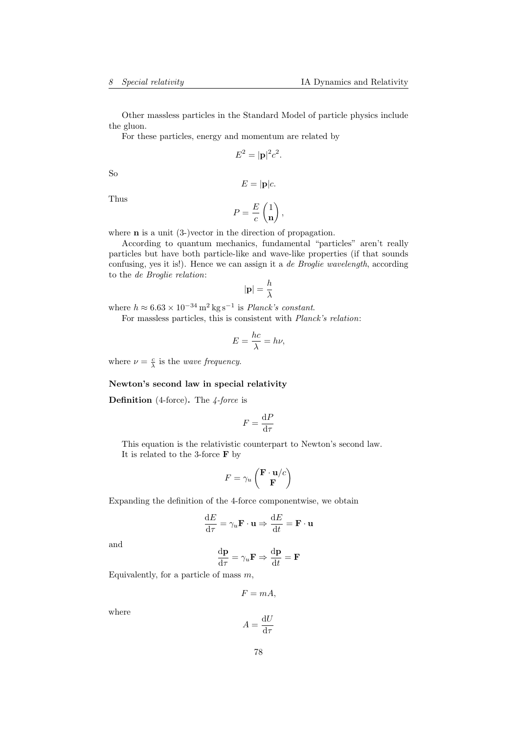Other massless particles in the Standard Model of particle physics include the gluon.

For these particles, energy and momentum are related by

$$
E^2 = |\mathbf{p}|^2 c^2.
$$

So

$$
E=|\mathbf{p}|c.
$$

Thus

$$
P = \frac{E}{c} \begin{pmatrix} 1 \\ \mathbf{n} \end{pmatrix},
$$

where **n** is a unit (3-)vector in the direction of propagation.

According to quantum mechanics, fundamental "particles" aren't really particles but have both particle-like and wave-like properties (if that sounds confusing, yes it is!). Hence we can assign it a de Broglie wavelength, according to the de Broglie relation:

$$
|\mathbf{p}|=\frac{h}{\lambda}
$$

where  $h \approx 6.63 \times 10^{-34} \,\mathrm{m}^2 \,\mathrm{kg \,s}^{-1}$  is *Planck's constant.* 

For massless particles, this is consistent with Planck's relation:

$$
E = \frac{hc}{\lambda} = h\nu,
$$

where  $\nu = \frac{c}{\lambda}$  is the *wave frequency*.

### Newton's second law in special relativity

**Definition** (4-force). The  $\frac{4}{7}$ -force is

$$
F=\frac{\mathrm{d}P}{\mathrm{d}\tau}
$$

This equation is the relativistic counterpart to Newton's second law. It is related to the 3-force F by

$$
F = \gamma_u \begin{pmatrix} \mathbf{F} \cdot \mathbf{u}/c \\ \mathbf{F} \end{pmatrix}
$$

Expanding the definition of the 4-force componentwise, we obtain

$$
\frac{\mathrm{d}E}{\mathrm{d}\tau} = \gamma_u \mathbf{F} \cdot \mathbf{u} \Rightarrow \frac{\mathrm{d}E}{\mathrm{d}t} = \mathbf{F} \cdot \mathbf{u}
$$

and

$$
\frac{\mathrm{d}\mathbf{p}}{\mathrm{d}\tau} = \gamma_u \mathbf{F} \Rightarrow \frac{\mathrm{d}\mathbf{p}}{\mathrm{d}t} = \mathbf{F}
$$

Equivalently, for a particle of mass  $m$ ,

$$
F=mA,
$$

where

$$
A = \frac{\mathrm{d}U}{\mathrm{d}\tau}
$$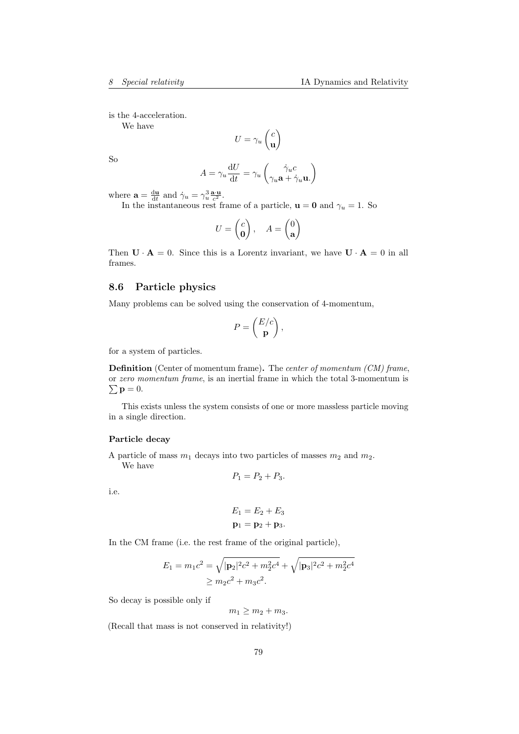is the 4-acceleration.

We have

$$
U = \gamma_u \begin{pmatrix} c \\ \mathbf{u} \end{pmatrix}
$$

So

$$
A = \gamma_u \frac{\mathrm{d}U}{\mathrm{d}t} = \gamma_u \begin{pmatrix} \dot{\gamma}_u c \\ \gamma_u \mathbf{a} + \dot{\gamma}_u \mathbf{u} \end{pmatrix}
$$

where  $\mathbf{a} = \frac{d\mathbf{u}}{dt}$  and  $\dot{\gamma}_u = \gamma_u^3 \frac{\mathbf{a} \cdot \mathbf{u}}{c^2}$ .

In the instantaneous rest frame of a particle,  $\mathbf{u} = \mathbf{0}$  and  $\gamma_u = 1$ . So

$$
U = \begin{pmatrix} c \\ \mathbf{0} \end{pmatrix}, \quad A = \begin{pmatrix} 0 \\ \mathbf{a} \end{pmatrix}
$$

Then  $\mathbf{U} \cdot \mathbf{A} = 0$ . Since this is a Lorentz invariant, we have  $\mathbf{U} \cdot \mathbf{A} = 0$  in all frames.

# 8.6 Particle physics

Many problems can be solved using the conservation of 4-momentum,

$$
P = \begin{pmatrix} E/c \\ \mathbf{p} \end{pmatrix},
$$

for a system of particles.

Definition (Center of momentum frame). The center of momentum (CM) frame, or zero momentum frame, is an inertial frame in which the total 3-momentum is  $\sum \mathbf{p} = 0.$ 

This exists unless the system consists of one or more massless particle moving in a single direction.

#### Particle decay

A particle of mass  $m_1$  decays into two particles of masses  $m_2$  and  $m_2$ . We have

$$
P_1 = P_2 + P_3.
$$

i.e.

$$
E_1 = E_2 + E_3
$$
  

$$
\mathbf{p}_1 = \mathbf{p}_2 + \mathbf{p}_3.
$$

In the CM frame (i.e. the rest frame of the original particle),

$$
E_1 = m_1 c^2 = \sqrt{|\mathbf{p}_2|^2 c^2 + m_2^2 c^4} + \sqrt{|\mathbf{p}_3|^2 c^2 + m_2^2 c^4}
$$
  
\n
$$
\geq m_2 c^2 + m_3 c^2.
$$

So decay is possible only if

 $m_1 \ge m_2 + m_3$ .

(Recall that mass is not conserved in relativity!)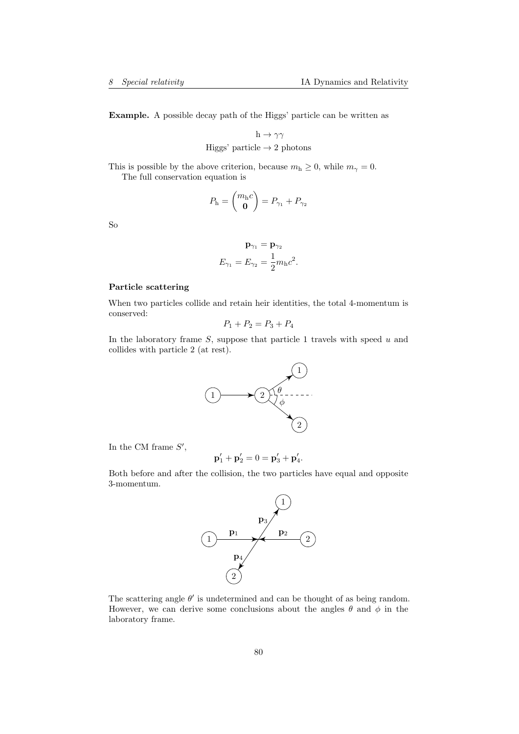Example. A possible decay path of the Higgs' particle can be written as

 $h \to \gamma \gamma$ Higgs' particle  $\rightarrow$  2 photons

This is possible by the above criterion, because  $m_h \geq 0$ , while  $m_\gamma = 0$ . The full conservation equation is

$$
P_{\rm h} = \begin{pmatrix} m_{\rm h}c \\ \mathbf{0} \end{pmatrix} = P_{\gamma_1} + P_{\gamma_2}
$$

So

$$
\mathbf{p}_{\gamma_1} = \mathbf{p}_{\gamma_2}
$$

$$
E_{\gamma_1} = E_{\gamma_2} = \frac{1}{2} m_{\rm h} c^2.
$$

## Particle scattering

When two particles collide and retain heir identities, the total 4-momentum is conserved:

$$
P_1 + P_2 = P_3 + P_4
$$

In the laboratory frame  $S$ , suppose that particle 1 travels with speed  $u$  and collides with particle 2 (at rest).



In the CM frame  $S'$ ,

$$
\mathbf{p}'_1 + \mathbf{p}'_2 = 0 = \mathbf{p}'_3 + \mathbf{p}'_4.
$$

Both before and after the collision, the two particles have equal and opposite 3-momentum.



The scattering angle  $\theta'$  is undetermined and can be thought of as being random. However, we can derive some conclusions about the angles  $\theta$  and  $\phi$  in the laboratory frame.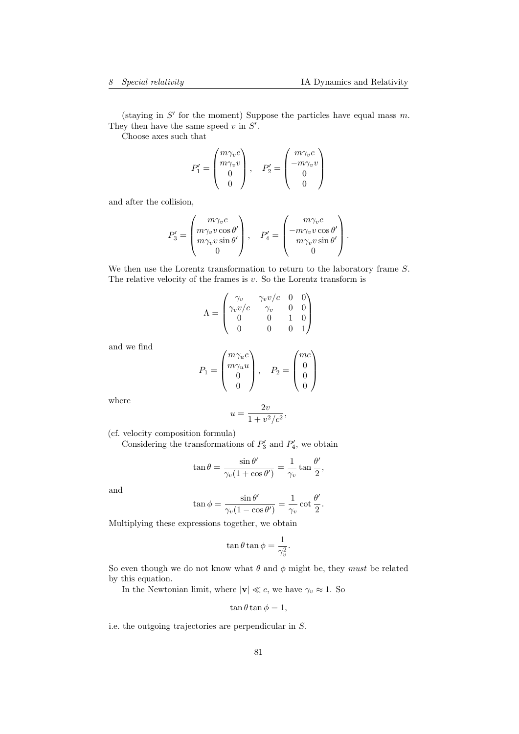(staying in  $S'$  for the moment) Suppose the particles have equal mass  $m$ . They then have the same speed  $v$  in  $S'$ .

Choose axes such that

$$
P_1' = \begin{pmatrix} m\gamma_v c \\ m\gamma_v v \\ 0 \\ 0 \end{pmatrix}, \quad P_2' = \begin{pmatrix} m\gamma_v c \\ -m\gamma_v v \\ 0 \\ 0 \end{pmatrix}
$$

and after the collision,

$$
P_3' = \begin{pmatrix} m\gamma_v c \\ m\gamma_v v \cos \theta' \\ m\gamma_v v \sin \theta' \\ 0 \end{pmatrix}, \quad P_4' = \begin{pmatrix} m\gamma_v c \\ -m\gamma_v v \cos \theta' \\ -m\gamma_v v \sin \theta' \\ 0 \end{pmatrix}.
$$

We then use the Lorentz transformation to return to the laboratory frame  $S$ . The relative velocity of the frames is  $v$ . So the Lorentz transform is

$$
\Lambda = \begin{pmatrix}\n\gamma_v & \gamma_v v/c & 0 & 0 \\
\gamma_v v/c & \gamma_v & 0 & 0 \\
0 & 0 & 1 & 0 \\
0 & 0 & 0 & 1\n\end{pmatrix}
$$

and we find

$$
P_1 = \begin{pmatrix} m\gamma_u c \\ m\gamma_u u \\ 0 \\ 0 \end{pmatrix}, \quad P_2 = \begin{pmatrix} mc \\ 0 \\ 0 \\ 0 \end{pmatrix}
$$

where

$$
u = \frac{2v}{1 + v^2/c^2},
$$

(cf. velocity composition formula)

Considering the transformations of  $P'_3$  and  $P'_4$ , we obtain

$$
\tan \theta = \frac{\sin \theta'}{\gamma_v (1 + \cos \theta')} = \frac{1}{\gamma_v} \tan \frac{\theta'}{2},
$$

and

$$
\tan \phi = \frac{\sin \theta'}{\gamma_v (1 - \cos \theta')} = \frac{1}{\gamma_v} \cot \frac{\theta'}{2}.
$$

Multiplying these expressions together, we obtain

$$
\tan \theta \tan \phi = \frac{1}{\gamma_v^2}.
$$

So even though we do not know what  $\theta$  and  $\phi$  might be, they *must* be related by this equation.

In the Newtonian limit, where  $|\mathbf{v}| \ll c$ , we have  $\gamma_v \approx 1$ . So

$$
\tan\theta\tan\phi=1,
$$

i.e. the outgoing trajectories are perpendicular in S.